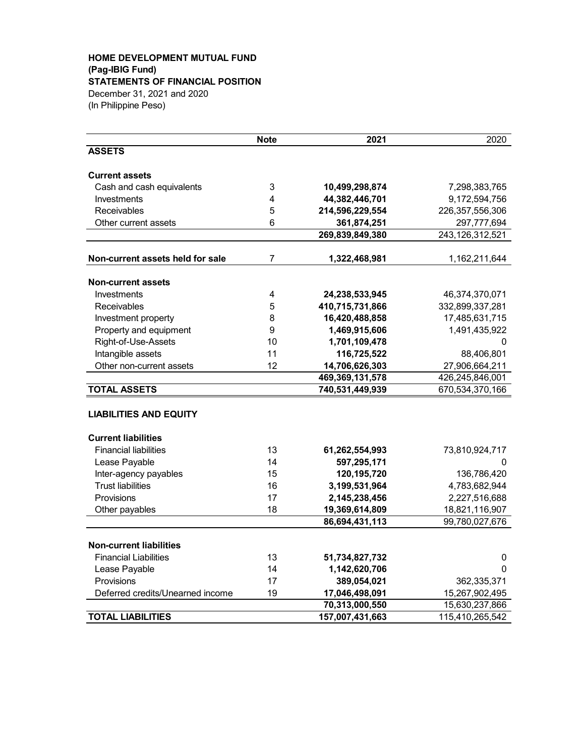### **HOME DEVELOPMENT MUTUAL FUND (Pag-IBIG Fund) STATEMENTS OF FINANCIAL POSITION** December 31, 2021 and 2020 (In Philippine Peso)

|                                  | <b>Note</b>             | 2021            | 2020               |
|----------------------------------|-------------------------|-----------------|--------------------|
| <b>ASSETS</b>                    |                         |                 |                    |
| <b>Current assets</b>            |                         |                 |                    |
| Cash and cash equivalents        | 3                       | 10,499,298,874  | 7,298,383,765      |
| Investments                      | 4                       | 44,382,446,701  | 9,172,594,756      |
| Receivables                      | 5                       | 214,596,229,554 | 226, 357, 556, 306 |
| Other current assets             | 6                       | 361,874,251     | 297,777,694        |
|                                  |                         | 269,839,849,380 | 243,126,312,521    |
| Non-current assets held for sale | 7                       | 1,322,468,981   | 1,162,211,644      |
| <b>Non-current assets</b>        |                         |                 |                    |
| Investments                      | $\overline{\mathbf{4}}$ | 24,238,533,945  | 46,374,370,071     |
| Receivables                      | 5                       | 410,715,731,866 | 332,899,337,281    |
| Investment property              | 8                       | 16,420,488,858  | 17,485,631,715     |
| Property and equipment           | 9                       | 1,469,915,606   | 1,491,435,922      |
| Right-of-Use-Assets              | 10                      | 1,701,109,478   | 0                  |
| Intangible assets                | 11                      | 116,725,522     | 88,406,801         |
| Other non-current assets         | 12                      | 14,706,626,303  | 27,906,664,211     |
|                                  |                         | 469,369,131,578 | 426,245,846,001    |
| <b>TOTAL ASSETS</b>              |                         | 740,531,449,939 | 670,534,370,166    |
| <b>LIABILITIES AND EQUITY</b>    |                         |                 |                    |
| <b>Current liabilities</b>       |                         |                 |                    |
| <b>Financial liabilities</b>     | 13                      | 61,262,554,993  | 73,810,924,717     |
| Lease Payable                    | 14                      | 597,295,171     | 0                  |
| Inter-agency payables            | 15                      | 120,195,720     | 136,786,420        |
| <b>Trust liabilities</b>         | 16                      | 3,199,531,964   | 4,783,682,944      |
| Provisions                       | 17                      | 2,145,238,456   | 2,227,516,688      |
| Other payables                   | 18                      | 19,369,614,809  | 18,821,116,907     |
|                                  |                         | 86,694,431,113  | 99,780,027,676     |
| <b>Non-current liabilities</b>   |                         |                 |                    |
| <b>Financial Liabilities</b>     | 13                      | 51,734,827,732  | 0                  |
| Lease Payable                    | 14                      | 1,142,620,706   | 0                  |
| Provisions                       | 17                      | 389,054,021     | 362,335,371        |
| Deferred credits/Unearned income | 19                      | 17,046,498,091  | 15,267,902,495     |
|                                  |                         | 70,313,000,550  | 15,630,237,866     |
| <b>TOTAL LIABILITIES</b>         |                         | 157,007,431,663 | 115,410,265,542    |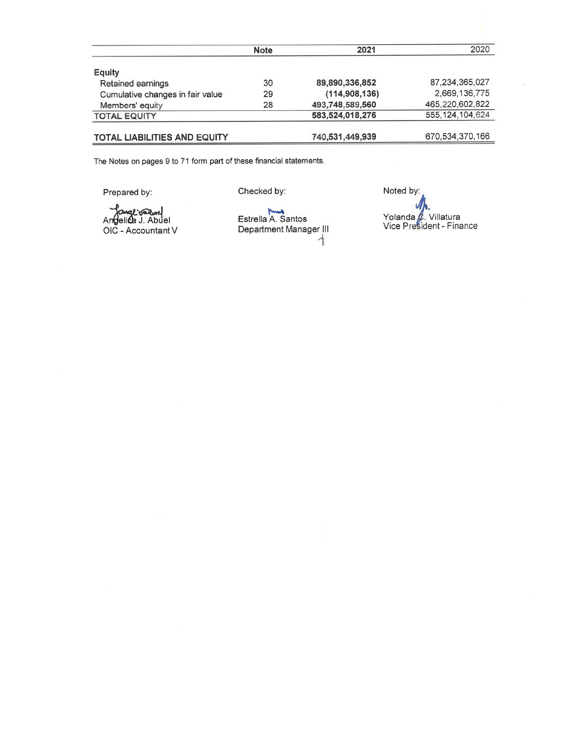|                                  | <b>Note</b> | 2021            | 2020            |
|----------------------------------|-------------|-----------------|-----------------|
| Equity                           |             |                 |                 |
| Retained earnings                | 30          | 89,890,336,852  | 87.234.365.027  |
| Cumulative changes in fair value | 29          | (114,908,136)   | 2,669,136,775   |
| Members' equity                  | 28          | 493,748,589,560 | 465,220,602,822 |
| <b>TOTAL EQUITY</b>              |             | 583.524.018.276 | 555.124.104.624 |
| TOTAL LIABILITIES AND EQUITY     |             | 740,531,449,939 | 670,534,370,166 |

The Notes on pages 9 to 71 form part of these financial statements.

Prepared by:

Checked by:

Comption<br>Angelica J. Abuel<br>OIC - Accountant V

Estrella A. Santos<br>Department Manager III  $\frac{1}{\sqrt{2}}$ 

Noted by: U Yolanda & Villatura<br>Vice President - Finance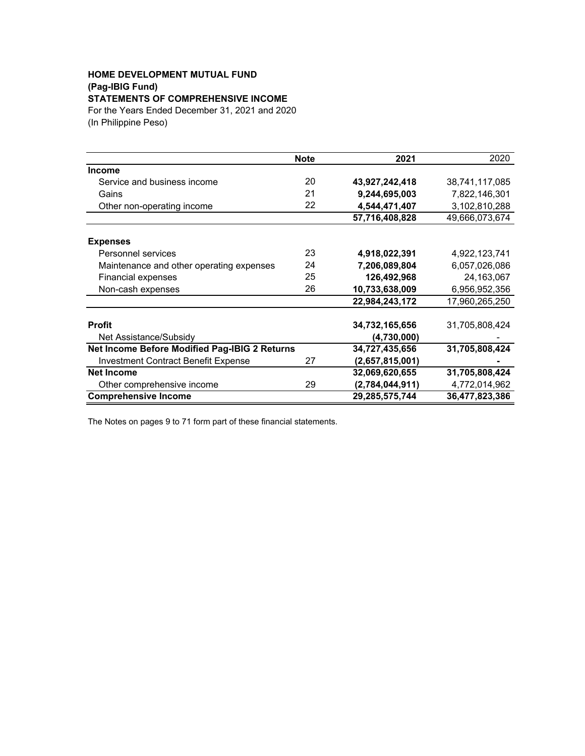# **HOME DEVELOPMENT MUTUAL FUND (Pag-IBIG Fund)**

# **STATEMENTS OF COMPREHENSIVE INCOME**

For the Years Ended December 31, 2021 and 2020 (In Philippine Peso)

|                                               | <b>Note</b> | 2021            | 2020           |
|-----------------------------------------------|-------------|-----------------|----------------|
| <b>Income</b>                                 |             |                 |                |
| Service and business income                   | 20          | 43,927,242,418  | 38,741,117,085 |
| Gains                                         | 21          | 9,244,695,003   | 7,822,146,301  |
| Other non-operating income                    | 22          | 4,544,471,407   | 3,102,810,288  |
|                                               |             | 57,716,408,828  | 49,666,073,674 |
|                                               |             |                 |                |
| <b>Expenses</b>                               |             |                 |                |
| Personnel services                            | 23          | 4,918,022,391   | 4,922,123,741  |
| Maintenance and other operating expenses      | 24          | 7,206,089,804   | 6,057,026,086  |
| <b>Financial expenses</b>                     | 25          | 126,492,968     | 24,163,067     |
| Non-cash expenses                             | 26          | 10,733,638,009  | 6,956,952,356  |
|                                               |             | 22,984,243,172  | 17,960,265,250 |
|                                               |             |                 |                |
| <b>Profit</b>                                 |             | 34,732,165,656  | 31,705,808,424 |
| Net Assistance/Subsidy                        |             | (4,730,000)     |                |
| Net Income Before Modified Pag-IBIG 2 Returns |             | 34,727,435,656  | 31,705,808,424 |
| <b>Investment Contract Benefit Expense</b>    | 27          | (2,657,815,001) |                |
| <b>Net Income</b>                             |             | 32,069,620,655  | 31,705,808,424 |
| Other comprehensive income                    | 29          | (2,784,044,911) | 4,772,014,962  |
| <b>Comprehensive Income</b>                   |             | 29,285,575,744  | 36,477,823,386 |

The Notes on pages 9 to 71 form part of these financial statements.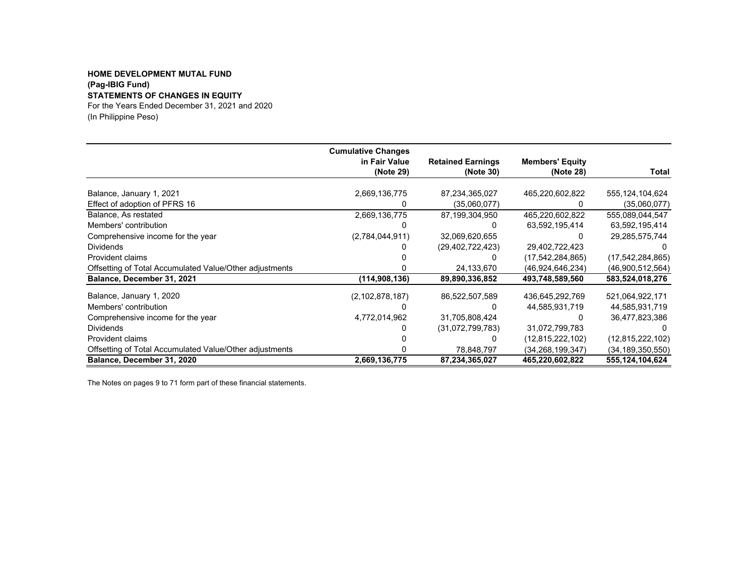### **HOME DEVELOPMENT MUTAL FUND (Pag-IBIG Fund) STATEMENTS OF CHANGES IN EQUITY** For the Years Ended December 31, 2021 and 2020

(In Philippine Peso)

|                                                         | <b>Cumulative Changes</b> |                          |                        |                     |
|---------------------------------------------------------|---------------------------|--------------------------|------------------------|---------------------|
|                                                         | in Fair Value             | <b>Retained Earnings</b> | <b>Members' Equity</b> |                     |
|                                                         | (Note 29)                 | (Note 30)                | (Note 28)              | Total               |
| Balance, January 1, 2021                                | 2,669,136,775             | 87,234,365,027           | 465,220,602,822        | 555, 124, 104, 624  |
| Effect of adoption of PFRS 16                           | 0                         | (35,060,077)             |                        | (35,060,077)        |
| Balance, As restated                                    | 2,669,136,775             | 87,199,304,950           | 465,220,602,822        | 555,089,044,547     |
| Members' contribution                                   |                           | O                        | 63,592,195,414         | 63,592,195,414      |
| Comprehensive income for the year                       | (2,784,044,911)           | 32,069,620,655           |                        | 29,285,575,744      |
| <b>Dividends</b>                                        |                           | (29, 402, 722, 423)      | 29,402,722,423         |                     |
| Provident claims                                        |                           |                          | (17, 542, 284, 865)    | (17,542,284,865)    |
| Offsetting of Total Accumulated Value/Other adjustments |                           | 24,133,670               | (46.924.646.234)       | (46,900,512,564)    |
| Balance, December 31, 2021                              | (114, 908, 136)           | 89,890,336,852           | 493,748,589,560        | 583,524,018,276     |
| Balance, January 1, 2020                                | (2, 102, 878, 187)        | 86,522,507,589           | 436,645,292,769        | 521,064,922,171     |
| Members' contribution                                   |                           |                          | 44,585,931,719         | 44,585,931,719      |
| Comprehensive income for the year                       | 4,772,014,962             | 31,705,808,424           | O                      | 36,477,823,386      |
| <b>Dividends</b>                                        |                           | (31,072,799,783)         | 31,072,799,783         |                     |
| Provident claims                                        |                           | 0                        | (12, 815, 222, 102)    | (12,815,222,102)    |
| Offsetting of Total Accumulated Value/Other adjustments |                           | 78,848,797               | (34.268.199.347)       | (34, 189, 350, 550) |
| Balance, December 31, 2020                              | 2,669,136,775             | 87,234,365,027           | 465,220,602,822        | 555,124,104,624     |

The Notes on pages 9 to 71 form part of these financial statements.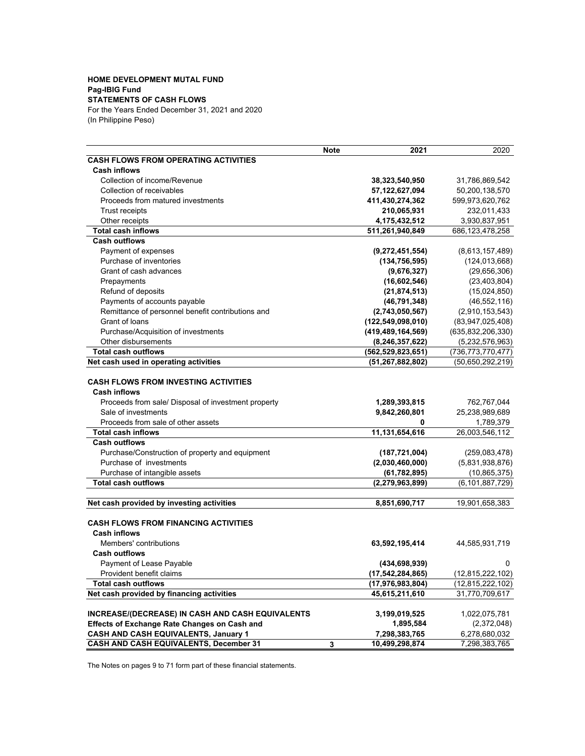### **HOME DEVELOPMENT MUTAL FUND Pag-IBIG Fund**

### **STATEMENTS OF CASH FLOWS**

For the Years Ended December 31, 2021 and 2020 (In Philippine Peso)

|                                                                                                                           | <b>Note</b> | 2021                               | 2020                        |
|---------------------------------------------------------------------------------------------------------------------------|-------------|------------------------------------|-----------------------------|
| <b>CASH FLOWS FROM OPERATING ACTIVITIES</b>                                                                               |             |                                    |                             |
| <b>Cash inflows</b>                                                                                                       |             |                                    |                             |
| Collection of income/Revenue                                                                                              |             | 38,323,540,950                     | 31,786,869,542              |
| Collection of receivables                                                                                                 |             | 57,122,627,094                     | 50,200,138,570              |
| Proceeds from matured investments                                                                                         |             | 411,430,274,362                    | 599,973,620,762             |
| Trust receipts                                                                                                            |             | 210,065,931                        | 232,011,433                 |
| Other receipts                                                                                                            |             | 4,175,432,512                      | 3,930,837,951               |
| <b>Total cash inflows</b>                                                                                                 |             | 511,261,940,849                    | 686, 123, 478, 258          |
| <b>Cash outflows</b>                                                                                                      |             |                                    |                             |
| Payment of expenses                                                                                                       |             | (9,272,451,554)                    | (8,613,157,489)             |
| Purchase of inventories                                                                                                   |             | (134, 756, 595)                    | (124, 013, 668)             |
| Grant of cash advances                                                                                                    |             | (9,676,327)                        | (29,656,306)                |
| Prepayments                                                                                                               |             | (16,602,546)                       | (23, 403, 804)              |
| Refund of deposits                                                                                                        |             | (21, 874, 513)                     | (15,024,850)                |
| Payments of accounts payable                                                                                              |             | (46, 791, 348)                     | (46, 552, 116)              |
| Remittance of personnel benefit contributions and                                                                         |             | (2,743,050,567)                    | (2,910,153,543)             |
| Grant of loans                                                                                                            |             | (122, 549, 098, 010)               | (83,947,025,408)            |
| Purchase/Acquisition of investments                                                                                       |             | (419, 489, 164, 569)               | (635, 832, 206, 330)        |
| Other disbursements                                                                                                       |             | (8, 246, 357, 622)                 | (5,232,576,963)             |
| <b>Total cash outflows</b>                                                                                                |             | (562, 529, 823, 651)               | (736, 773, 770, 477)        |
| Net cash used in operating activities                                                                                     |             | (51, 267, 882, 802)                | (50,650,292,219)            |
| <b>CASH FLOWS FROM INVESTING ACTIVITIES</b><br><b>Cash inflows</b><br>Proceeds from sale/ Disposal of investment property |             | 1,289,393,815                      | 762,767,044                 |
| Sale of investments                                                                                                       |             | 9,842,260,801                      | 25,238,989,689              |
| Proceeds from sale of other assets                                                                                        |             | 0                                  |                             |
| <b>Total cash inflows</b>                                                                                                 |             | 11,131,654,616                     | 1,789,379<br>26,003,546,112 |
| <b>Cash outflows</b>                                                                                                      |             |                                    |                             |
| Purchase/Construction of property and equipment                                                                           |             |                                    | (259,083,478)               |
| Purchase of investments                                                                                                   |             | (187, 721, 004)<br>(2,030,460,000) | (5,831,938,876)             |
| Purchase of intangible assets                                                                                             |             | (61, 782, 895)                     | (10, 865, 375)              |
| <b>Total cash outflows</b>                                                                                                |             | (2, 279, 963, 899)                 | (6, 101, 887, 729)          |
|                                                                                                                           |             |                                    |                             |
| Net cash provided by investing activities                                                                                 |             | 8,851,690,717                      | 19,901,658,383              |
|                                                                                                                           |             |                                    |                             |
| <b>CASH FLOWS FROM FINANCING ACTIVITIES</b><br><b>Cash inflows</b>                                                        |             |                                    |                             |
| Members' contributions                                                                                                    |             | 63,592,195,414                     | 44,585,931,719              |
| <b>Cash outflows</b>                                                                                                      |             |                                    |                             |
| Payment of Lease Payable                                                                                                  |             | (434, 698, 939)                    | 0                           |
| Provident benefit claims                                                                                                  |             | (17, 542, 284, 865)                | (12,815,222,102)            |
| Total cash outflows                                                                                                       |             | (17, 976, 983, 804)                | (12, 815, 222, 102)         |
| Net cash provided by financing activities                                                                                 |             | 45,615,211,610                     | 31,770,709,617              |
|                                                                                                                           |             |                                    |                             |
| INCREASE/(DECREASE) IN CASH AND CASH EQUIVALENTS                                                                          |             | 3,199,019,525                      | 1,022,075,781               |
| <b>Effects of Exchange Rate Changes on Cash and</b>                                                                       |             | 1,895,584                          | (2,372,048)                 |
| CASH AND CASH EQUIVALENTS, January 1                                                                                      |             | 7,298,383,765                      | 6,278,680,032               |
| <b>CASH AND CASH EQUIVALENTS, December 31</b>                                                                             | 3           | 10,499,298,874                     | 7,298,383,765               |

The Notes on pages 9 to 71 form part of these financial statements.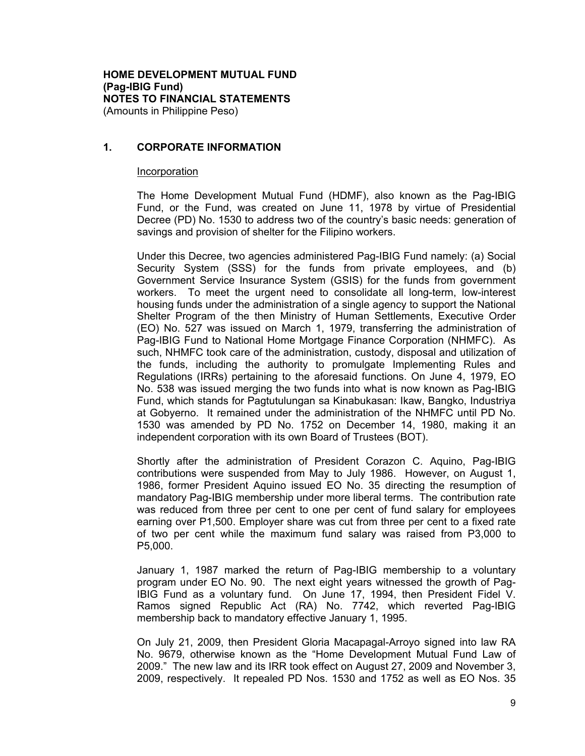### **HOME DEVELOPMENT MUTUAL FUND (Pag-IBIG Fund) NOTES TO FINANCIAL STATEMENTS**  (Amounts in Philippine Peso)

**1. CORPORATE INFORMATION** 

### Incorporation

The Home Development Mutual Fund (HDMF), also known as the Pag-IBIG Fund, or the Fund, was created on June 11, 1978 by virtue of Presidential Decree (PD) No. 1530 to address two of the country's basic needs: generation of savings and provision of shelter for the Filipino workers.

Under this Decree, two agencies administered Pag-IBIG Fund namely: (a) Social Security System (SSS) for the funds from private employees, and (b) Government Service Insurance System (GSIS) for the funds from government workers. To meet the urgent need to consolidate all long-term, low-interest housing funds under the administration of a single agency to support the National Shelter Program of the then Ministry of Human Settlements, Executive Order (EO) No. 527 was issued on March 1, 1979, transferring the administration of Pag-IBIG Fund to National Home Mortgage Finance Corporation (NHMFC). As such, NHMFC took care of the administration, custody, disposal and utilization of the funds, including the authority to promulgate Implementing Rules and Regulations (IRRs) pertaining to the aforesaid functions. On June 4, 1979, EO No. 538 was issued merging the two funds into what is now known as Pag-IBIG Fund, which stands for Pagtutulungan sa Kinabukasan: Ikaw, Bangko, Industriya at Gobyerno. It remained under the administration of the NHMFC until PD No. 1530 was amended by PD No. 1752 on December 14, 1980, making it an independent corporation with its own Board of Trustees (BOT).

Shortly after the administration of President Corazon C. Aquino, Pag-IBIG contributions were suspended from May to July 1986. However, on August 1, 1986, former President Aquino issued EO No. 35 directing the resumption of mandatory Pag-IBIG membership under more liberal terms. The contribution rate was reduced from three per cent to one per cent of fund salary for employees earning over P1,500. Employer share was cut from three per cent to a fixed rate of two per cent while the maximum fund salary was raised from P3,000 to P5,000.

January 1, 1987 marked the return of Pag-IBIG membership to a voluntary program under EO No. 90. The next eight years witnessed the growth of Pag-IBIG Fund as a voluntary fund. On June 17, 1994, then President Fidel V. Ramos signed Republic Act (RA) No. 7742, which reverted Pag-IBIG membership back to mandatory effective January 1, 1995.

On July 21, 2009, then President Gloria Macapagal-Arroyo signed into law RA No. 9679, otherwise known as the "Home Development Mutual Fund Law of 2009." The new law and its IRR took effect on August 27, 2009 and November 3, 2009, respectively. It repealed PD Nos. 1530 and 1752 as well as EO Nos. 35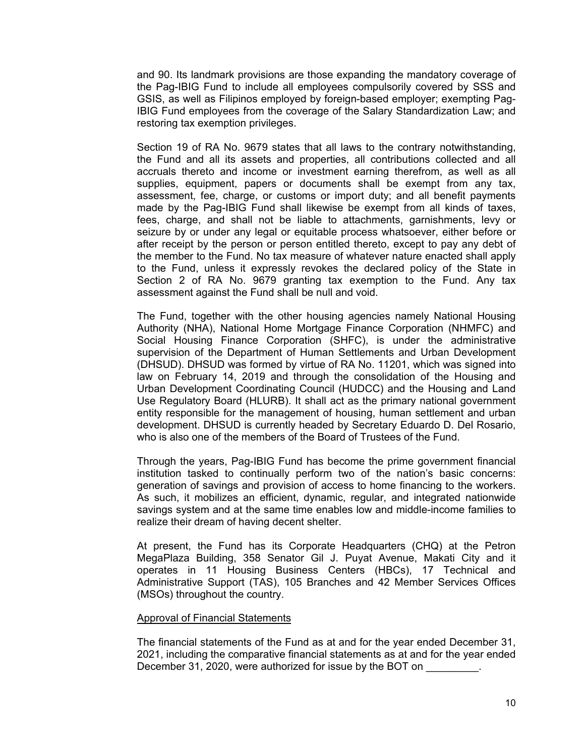and 90. Its landmark provisions are those expanding the mandatory coverage of the Pag-IBIG Fund to include all employees compulsorily covered by SSS and GSIS, as well as Filipinos employed by foreign-based employer; exempting Pag-IBIG Fund employees from the coverage of the Salary Standardization Law; and restoring tax exemption privileges.

Section 19 of RA No. 9679 states that all laws to the contrary notwithstanding, the Fund and all its assets and properties, all contributions collected and all accruals thereto and income or investment earning therefrom, as well as all supplies, equipment, papers or documents shall be exempt from any tax, assessment, fee, charge, or customs or import duty; and all benefit payments made by the Pag-IBIG Fund shall likewise be exempt from all kinds of taxes, fees, charge, and shall not be liable to attachments, garnishments, levy or seizure by or under any legal or equitable process whatsoever, either before or after receipt by the person or person entitled thereto, except to pay any debt of the member to the Fund. No tax measure of whatever nature enacted shall apply to the Fund, unless it expressly revokes the declared policy of the State in Section 2 of RA No. 9679 granting tax exemption to the Fund. Any tax assessment against the Fund shall be null and void.

The Fund, together with the other housing agencies namely National Housing Authority (NHA), National Home Mortgage Finance Corporation (NHMFC) and Social Housing Finance Corporation (SHFC), is under the administrative supervision of the Department of Human Settlements and Urban Development (DHSUD). DHSUD was formed by virtue of RA No. 11201, which was signed into law on February 14, 2019 and through the consolidation of the Housing and Urban Development Coordinating Council (HUDCC) and the Housing and Land Use Regulatory Board (HLURB). It shall act as the primary national government entity responsible for the management of housing, human settlement and urban development. DHSUD is currently headed by Secretary Eduardo D. Del Rosario, who is also one of the members of the Board of Trustees of the Fund.

Through the years, Pag-IBIG Fund has become the prime government financial institution tasked to continually perform two of the nation's basic concerns: generation of savings and provision of access to home financing to the workers. As such, it mobilizes an efficient, dynamic, regular, and integrated nationwide savings system and at the same time enables low and middle-income families to realize their dream of having decent shelter.

At present, the Fund has its Corporate Headquarters (CHQ) at the Petron MegaPlaza Building, 358 Senator Gil J. Puyat Avenue, Makati City and it operates in 11 Housing Business Centers (HBCs), 17 Technical and Administrative Support (TAS), 105 Branches and 42 Member Services Offices (MSOs) throughout the country.

### Approval of Financial Statements

The financial statements of the Fund as at and for the year ended December 31, 2021, including the comparative financial statements as at and for the year ended December 31, 2020, were authorized for issue by the BOT on \_\_\_\_\_\_\_\_\_.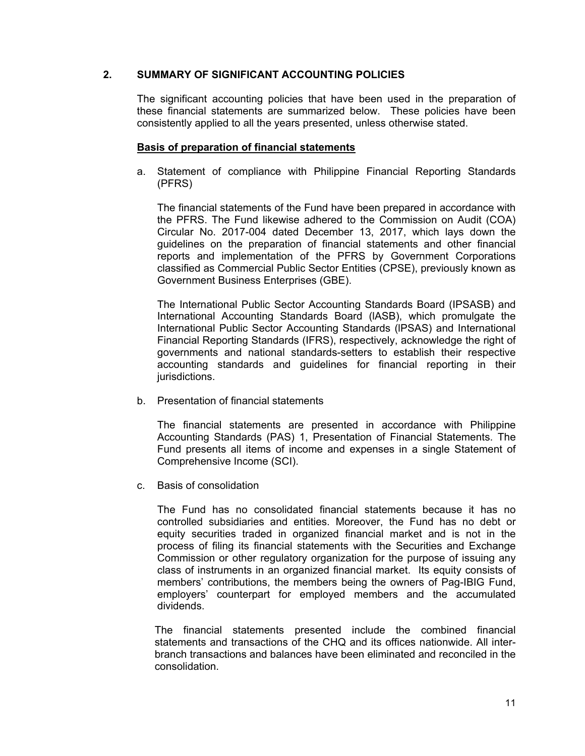# **2. SUMMARY OF SIGNIFICANT ACCOUNTING POLICIES**

The significant accounting policies that have been used in the preparation of these financial statements are summarized below. These policies have been consistently applied to all the years presented, unless otherwise stated.

# **Basis of preparation of financial statements**

a. Statement of compliance with Philippine Financial Reporting Standards (PFRS)

The financial statements of the Fund have been prepared in accordance with the PFRS. The Fund likewise adhered to the Commission on Audit (COA) Circular No. 2017-004 dated December 13, 2017, which lays down the guidelines on the preparation of financial statements and other financial reports and implementation of the PFRS by Government Corporations classified as Commercial Public Sector Entities (CPSE), previously known as Government Business Enterprises (GBE).

The International Public Sector Accounting Standards Board (IPSASB) and International Accounting Standards Board (lASB), which promulgate the International Public Sector Accounting Standards (lPSAS) and International Financial Reporting Standards (IFRS), respectively, acknowledge the right of governments and national standards-setters to establish their respective accounting standards and guidelines for financial reporting in their jurisdictions.

b. Presentation of financial statements

The financial statements are presented in accordance with Philippine Accounting Standards (PAS) 1, Presentation of Financial Statements. The Fund presents all items of income and expenses in a single Statement of Comprehensive Income (SCI).

c. Basis of consolidation

The Fund has no consolidated financial statements because it has no controlled subsidiaries and entities. Moreover, the Fund has no debt or equity securities traded in organized financial market and is not in the process of filing its financial statements with the Securities and Exchange Commission or other regulatory organization for the purpose of issuing any class of instruments in an organized financial market. Its equity consists of members' contributions, the members being the owners of Pag-IBIG Fund, employers' counterpart for employed members and the accumulated dividends.

The financial statements presented include the combined financial statements and transactions of the CHQ and its offices nationwide. All interbranch transactions and balances have been eliminated and reconciled in the consolidation.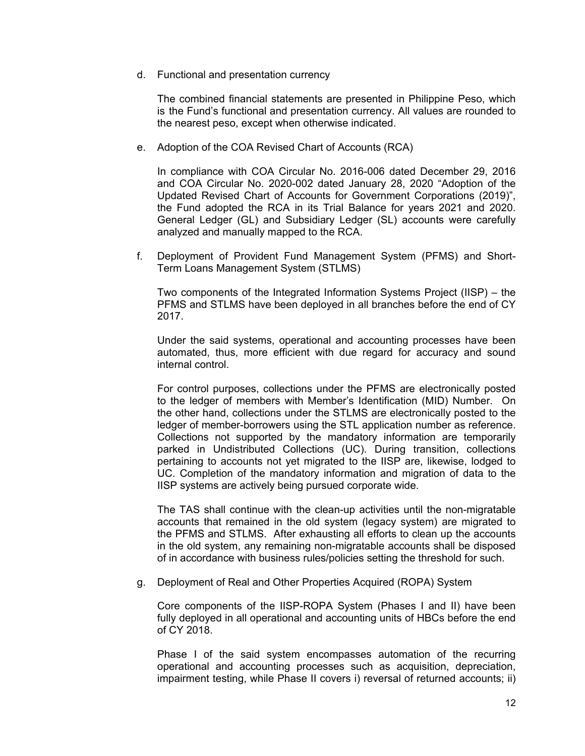d. Functional and presentation currency

The combined financial statements are presented in Philippine Peso, which is the Fund's functional and presentation currency. All values are rounded to the nearest peso, except when otherwise indicated.

e. Adoption of the COA Revised Chart of Accounts (RCA)

In compliance with COA Circular No. 2016-006 dated December 29, 2016 and COA Circular No. 2020-002 dated January 28, 2020 "Adoption of the Updated Revised Chart of Accounts for Government Corporations (2019)", the Fund adopted the RCA in its Trial Balance for years 2021 and 2020. General Ledger (GL) and Subsidiary Ledger (SL) accounts were carefully analyzed and manually mapped to the RCA.

f. Deployment of Provident Fund Management System (PFMS) and Short-Term Loans Management System (STLMS)

Two components of the Integrated Information Systems Project (IISP) – the PFMS and STLMS have been deployed in all branches before the end of CY 2017.

Under the said systems, operational and accounting processes have been automated, thus, more efficient with due regard for accuracy and sound internal control.

For control purposes, collections under the PFMS are electronically posted to the ledger of members with Member's Identification (MID) Number. On the other hand, collections under the STLMS are electronically posted to the ledger of member-borrowers using the STL application number as reference. Collections not supported by the mandatory information are temporarily parked in Undistributed Collections (UC). During transition, collections pertaining to accounts not yet migrated to the IISP are, likewise, lodged to UC. Completion of the mandatory information and migration of data to the IISP systems are actively being pursued corporate wide.

The TAS shall continue with the clean-up activities until the non-migratable accounts that remained in the old system (legacy system) are migrated to the PFMS and STLMS. After exhausting all efforts to clean up the accounts in the old system, any remaining non-migratable accounts shall be disposed of in accordance with business rules/policies setting the threshold for such.

g. Deployment of Real and Other Properties Acquired (ROPA) System

Core components of the IISP-ROPA System (Phases I and II) have been fully deployed in all operational and accounting units of HBCs before the end of CY 2018.

Phase I of the said system encompasses automation of the recurring operational and accounting processes such as acquisition, depreciation, impairment testing, while Phase II covers i) reversal of returned accounts; ii)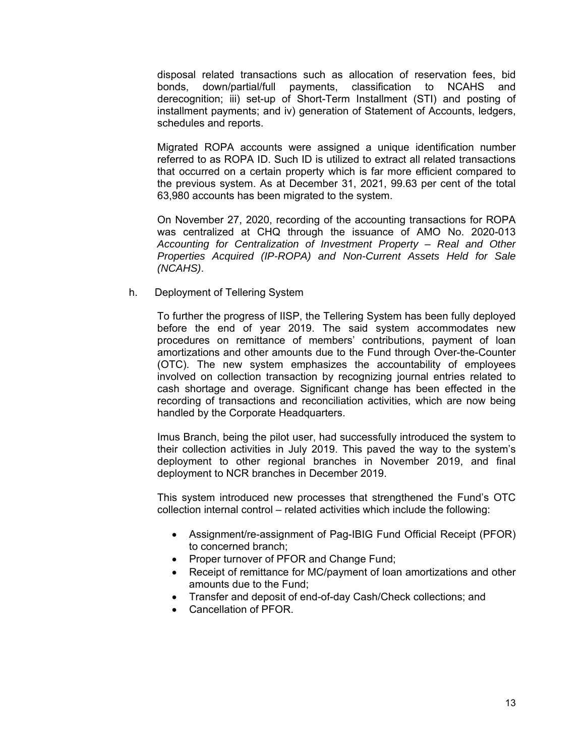disposal related transactions such as allocation of reservation fees, bid bonds, down/partial/full payments, classification to NCAHS and derecognition; iii) set-up of Short-Term Installment (STI) and posting of installment payments; and iv) generation of Statement of Accounts, ledgers, schedules and reports.

Migrated ROPA accounts were assigned a unique identification number referred to as ROPA ID. Such ID is utilized to extract all related transactions that occurred on a certain property which is far more efficient compared to the previous system. As at December 31, 2021, 99.63 per cent of the total 63,980 accounts has been migrated to the system.

On November 27, 2020, recording of the accounting transactions for ROPA was centralized at CHQ through the issuance of AMO No. 2020-013 *Accounting for Centralization of Investment Property – Real and Other Properties Acquired (IP-ROPA) and Non-Current Assets Held for Sale (NCAHS)*.

h. Deployment of Tellering System

To further the progress of IISP, the Tellering System has been fully deployed before the end of year 2019. The said system accommodates new procedures on remittance of members' contributions, payment of loan amortizations and other amounts due to the Fund through Over-the-Counter (OTC). The new system emphasizes the accountability of employees involved on collection transaction by recognizing journal entries related to cash shortage and overage. Significant change has been effected in the recording of transactions and reconciliation activities, which are now being handled by the Corporate Headquarters.

Imus Branch, being the pilot user, had successfully introduced the system to their collection activities in July 2019. This paved the way to the system's deployment to other regional branches in November 2019, and final deployment to NCR branches in December 2019.

This system introduced new processes that strengthened the Fund's OTC collection internal control – related activities which include the following:

- Assignment/re-assignment of Pag-IBIG Fund Official Receipt (PFOR) to concerned branch;
- Proper turnover of PFOR and Change Fund;
- Receipt of remittance for MC/payment of loan amortizations and other amounts due to the Fund;
- Transfer and deposit of end-of-day Cash/Check collections; and
- Cancellation of PFOR.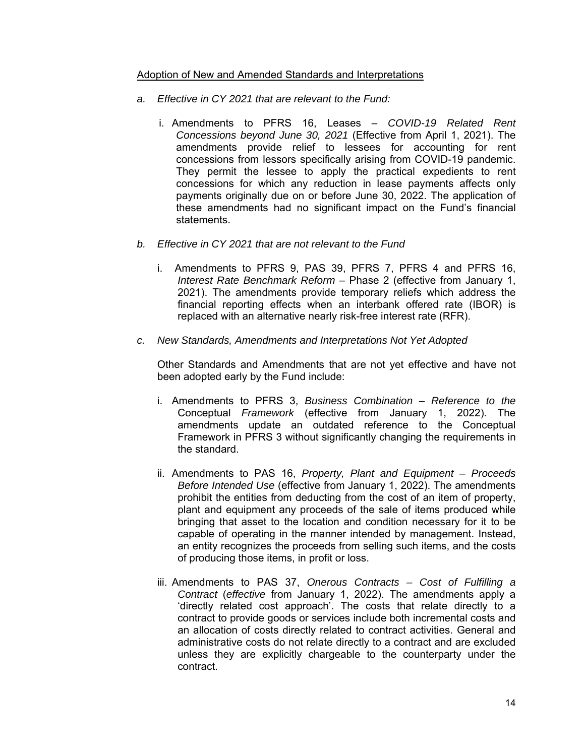# Adoption of New and Amended Standards and Interpretations

- *a. Effective in CY 2021 that are relevant to the Fund:*
	- i. Amendments to PFRS 16, Leases *COVID-19 Related Rent Concessions beyond June 30, 2021* (Effective from April 1, 2021). The amendments provide relief to lessees for accounting for rent concessions from lessors specifically arising from COVID-19 pandemic. They permit the lessee to apply the practical expedients to rent concessions for which any reduction in lease payments affects only payments originally due on or before June 30, 2022. The application of these amendments had no significant impact on the Fund's financial statements.
- *b. Effective in CY 2021 that are not relevant to the Fund* 
	- i. Amendments to PFRS 9, PAS 39, PFRS 7, PFRS 4 and PFRS 16, *Interest Rate Benchmark Reform* – Phase 2 (effective from January 1, 2021). The amendments provide temporary reliefs which address the financial reporting effects when an interbank offered rate (IBOR) is replaced with an alternative nearly risk-free interest rate (RFR).
- *c. New Standards, Amendments and Interpretations Not Yet Adopted*

Other Standards and Amendments that are not yet effective and have not been adopted early by the Fund include:

- i. Amendments to PFRS 3, *Business Combination Reference to the*  Conceptual *Framework* (effective from January 1, 2022). The amendments update an outdated reference to the Conceptual Framework in PFRS 3 without significantly changing the requirements in the standard.
- ii. Amendments to PAS 16, *Property, Plant and Equipment Proceeds Before Intended Use* (effective from January 1, 2022). The amendments prohibit the entities from deducting from the cost of an item of property, plant and equipment any proceeds of the sale of items produced while bringing that asset to the location and condition necessary for it to be capable of operating in the manner intended by management. Instead, an entity recognizes the proceeds from selling such items, and the costs of producing those items, in profit or loss.
- iii. Amendments to PAS 37, *Onerous Contracts Cost of Fulfilling a Contract* (*effective* from January 1, 2022). The amendments apply a 'directly related cost approach'. The costs that relate directly to a contract to provide goods or services include both incremental costs and an allocation of costs directly related to contract activities. General and administrative costs do not relate directly to a contract and are excluded unless they are explicitly chargeable to the counterparty under the contract.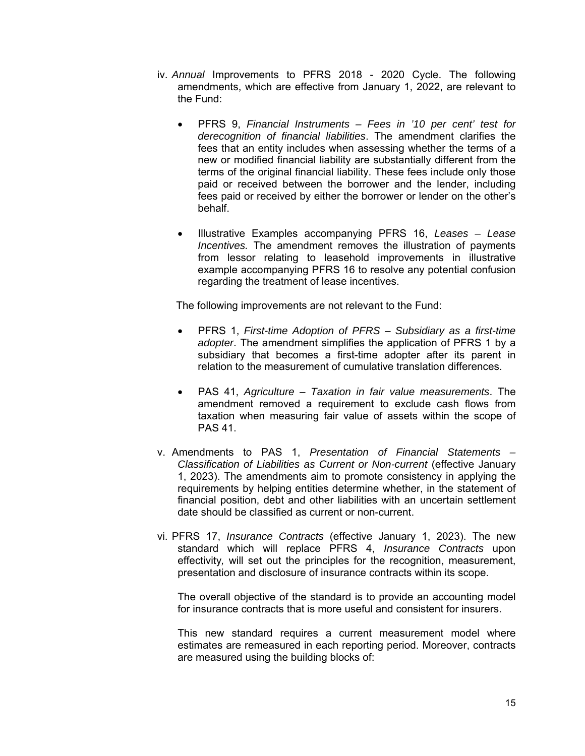- iv. *Annual* Improvements to PFRS 2018 2020 Cycle. The following amendments, which are effective from January 1, 2022, are relevant to the Fund:
	- PFRS 9, *Financial Instruments Fees in '10 per cent' test for derecognition of financial liabilities*. The amendment clarifies the fees that an entity includes when assessing whether the terms of a new or modified financial liability are substantially different from the terms of the original financial liability. These fees include only those paid or received between the borrower and the lender, including fees paid or received by either the borrower or lender on the other's behalf.
	- Illustrative Examples accompanying PFRS 16, *Leases Lease Incentives.* The amendment removes the illustration of payments from lessor relating to leasehold improvements in illustrative example accompanying PFRS 16 to resolve any potential confusion regarding the treatment of lease incentives.

The following improvements are not relevant to the Fund:

- PFRS 1, *First-time Adoption of PFRS Subsidiary as a first-time adopter*. The amendment simplifies the application of PFRS 1 by a subsidiary that becomes a first-time adopter after its parent in relation to the measurement of cumulative translation differences.
- PAS 41, *Agriculture Taxation in fair value measurements*. The amendment removed a requirement to exclude cash flows from taxation when measuring fair value of assets within the scope of PAS 41.
- v. Amendments to PAS 1, *Presentation of Financial Statements Classification of Liabilities as Current or Non-current* (effective January 1, 2023). The amendments aim to promote consistency in applying the requirements by helping entities determine whether, in the statement of financial position, debt and other liabilities with an uncertain settlement date should be classified as current or non-current.
- vi. PFRS 17, *Insurance Contracts* (effective January 1, 2023). The new standard which will replace PFRS 4, *Insurance Contracts* upon effectivity*,* will set out the principles for the recognition, measurement, presentation and disclosure of insurance contracts within its scope.

The overall objective of the standard is to provide an accounting model for insurance contracts that is more useful and consistent for insurers.

This new standard requires a current measurement model where estimates are remeasured in each reporting period. Moreover, contracts are measured using the building blocks of: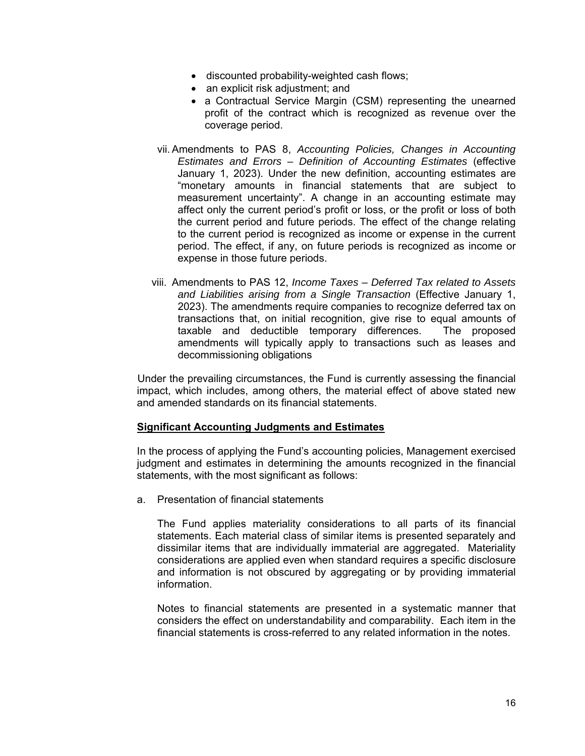- discounted probability-weighted cash flows;
- an explicit risk adjustment; and
- a Contractual Service Margin (CSM) representing the unearned profit of the contract which is recognized as revenue over the coverage period.
- vii. Amendments to PAS 8, *Accounting Policies, Changes in Accounting Estimates and Errors – Definition of Accounting Estimates* (effective January 1, 2023). Under the new definition, accounting estimates are "monetary amounts in financial statements that are subject to measurement uncertainty". A change in an accounting estimate may affect only the current period's profit or loss, or the profit or loss of both the current period and future periods. The effect of the change relating to the current period is recognized as income or expense in the current period. The effect, if any, on future periods is recognized as income or expense in those future periods.
- viii. Amendments to PAS 12, *Income Taxes Deferred Tax related to Assets and Liabilities arising from a Single Transaction* (Effective January 1, 2023). The amendments require companies to recognize deferred tax on transactions that, on initial recognition, give rise to equal amounts of taxable and deductible temporary differences. The proposed amendments will typically apply to transactions such as leases and decommissioning obligations

 Under the prevailing circumstances, the Fund is currently assessing the financial impact, which includes, among others, the material effect of above stated new and amended standards on its financial statements.

# **Significant Accounting Judgments and Estimates**

In the process of applying the Fund's accounting policies, Management exercised judgment and estimates in determining the amounts recognized in the financial statements, with the most significant as follows:

a. Presentation of financial statements

The Fund applies materiality considerations to all parts of its financial statements. Each material class of similar items is presented separately and dissimilar items that are individually immaterial are aggregated. Materiality considerations are applied even when standard requires a specific disclosure and information is not obscured by aggregating or by providing immaterial information.

Notes to financial statements are presented in a systematic manner that considers the effect on understandability and comparability. Each item in the financial statements is cross-referred to any related information in the notes.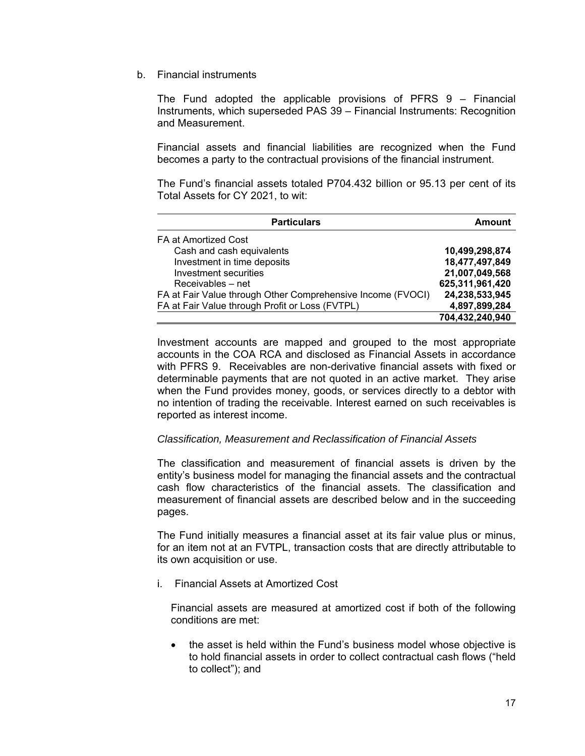b. Financial instruments

The Fund adopted the applicable provisions of PFRS 9 – Financial Instruments, which superseded PAS 39 – Financial Instruments: Recognition and Measurement.

Financial assets and financial liabilities are recognized when the Fund becomes a party to the contractual provisions of the financial instrument.

The Fund's financial assets totaled P704.432 billion or 95.13 per cent of its Total Assets for CY 2021, to wit:

| <b>Particulars</b>                                          | Amount          |
|-------------------------------------------------------------|-----------------|
| FA at Amortized Cost                                        |                 |
| Cash and cash equivalents                                   | 10,499,298,874  |
| Investment in time deposits                                 | 18,477,497,849  |
| Investment securities                                       | 21,007,049,568  |
| Receivables – net                                           | 625,311,961,420 |
| FA at Fair Value through Other Comprehensive Income (FVOCI) | 24,238,533,945  |
| FA at Fair Value through Profit or Loss (FVTPL)             | 4,897,899,284   |
|                                                             | 704,432,240,940 |

Investment accounts are mapped and grouped to the most appropriate accounts in the COA RCA and disclosed as Financial Assets in accordance with PFRS 9. Receivables are non-derivative financial assets with fixed or determinable payments that are not quoted in an active market. They arise when the Fund provides money, goods, or services directly to a debtor with no intention of trading the receivable. Interest earned on such receivables is reported as interest income.

# *Classification, Measurement and Reclassification of Financial Assets*

The classification and measurement of financial assets is driven by the entity's business model for managing the financial assets and the contractual cash flow characteristics of the financial assets. The classification and measurement of financial assets are described below and in the succeeding pages.

The Fund initially measures a financial asset at its fair value plus or minus, for an item not at an FVTPL, transaction costs that are directly attributable to its own acquisition or use.

i. Financial Assets at Amortized Cost

Financial assets are measured at amortized cost if both of the following conditions are met:

• the asset is held within the Fund's business model whose objective is to hold financial assets in order to collect contractual cash flows ("held to collect"); and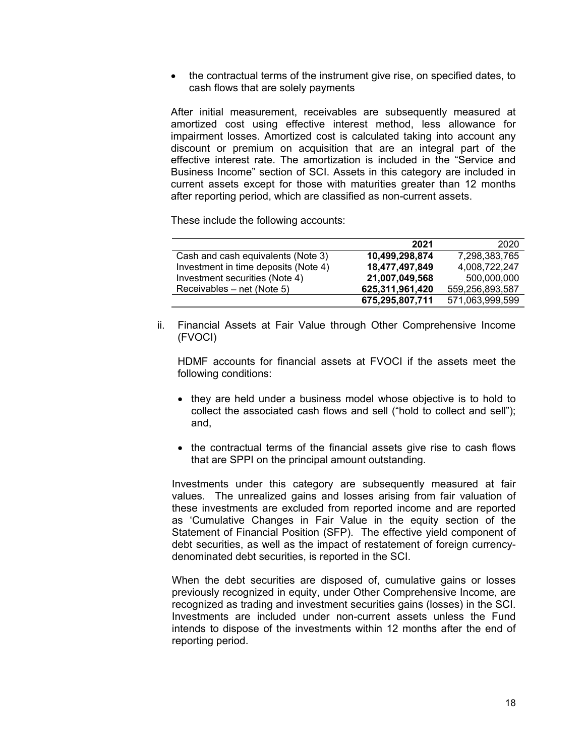the contractual terms of the instrument give rise, on specified dates, to cash flows that are solely payments

After initial measurement, receivables are subsequently measured at amortized cost using effective interest method, less allowance for impairment losses. Amortized cost is calculated taking into account any discount or premium on acquisition that are an integral part of the effective interest rate. The amortization is included in the "Service and Business Income" section of SCI. Assets in this category are included in current assets except for those with maturities greater than 12 months after reporting period, which are classified as non-current assets.

These include the following accounts:

|                                      | 2021            | 2020            |
|--------------------------------------|-----------------|-----------------|
| Cash and cash equivalents (Note 3)   | 10,499,298,874  | 7,298,383,765   |
| Investment in time deposits (Note 4) | 18,477,497,849  | 4,008,722,247   |
| Investment securities (Note 4)       | 21,007,049,568  | 500,000,000     |
| Receivables – net (Note 5)           | 625,311,961,420 | 559,256,893,587 |
|                                      | 675,295,807,711 | 571,063,999,599 |

ii. Financial Assets at Fair Value through Other Comprehensive Income (FVOCI)

HDMF accounts for financial assets at FVOCI if the assets meet the following conditions:

- they are held under a business model whose objective is to hold to collect the associated cash flows and sell ("hold to collect and sell"); and,
- the contractual terms of the financial assets give rise to cash flows that are SPPI on the principal amount outstanding.

Investments under this category are subsequently measured at fair values. The unrealized gains and losses arising from fair valuation of these investments are excluded from reported income and are reported as 'Cumulative Changes in Fair Value in the equity section of the Statement of Financial Position (SFP). The effective yield component of debt securities, as well as the impact of restatement of foreign currencydenominated debt securities, is reported in the SCI.

When the debt securities are disposed of, cumulative gains or losses previously recognized in equity, under Other Comprehensive Income, are recognized as trading and investment securities gains (losses) in the SCI. Investments are included under non-current assets unless the Fund intends to dispose of the investments within 12 months after the end of reporting period.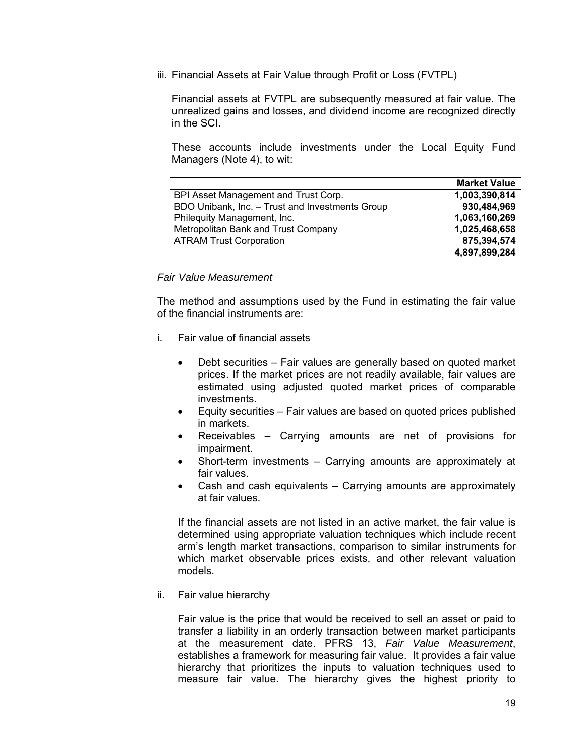iii. Financial Assets at Fair Value through Profit or Loss (FVTPL)

Financial assets at FVTPL are subsequently measured at fair value. The unrealized gains and losses, and dividend income are recognized directly in the SCI.

These accounts include investments under the Local Equity Fund Managers (Note 4), to wit:

|                                                 | <b>Market Value</b> |
|-------------------------------------------------|---------------------|
| BPI Asset Management and Trust Corp.            | 1,003,390,814       |
| BDO Unibank, Inc. - Trust and Investments Group | 930,484,969         |
| Philequity Management, Inc.                     | 1,063,160,269       |
| Metropolitan Bank and Trust Company             | 1,025,468,658       |
| <b>ATRAM Trust Corporation</b>                  | 875,394,574         |
|                                                 | 4,897,899,284       |

### *Fair Value Measurement*

The method and assumptions used by the Fund in estimating the fair value of the financial instruments are:

- i. Fair value of financial assets
	- Debt securities Fair values are generally based on quoted market prices. If the market prices are not readily available, fair values are estimated using adjusted quoted market prices of comparable investments.
	- Equity securities Fair values are based on quoted prices published in markets.
	- Receivables Carrying amounts are net of provisions for impairment.
	- Short-term investments Carrying amounts are approximately at fair values.
	- Cash and cash equivalents Carrying amounts are approximately at fair values.

If the financial assets are not listed in an active market, the fair value is determined using appropriate valuation techniques which include recent arm's length market transactions, comparison to similar instruments for which market observable prices exists, and other relevant valuation models.

ii. Fair value hierarchy

Fair value is the price that would be received to sell an asset or paid to transfer a liability in an orderly transaction between market participants at the measurement date. PFRS 13, *Fair Value Measurement*, establishes a framework for measuring fair value. It provides a fair value hierarchy that prioritizes the inputs to valuation techniques used to measure fair value. The hierarchy gives the highest priority to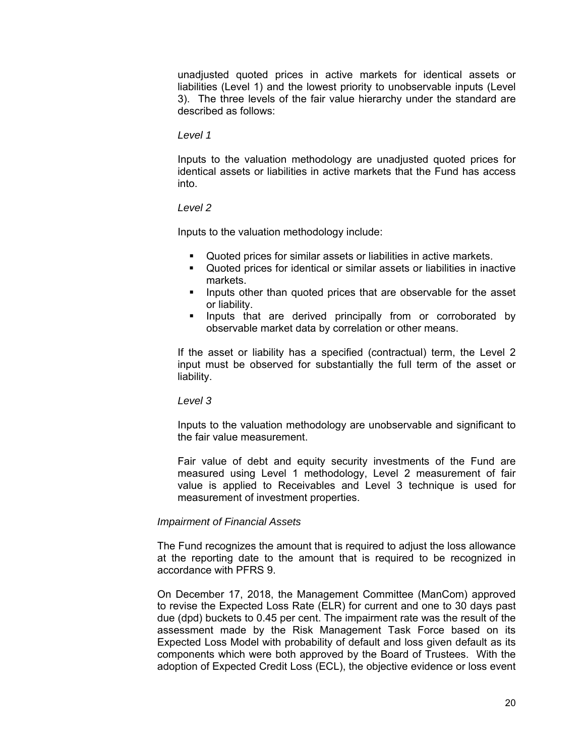unadjusted quoted prices in active markets for identical assets or liabilities (Level 1) and the lowest priority to unobservable inputs (Level 3). The three levels of the fair value hierarchy under the standard are described as follows:

### *Level 1*

Inputs to the valuation methodology are unadjusted quoted prices for identical assets or liabilities in active markets that the Fund has access into.

### *Level 2*

Inputs to the valuation methodology include:

- Quoted prices for similar assets or liabilities in active markets.
- Quoted prices for identical or similar assets or liabilities in inactive markets.
- **IF** Inputs other than quoted prices that are observable for the asset or liability.
- **Inputs that are derived principally from or corroborated by** observable market data by correlation or other means.

If the asset or liability has a specified (contractual) term, the Level 2 input must be observed for substantially the full term of the asset or liability.

### *Level 3*

Inputs to the valuation methodology are unobservable and significant to the fair value measurement.

Fair value of debt and equity security investments of the Fund are measured using Level 1 methodology, Level 2 measurement of fair value is applied to Receivables and Level 3 technique is used for measurement of investment properties.

### *Impairment of Financial Assets*

The Fund recognizes the amount that is required to adjust the loss allowance at the reporting date to the amount that is required to be recognized in accordance with PFRS 9.

On December 17, 2018, the Management Committee (ManCom) approved to revise the Expected Loss Rate (ELR) for current and one to 30 days past due (dpd) buckets to 0.45 per cent. The impairment rate was the result of the assessment made by the Risk Management Task Force based on its Expected Loss Model with probability of default and loss given default as its components which were both approved by the Board of Trustees. With the adoption of Expected Credit Loss (ECL), the objective evidence or loss event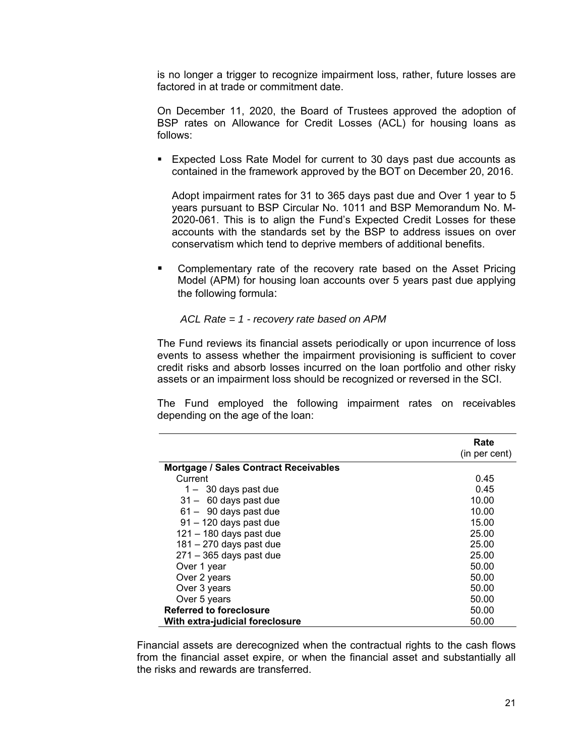is no longer a trigger to recognize impairment loss, rather, future losses are factored in at trade or commitment date.

On December 11, 2020, the Board of Trustees approved the adoption of BSP rates on Allowance for Credit Losses (ACL) for housing loans as follows:

 Expected Loss Rate Model for current to 30 days past due accounts as contained in the framework approved by the BOT on December 20, 2016.

Adopt impairment rates for 31 to 365 days past due and Over 1 year to 5 years pursuant to BSP Circular No. 1011 and BSP Memorandum No. M-2020-061. This is to align the Fund's Expected Credit Losses for these accounts with the standards set by the BSP to address issues on over conservatism which tend to deprive members of additional benefits.

**EXEDEM** Complementary rate of the recovery rate based on the Asset Pricing Model (APM) for housing loan accounts over 5 years past due applying the following formula:

*ACL Rate = 1 - recovery rate based on APM* 

The Fund reviews its financial assets periodically or upon incurrence of loss events to assess whether the impairment provisioning is sufficient to cover credit risks and absorb losses incurred on the loan portfolio and other risky assets or an impairment loss should be recognized or reversed in the SCI.

The Fund employed the following impairment rates on receivables depending on the age of the loan:

|                                              | Rate          |
|----------------------------------------------|---------------|
|                                              | (in per cent) |
| <b>Mortgage / Sales Contract Receivables</b> |               |
| Current                                      | 0.45          |
| $1 - 30$ days past due                       | 0.45          |
| $31 - 60$ days past due                      | 10.00         |
| $61 - 90$ days past due                      | 10.00         |
| $91 - 120$ days past due                     | 15.00         |
| $121 - 180$ days past due                    | 25.00         |
| $181 - 270$ days past due                    | 25.00         |
| $271 - 365$ days past due                    | 25.00         |
| Over 1 year                                  | 50.00         |
| Over 2 years                                 | 50.00         |
| Over 3 years                                 | 50.00         |
| Over 5 years                                 | 50.00         |
| <b>Referred to foreclosure</b>               | 50.00         |
| With extra-judicial foreclosure              | 50.00         |

Financial assets are derecognized when the contractual rights to the cash flows from the financial asset expire, or when the financial asset and substantially all the risks and rewards are transferred.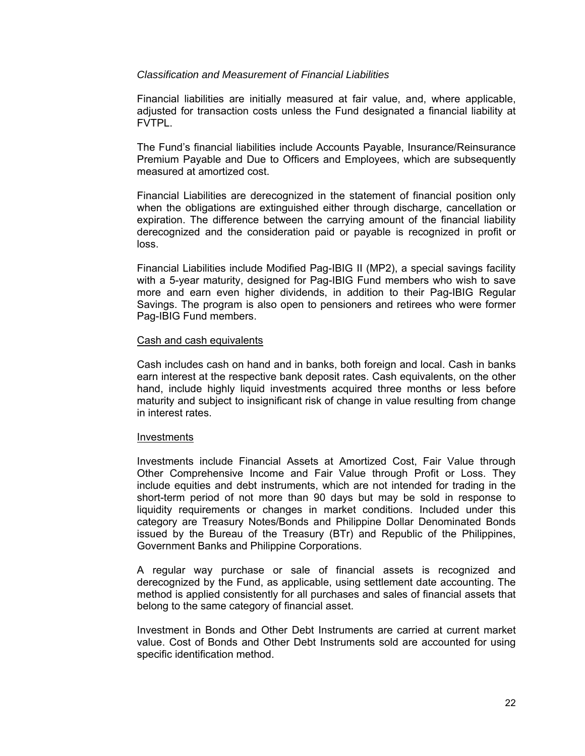### *Classification and Measurement of Financial Liabilities*

Financial liabilities are initially measured at fair value, and, where applicable, adjusted for transaction costs unless the Fund designated a financial liability at FVTPL.

The Fund's financial liabilities include Accounts Payable, Insurance/Reinsurance Premium Payable and Due to Officers and Employees, which are subsequently measured at amortized cost.

Financial Liabilities are derecognized in the statement of financial position only when the obligations are extinguished either through discharge, cancellation or expiration. The difference between the carrying amount of the financial liability derecognized and the consideration paid or payable is recognized in profit or loss.

Financial Liabilities include Modified Pag-IBIG II (MP2), a special savings facility with a 5-year maturity, designed for Pag-IBIG Fund members who wish to save more and earn even higher dividends, in addition to their Pag-IBIG Regular Savings. The program is also open to pensioners and retirees who were former Pag-IBIG Fund members.

### Cash and cash equivalents

Cash includes cash on hand and in banks, both foreign and local. Cash in banks earn interest at the respective bank deposit rates. Cash equivalents, on the other hand, include highly liquid investments acquired three months or less before maturity and subject to insignificant risk of change in value resulting from change in interest rates.

### Investments

Investments include Financial Assets at Amortized Cost, Fair Value through Other Comprehensive Income and Fair Value through Profit or Loss. They include equities and debt instruments, which are not intended for trading in the short-term period of not more than 90 days but may be sold in response to liquidity requirements or changes in market conditions. Included under this category are Treasury Notes/Bonds and Philippine Dollar Denominated Bonds issued by the Bureau of the Treasury (BTr) and Republic of the Philippines, Government Banks and Philippine Corporations.

A regular way purchase or sale of financial assets is recognized and derecognized by the Fund, as applicable, using settlement date accounting. The method is applied consistently for all purchases and sales of financial assets that belong to the same category of financial asset.

Investment in Bonds and Other Debt Instruments are carried at current market value. Cost of Bonds and Other Debt Instruments sold are accounted for using specific identification method.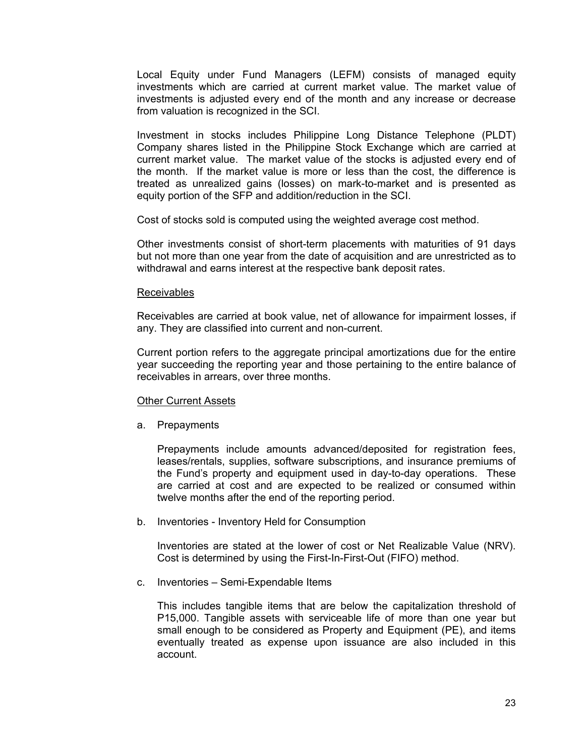Local Equity under Fund Managers (LEFM) consists of managed equity investments which are carried at current market value. The market value of investments is adjusted every end of the month and any increase or decrease from valuation is recognized in the SCI.

Investment in stocks includes Philippine Long Distance Telephone (PLDT) Company shares listed in the Philippine Stock Exchange which are carried at current market value. The market value of the stocks is adjusted every end of the month. If the market value is more or less than the cost, the difference is treated as unrealized gains (losses) on mark-to-market and is presented as equity portion of the SFP and addition/reduction in the SCI.

Cost of stocks sold is computed using the weighted average cost method.

Other investments consist of short-term placements with maturities of 91 days but not more than one year from the date of acquisition and are unrestricted as to withdrawal and earns interest at the respective bank deposit rates.

### Receivables

Receivables are carried at book value, net of allowance for impairment losses, if any. They are classified into current and non-current.

Current portion refers to the aggregate principal amortizations due for the entire year succeeding the reporting year and those pertaining to the entire balance of receivables in arrears, over three months.

### Other Current Assets

a. Prepayments

Prepayments include amounts advanced/deposited for registration fees, leases/rentals, supplies, software subscriptions, and insurance premiums of the Fund's property and equipment used in day-to-day operations. These are carried at cost and are expected to be realized or consumed within twelve months after the end of the reporting period.

b. Inventories - Inventory Held for Consumption

Inventories are stated at the lower of cost or Net Realizable Value (NRV). Cost is determined by using the First-In-First-Out (FIFO) method.

c. Inventories – Semi-Expendable Items

This includes tangible items that are below the capitalization threshold of P15,000. Tangible assets with serviceable life of more than one year but small enough to be considered as Property and Equipment (PE), and items eventually treated as expense upon issuance are also included in this account.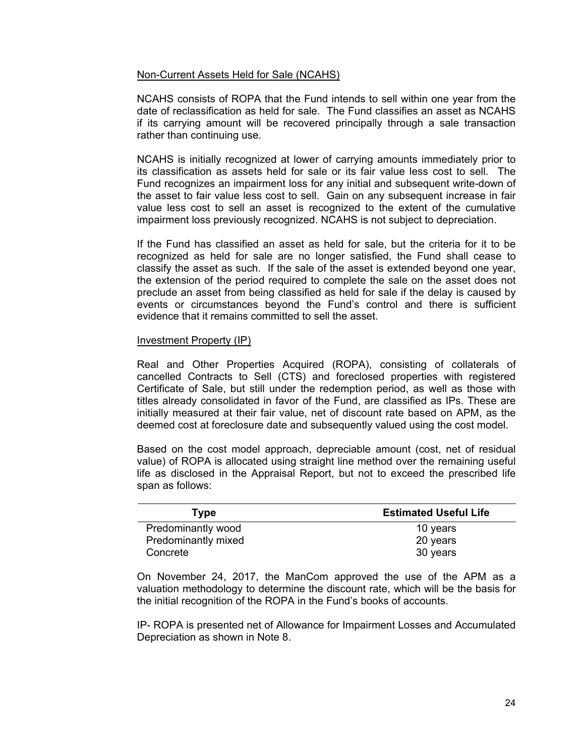### Non-Current Assets Held for Sale (NCAHS)

NCAHS consists of ROPA that the Fund intends to sell within one year from the date of reclassification as held for sale. The Fund classifies an asset as NCAHS if its carrying amount will be recovered principally through a sale transaction rather than continuing use.

NCAHS is initially recognized at lower of carrying amounts immediately prior to its classification as assets held for sale or its fair value less cost to sell. The Fund recognizes an impairment loss for any initial and subsequent write-down of the asset to fair value less cost to sell. Gain on any subsequent increase in fair value less cost to sell an asset is recognized to the extent of the cumulative impairment loss previously recognized. NCAHS is not subject to depreciation.

If the Fund has classified an asset as held for sale, but the criteria for it to be recognized as held for sale are no longer satisfied, the Fund shall cease to classify the asset as such. If the sale of the asset is extended beyond one year, the extension of the period required to complete the sale on the asset does not preclude an asset from being classified as held for sale if the delay is caused by events or circumstances beyond the Fund's control and there is sufficient evidence that it remains committed to sell the asset.

### Investment Property (IP)

Real and Other Properties Acquired (ROPA), consisting of collaterals of cancelled Contracts to Sell (CTS) and foreclosed properties with registered Certificate of Sale, but still under the redemption period, as well as those with titles already consolidated in favor of the Fund, are classified as IPs. These are initially measured at their fair value, net of discount rate based on APM, as the deemed cost at foreclosure date and subsequently valued using the cost model.

Based on the cost model approach, depreciable amount (cost, net of residual value) of ROPA is allocated using straight line method over the remaining useful life as disclosed in the Appraisal Report, but not to exceed the prescribed life span as follows:

| Tvpe                | <b>Estimated Useful Life</b> |
|---------------------|------------------------------|
| Predominantly wood  | 10 years                     |
| Predominantly mixed | 20 years                     |
| Concrete            | 30 years                     |

On November 24, 2017, the ManCom approved the use of the APM as a valuation methodology to determine the discount rate, which will be the basis for the initial recognition of the ROPA in the Fund's books of accounts.

IP- ROPA is presented net of Allowance for Impairment Losses and Accumulated Depreciation as shown in Note 8.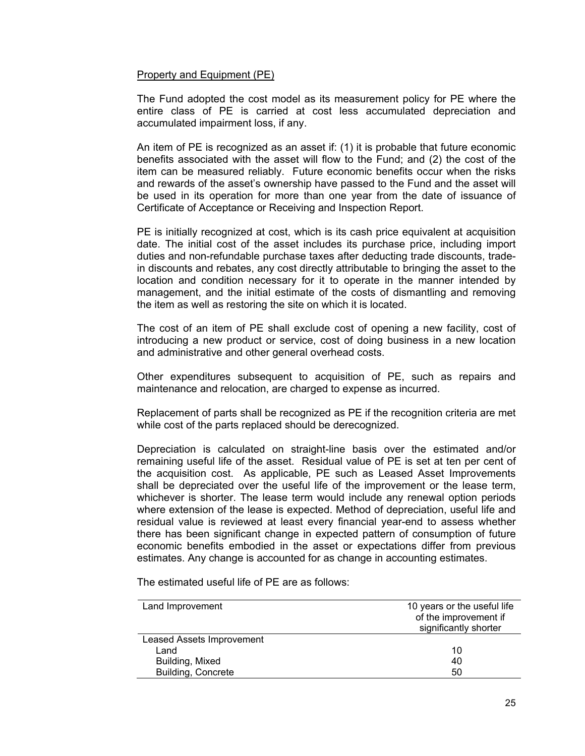### Property and Equipment (PE)

The Fund adopted the cost model as its measurement policy for PE where the entire class of PE is carried at cost less accumulated depreciation and accumulated impairment loss, if any.

An item of PE is recognized as an asset if: (1) it is probable that future economic benefits associated with the asset will flow to the Fund; and (2) the cost of the item can be measured reliably. Future economic benefits occur when the risks and rewards of the asset's ownership have passed to the Fund and the asset will be used in its operation for more than one year from the date of issuance of Certificate of Acceptance or Receiving and Inspection Report.

PE is initially recognized at cost, which is its cash price equivalent at acquisition date. The initial cost of the asset includes its purchase price, including import duties and non-refundable purchase taxes after deducting trade discounts, tradein discounts and rebates, any cost directly attributable to bringing the asset to the location and condition necessary for it to operate in the manner intended by management, and the initial estimate of the costs of dismantling and removing the item as well as restoring the site on which it is located.

The cost of an item of PE shall exclude cost of opening a new facility, cost of introducing a new product or service, cost of doing business in a new location and administrative and other general overhead costs.

Other expenditures subsequent to acquisition of PE, such as repairs and maintenance and relocation, are charged to expense as incurred.

Replacement of parts shall be recognized as PE if the recognition criteria are met while cost of the parts replaced should be derecognized.

Depreciation is calculated on straight-line basis over the estimated and/or remaining useful life of the asset. Residual value of PE is set at ten per cent of the acquisition cost. As applicable, PE such as Leased Asset Improvements shall be depreciated over the useful life of the improvement or the lease term, whichever is shorter. The lease term would include any renewal option periods where extension of the lease is expected. Method of depreciation, useful life and residual value is reviewed at least every financial year-end to assess whether there has been significant change in expected pattern of consumption of future economic benefits embodied in the asset or expectations differ from previous estimates. Any change is accounted for as change in accounting estimates.

The estimated useful life of PE are as follows:

| Land Improvement                 | 10 years or the useful life |
|----------------------------------|-----------------------------|
|                                  | of the improvement if       |
|                                  | significantly shorter       |
| <b>Leased Assets Improvement</b> |                             |
| Land                             | 10                          |
| Building, Mixed                  | 40                          |
| <b>Building, Concrete</b>        | 50                          |
|                                  |                             |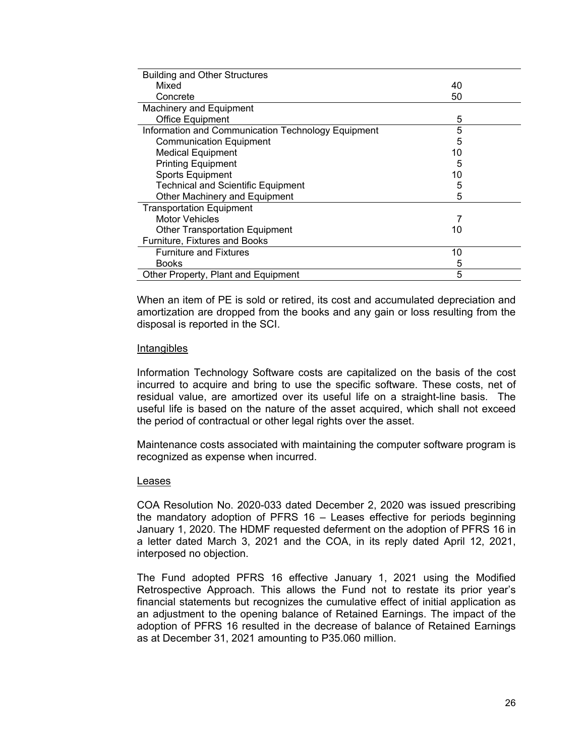| <b>Building and Other Structures</b>               |    |
|----------------------------------------------------|----|
| Mixed                                              | 40 |
| Concrete                                           | 50 |
| <b>Machinery and Equipment</b>                     |    |
| Office Equipment                                   | 5  |
| Information and Communication Technology Equipment | 5  |
| <b>Communication Equipment</b>                     | 5  |
| <b>Medical Equipment</b>                           | 10 |
| <b>Printing Equipment</b>                          | 5  |
| Sports Equipment                                   | 10 |
| <b>Technical and Scientific Equipment</b>          | 5  |
| Other Machinery and Equipment                      | 5  |
| <b>Transportation Equipment</b>                    |    |
| <b>Motor Vehicles</b>                              |    |
| <b>Other Transportation Equipment</b>              | 10 |
| Furniture, Fixtures and Books                      |    |
| <b>Furniture and Fixtures</b>                      | 10 |
| <b>Books</b>                                       | 5  |
| Other Property, Plant and Equipment                | 5  |

When an item of PE is sold or retired, its cost and accumulated depreciation and amortization are dropped from the books and any gain or loss resulting from the disposal is reported in the SCI.

### Intangibles

Information Technology Software costs are capitalized on the basis of the cost incurred to acquire and bring to use the specific software. These costs, net of residual value, are amortized over its useful life on a straight-line basis. The useful life is based on the nature of the asset acquired, which shall not exceed the period of contractual or other legal rights over the asset.

Maintenance costs associated with maintaining the computer software program is recognized as expense when incurred.

### Leases

COA Resolution No. 2020-033 dated December 2, 2020 was issued prescribing the mandatory adoption of PFRS 16 – Leases effective for periods beginning January 1, 2020. The HDMF requested deferment on the adoption of PFRS 16 in a letter dated March 3, 2021 and the COA, in its reply dated April 12, 2021, interposed no objection.

The Fund adopted PFRS 16 effective January 1, 2021 using the Modified Retrospective Approach. This allows the Fund not to restate its prior year's financial statements but recognizes the cumulative effect of initial application as an adjustment to the opening balance of Retained Earnings. The impact of the adoption of PFRS 16 resulted in the decrease of balance of Retained Earnings as at December 31, 2021 amounting to P35.060 million.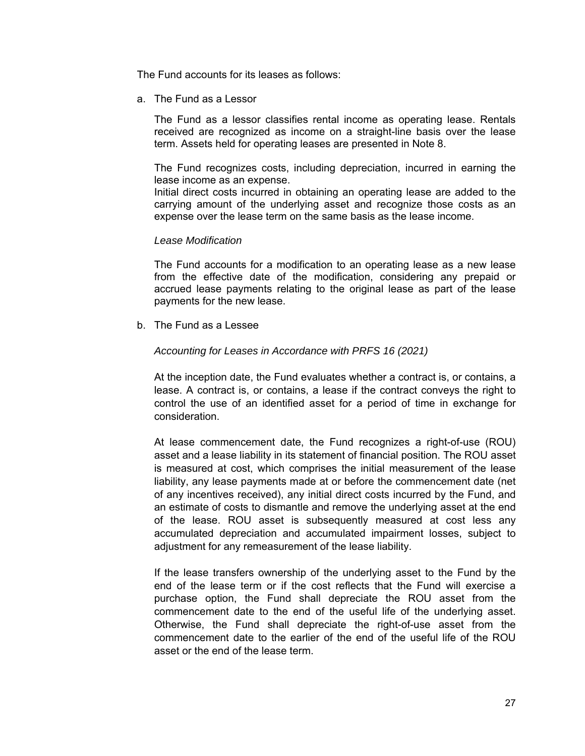The Fund accounts for its leases as follows:

a. The Fund as a Lessor

The Fund as a lessor classifies rental income as operating lease. Rentals received are recognized as income on a straight-line basis over the lease term. Assets held for operating leases are presented in Note 8.

The Fund recognizes costs, including depreciation, incurred in earning the lease income as an expense.

Initial direct costs incurred in obtaining an operating lease are added to the carrying amount of the underlying asset and recognize those costs as an expense over the lease term on the same basis as the lease income.

### *Lease Modification*

The Fund accounts for a modification to an operating lease as a new lease from the effective date of the modification, considering any prepaid or accrued lease payments relating to the original lease as part of the lease payments for the new lease.

b. The Fund as a Lessee

### *Accounting for Leases in Accordance with PRFS 16 (2021)*

At the inception date, the Fund evaluates whether a contract is, or contains, a lease. A contract is, or contains, a lease if the contract conveys the right to control the use of an identified asset for a period of time in exchange for consideration.

At lease commencement date, the Fund recognizes a right-of-use (ROU) asset and a lease liability in its statement of financial position. The ROU asset is measured at cost, which comprises the initial measurement of the lease liability, any lease payments made at or before the commencement date (net of any incentives received), any initial direct costs incurred by the Fund, and an estimate of costs to dismantle and remove the underlying asset at the end of the lease. ROU asset is subsequently measured at cost less any accumulated depreciation and accumulated impairment losses, subject to adjustment for any remeasurement of the lease liability.

If the lease transfers ownership of the underlying asset to the Fund by the end of the lease term or if the cost reflects that the Fund will exercise a purchase option, the Fund shall depreciate the ROU asset from the commencement date to the end of the useful life of the underlying asset. Otherwise, the Fund shall depreciate the right-of-use asset from the commencement date to the earlier of the end of the useful life of the ROU asset or the end of the lease term.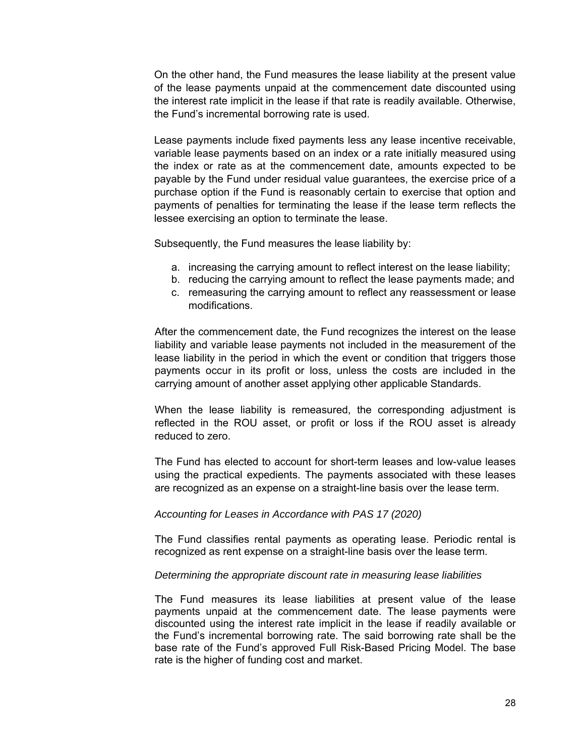On the other hand, the Fund measures the lease liability at the present value of the lease payments unpaid at the commencement date discounted using the interest rate implicit in the lease if that rate is readily available. Otherwise, the Fund's incremental borrowing rate is used.

Lease payments include fixed payments less any lease incentive receivable, variable lease payments based on an index or a rate initially measured using the index or rate as at the commencement date, amounts expected to be payable by the Fund under residual value guarantees, the exercise price of a purchase option if the Fund is reasonably certain to exercise that option and payments of penalties for terminating the lease if the lease term reflects the lessee exercising an option to terminate the lease.

Subsequently, the Fund measures the lease liability by:

- a. increasing the carrying amount to reflect interest on the lease liability;
- b. reducing the carrying amount to reflect the lease payments made; and
- c. remeasuring the carrying amount to reflect any reassessment or lease modifications.

After the commencement date, the Fund recognizes the interest on the lease liability and variable lease payments not included in the measurement of the lease liability in the period in which the event or condition that triggers those payments occur in its profit or loss, unless the costs are included in the carrying amount of another asset applying other applicable Standards.

When the lease liability is remeasured, the corresponding adjustment is reflected in the ROU asset, or profit or loss if the ROU asset is already reduced to zero.

The Fund has elected to account for short-term leases and low-value leases using the practical expedients. The payments associated with these leases are recognized as an expense on a straight-line basis over the lease term.

### *Accounting for Leases in Accordance with PAS 17 (2020)*

The Fund classifies rental payments as operating lease. Periodic rental is recognized as rent expense on a straight-line basis over the lease term.

### *Determining the appropriate discount rate in measuring lease liabilities*

The Fund measures its lease liabilities at present value of the lease payments unpaid at the commencement date. The lease payments were discounted using the interest rate implicit in the lease if readily available or the Fund's incremental borrowing rate. The said borrowing rate shall be the base rate of the Fund's approved Full Risk-Based Pricing Model. The base rate is the higher of funding cost and market.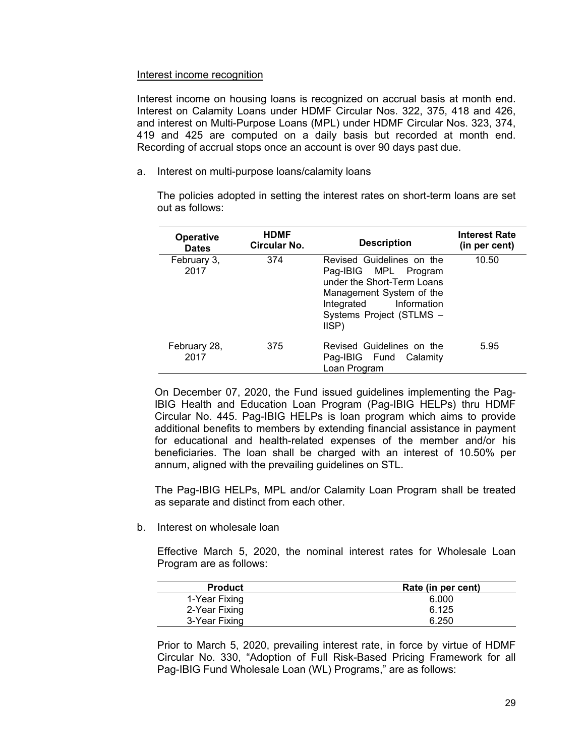### Interest income recognition

Interest income on housing loans is recognized on accrual basis at month end. Interest on Calamity Loans under HDMF Circular Nos. 322, 375, 418 and 426, and interest on Multi-Purpose Loans (MPL) under HDMF Circular Nos. 323, 374, 419 and 425 are computed on a daily basis but recorded at month end. Recording of accrual stops once an account is over 90 days past due.

a. Interest on multi-purpose loans/calamity loans

The policies adopted in setting the interest rates on short-term loans are set out as follows:

| <b>Operative</b><br><b>Dates</b> | <b>HDMF</b><br>Circular No. | <b>Description</b>                                                                                                                                                         | <b>Interest Rate</b><br>(in per cent) |
|----------------------------------|-----------------------------|----------------------------------------------------------------------------------------------------------------------------------------------------------------------------|---------------------------------------|
| February 3,<br>2017              | 374                         | Revised Guidelines on the<br>Pag-IBIG MPL Program<br>under the Short-Term Loans<br>Management System of the<br>Integrated Information<br>Systems Project (STLMS -<br>IISP) | 10.50                                 |
| February 28,<br>2017             | 375                         | Revised Guidelines on the<br>Pag-IBIG Fund Calamity<br>Loan Program                                                                                                        | 5.95                                  |

On December 07, 2020, the Fund issued guidelines implementing the Pag-IBIG Health and Education Loan Program (Pag-IBIG HELPs) thru HDMF Circular No. 445. Pag-IBIG HELPs is loan program which aims to provide additional benefits to members by extending financial assistance in payment for educational and health-related expenses of the member and/or his beneficiaries. The loan shall be charged with an interest of 10.50% per annum, aligned with the prevailing guidelines on STL.

The Pag-IBIG HELPs, MPL and/or Calamity Loan Program shall be treated as separate and distinct from each other.

b. Interest on wholesale loan

Effective March 5, 2020, the nominal interest rates for Wholesale Loan Program are as follows:

| <b>Product</b> | Rate (in per cent) |
|----------------|--------------------|
| 1-Year Fixing  | 6.000              |
| 2-Year Fixing  | 6.125              |
| 3-Year Fixing  | 6.250              |

Prior to March 5, 2020, prevailing interest rate, in force by virtue of HDMF Circular No. 330, "Adoption of Full Risk-Based Pricing Framework for all Pag-IBIG Fund Wholesale Loan (WL) Programs," are as follows: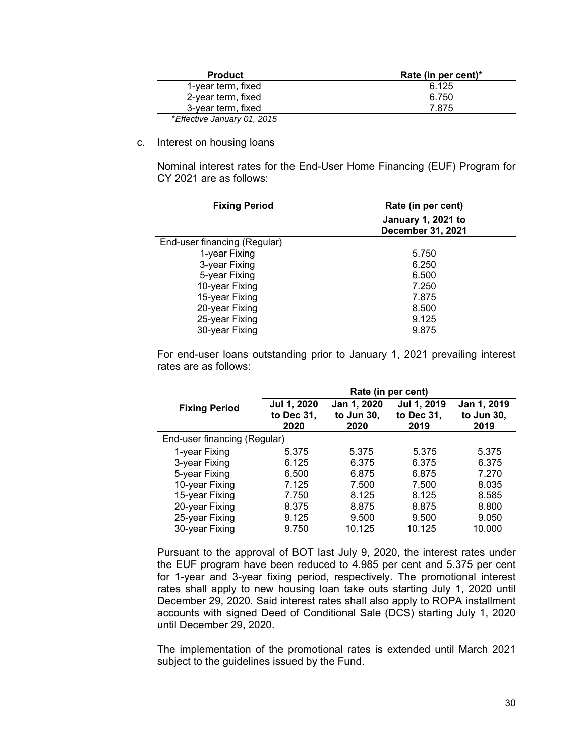| <b>Product</b>              | Rate (in per cent)* |
|-----------------------------|---------------------|
| 1-year term, fixed          | 6.125               |
| 2-year term, fixed          | 6.750               |
| 3-year term, fixed          | 7.875               |
| *Effective January 01, 2015 |                     |

c. Interest on housing loans

Nominal interest rates for the End-User Home Financing (EUF) Program for CY 2021 are as follows:

| <b>Fixing Period</b>         | Rate (in per cent)                             |  |
|------------------------------|------------------------------------------------|--|
|                              | <b>January 1, 2021 to</b><br>December 31, 2021 |  |
| End-user financing (Regular) |                                                |  |
| 1-year Fixing                | 5.750                                          |  |
| 3-year Fixing                | 6.250                                          |  |
| 5-year Fixing                | 6.500                                          |  |
| 10-year Fixing               | 7.250                                          |  |
| 15-year Fixing               | 7.875                                          |  |
| 20-year Fixing               | 8.500                                          |  |
| 25-year Fixing               | 9.125                                          |  |
| 30-year Fixing               | 9.875                                          |  |

For end-user loans outstanding prior to January 1, 2021 prevailing interest rates are as follows:

|                              | Rate (in per cent)                |                                   |                                   |                                   |
|------------------------------|-----------------------------------|-----------------------------------|-----------------------------------|-----------------------------------|
| <b>Fixing Period</b>         | Jul 1, 2020<br>to Dec 31,<br>2020 | Jan 1, 2020<br>to Jun 30,<br>2020 | Jul 1, 2019<br>to Dec 31,<br>2019 | Jan 1, 2019<br>to Jun 30,<br>2019 |
| End-user financing (Regular) |                                   |                                   |                                   |                                   |
| 1-year Fixing                | 5.375                             | 5.375                             | 5.375                             | 5.375                             |
| 3-year Fixing                | 6.125                             | 6.375                             | 6.375                             | 6.375                             |
| 5-year Fixing                | 6.500                             | 6.875                             | 6.875                             | 7.270                             |
| 10-year Fixing               | 7.125                             | 7.500                             | 7.500                             | 8.035                             |
| 15-year Fixing               | 7.750                             | 8.125                             | 8.125                             | 8.585                             |
| 20-year Fixing               | 8.375                             | 8.875                             | 8.875                             | 8.800                             |
| 25-year Fixing               | 9.125                             | 9.500                             | 9.500                             | 9.050                             |
| 30-year Fixing               | 9.750                             | 10.125                            | 10.125                            | 10.000                            |

Pursuant to the approval of BOT last July 9, 2020, the interest rates under the EUF program have been reduced to 4.985 per cent and 5.375 per cent for 1-year and 3-year fixing period, respectively. The promotional interest rates shall apply to new housing loan take outs starting July 1, 2020 until December 29, 2020. Said interest rates shall also apply to ROPA installment accounts with signed Deed of Conditional Sale (DCS) starting July 1, 2020 until December 29, 2020.

The implementation of the promotional rates is extended until March 2021 subject to the guidelines issued by the Fund.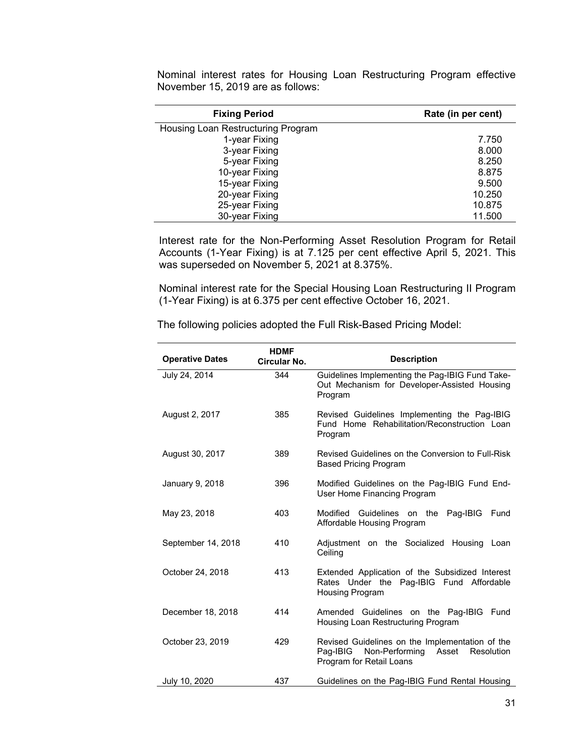| <b>Fixing Period</b>               | Rate (in per cent) |
|------------------------------------|--------------------|
| Housing Loan Restructuring Program |                    |
| 1-year Fixing                      | 7.750              |
| 3-year Fixing                      | 8.000              |
| 5-year Fixing                      | 8.250              |
| 10-year Fixing                     | 8.875              |
| 15-year Fixing                     | 9.500              |
| 20-year Fixing                     | 10.250             |
| 25-year Fixing                     | 10.875             |
| 30-year Fixing                     | 11.500             |

Nominal interest rates for Housing Loan Restructuring Program effective November 15, 2019 are as follows:

Interest rate for the Non-Performing Asset Resolution Program for Retail Accounts (1-Year Fixing) is at 7.125 per cent effective April 5, 2021. This was superseded on November 5, 2021 at 8.375%.

Nominal interest rate for the Special Housing Loan Restructuring II Program (1-Year Fixing) is at 6.375 per cent effective October 16, 2021.

| <b>Operative Dates</b> | <b>HDMF</b><br>Circular No. | <b>Description</b>                                                                                                               |
|------------------------|-----------------------------|----------------------------------------------------------------------------------------------------------------------------------|
| July 24, 2014          | 344                         | Guidelines Implementing the Pag-IBIG Fund Take-<br>Out Mechanism for Developer-Assisted Housing<br>Program                       |
| August 2, 2017         | 385                         | Revised Guidelines Implementing the Pag-IBIG<br>Fund Home Rehabilitation/Reconstruction Loan<br>Program                          |
| August 30, 2017        | 389                         | Revised Guidelines on the Conversion to Full-Risk<br><b>Based Pricing Program</b>                                                |
| January 9, 2018        | 396                         | Modified Guidelines on the Pag-IBIG Fund End-<br>User Home Financing Program                                                     |
| May 23, 2018           | 403                         | Modified Guidelines on the<br>Pag-IBIG<br>Fund<br>Affordable Housing Program                                                     |
| September 14, 2018     | 410                         | Adjustment on the Socialized Housing Loan<br>Ceiling                                                                             |
| October 24, 2018       | 413                         | Extended Application of the Subsidized Interest<br>Rates Under the Pag-IBIG Fund Affordable<br>Housing Program                   |
| December 18, 2018      | 414                         | Amended Guidelines on the Pag-IBIG Fund<br>Housing Loan Restructuring Program                                                    |
| October 23, 2019       | 429                         | Revised Guidelines on the Implementation of the<br>Pag-IBIG<br>Non-Performing<br>Asset<br>Resolution<br>Program for Retail Loans |
| July 10, 2020          | 437                         | Guidelines on the Pag-IBIG Fund Rental Housing                                                                                   |

The following policies adopted the Full Risk-Based Pricing Model: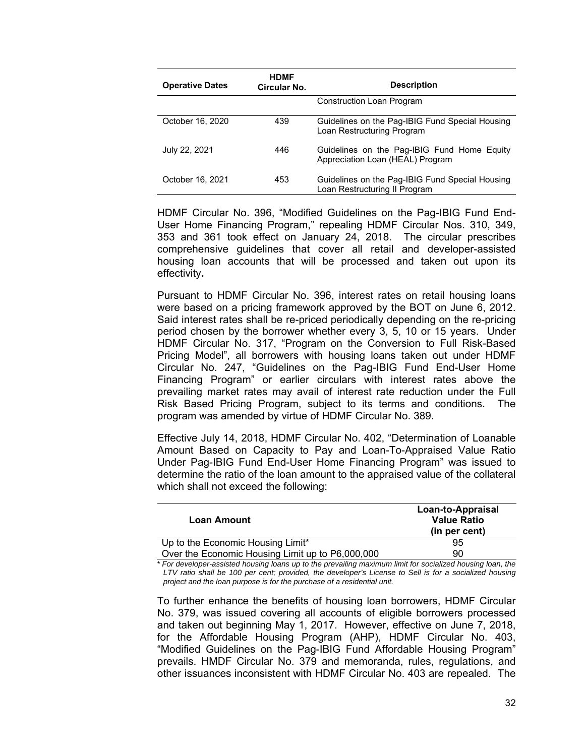| <b>Operative Dates</b> | <b>HDMF</b><br>Circular No. | <b>Description</b>                                                               |
|------------------------|-----------------------------|----------------------------------------------------------------------------------|
|                        |                             | <b>Construction Loan Program</b>                                                 |
| October 16, 2020       | 439                         | Guidelines on the Pag-IBIG Fund Special Housing<br>Loan Restructuring Program    |
| July 22, 2021          | 446                         | Guidelines on the Pag-IBIG Fund Home Equity<br>Appreciation Loan (HEAL) Program  |
| October 16, 2021       | 453                         | Guidelines on the Pag-IBIG Fund Special Housing<br>Loan Restructuring II Program |

HDMF Circular No. 396, "Modified Guidelines on the Pag-IBIG Fund End-User Home Financing Program," repealing HDMF Circular Nos. 310, 349, 353 and 361 took effect on January 24, 2018. The circular prescribes comprehensive guidelines that cover all retail and developer-assisted housing loan accounts that will be processed and taken out upon its effectivity**.** 

Pursuant to HDMF Circular No. 396, interest rates on retail housing loans were based on a pricing framework approved by the BOT on June 6, 2012. Said interest rates shall be re-priced periodically depending on the re-pricing period chosen by the borrower whether every 3, 5, 10 or 15 years. Under HDMF Circular No. 317, "Program on the Conversion to Full Risk-Based Pricing Model", all borrowers with housing loans taken out under HDMF Circular No. 247, "Guidelines on the Pag-IBIG Fund End-User Home Financing Program" or earlier circulars with interest rates above the prevailing market rates may avail of interest rate reduction under the Full Risk Based Pricing Program, subject to its terms and conditions. The program was amended by virtue of HDMF Circular No. 389.

Effective July 14, 2018, HDMF Circular No. 402, "Determination of Loanable Amount Based on Capacity to Pay and Loan-To-Appraised Value Ratio Under Pag-IBIG Fund End-User Home Financing Program" was issued to determine the ratio of the loan amount to the appraised value of the collateral which shall not exceed the following:

| <b>Loan Amount</b>                               | Loan-to-Appraisal<br><b>Value Ratio</b><br>(in per cent) |
|--------------------------------------------------|----------------------------------------------------------|
| Up to the Economic Housing Limit*                | 95                                                       |
| Over the Economic Housing Limit up to P6,000,000 | 90                                                       |

 *\* For developer-assisted housing loans up to the prevailing maximum limit for socialized housing loan, the LTV ratio shall be 100 per cent; provided, the developer's License to Sell is for a socialized housing project and the loan purpose is for the purchase of a residential unit.* 

To further enhance the benefits of housing loan borrowers, HDMF Circular No. 379, was issued covering all accounts of eligible borrowers processed and taken out beginning May 1, 2017. However, effective on June 7, 2018, for the Affordable Housing Program (AHP), HDMF Circular No. 403, "Modified Guidelines on the Pag-IBIG Fund Affordable Housing Program" prevails. HMDF Circular No. 379 and memoranda, rules, regulations, and other issuances inconsistent with HDMF Circular No. 403 are repealed. The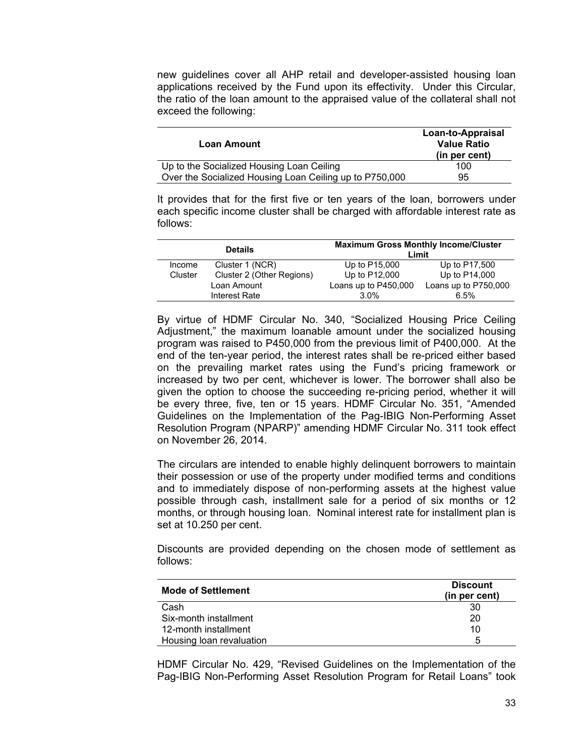new guidelines cover all AHP retail and developer-assisted housing loan applications received by the Fund upon its effectivity. Under this Circular, the ratio of the loan amount to the appraised value of the collateral shall not exceed the following:

| Loan Amount                                             | Loan-to-Appraisal<br><b>Value Ratio</b><br>(in per cent) |
|---------------------------------------------------------|----------------------------------------------------------|
| Up to the Socialized Housing Loan Ceiling               | 100                                                      |
| Over the Socialized Housing Loan Ceiling up to P750,000 | 95                                                       |

It provides that for the first five or ten years of the loan, borrowers under each specific income cluster shall be charged with affordable interest rate as follows:

| <b>Details</b> |                           | <b>Maximum Gross Monthly Income/Cluster</b><br>Limit |                      |
|----------------|---------------------------|------------------------------------------------------|----------------------|
| Income         | Cluster 1 (NCR)           | Up to P15,000                                        | Up to P17,500        |
| Cluster        | Cluster 2 (Other Regions) | Up to P12,000                                        | Up to P14,000        |
|                | Loan Amount               | Loans up to P450,000                                 | Loans up to P750,000 |
|                | Interest Rate             | 3.0%                                                 | 6.5%                 |

By virtue of HDMF Circular No. 340, "Socialized Housing Price Ceiling Adjustment," the maximum loanable amount under the socialized housing program was raised to P450,000 from the previous limit of P400,000. At the end of the ten-year period, the interest rates shall be re-priced either based on the prevailing market rates using the Fund's pricing framework or increased by two per cent, whichever is lower. The borrower shall also be given the option to choose the succeeding re-pricing period, whether it will be every three, five, ten or 15 years. HDMF Circular No. 351, "Amended Guidelines on the Implementation of the Pag-IBIG Non-Performing Asset Resolution Program (NPARP)" amending HDMF Circular No. 311 took effect on November 26, 2014.

The circulars are intended to enable highly delinquent borrowers to maintain their possession or use of the property under modified terms and conditions and to immediately dispose of non-performing assets at the highest value possible through cash, installment sale for a period of six months or 12 months, or through housing loan. Nominal interest rate for installment plan is set at 10.250 per cent.

Discounts are provided depending on the chosen mode of settlement as follows:

| <b>Mode of Settlement</b> | <b>Discount</b><br>(in per cent) |  |
|---------------------------|----------------------------------|--|
| Cash                      | 30                               |  |
| Six-month installment     | 20                               |  |
| 12-month installment      | 10                               |  |
| Housing loan revaluation  | 5                                |  |

HDMF Circular No. 429, "Revised Guidelines on the Implementation of the Pag-IBIG Non-Performing Asset Resolution Program for Retail Loans" took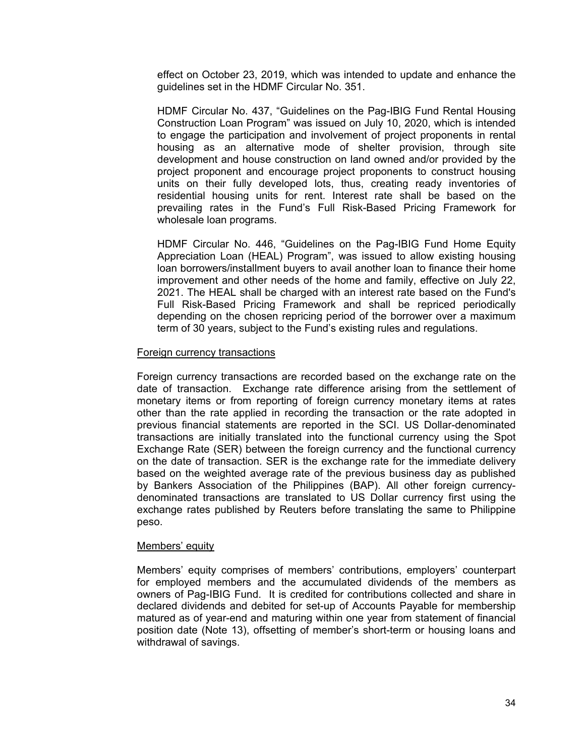effect on October 23, 2019, which was intended to update and enhance the guidelines set in the HDMF Circular No. 351.

HDMF Circular No. 437, "Guidelines on the Pag-IBIG Fund Rental Housing Construction Loan Program" was issued on July 10, 2020, which is intended to engage the participation and involvement of project proponents in rental housing as an alternative mode of shelter provision, through site development and house construction on land owned and/or provided by the project proponent and encourage project proponents to construct housing units on their fully developed lots, thus, creating ready inventories of residential housing units for rent. Interest rate shall be based on the prevailing rates in the Fund's Full Risk-Based Pricing Framework for wholesale loan programs.

HDMF Circular No. 446, "Guidelines on the Pag-IBIG Fund Home Equity Appreciation Loan (HEAL) Program", was issued to allow existing housing loan borrowers/installment buyers to avail another loan to finance their home improvement and other needs of the home and family, effective on July 22, 2021. The HEAL shall be charged with an interest rate based on the Fund's Full Risk-Based Pricing Framework and shall be repriced periodically depending on the chosen repricing period of the borrower over a maximum term of 30 years, subject to the Fund's existing rules and regulations.

### Foreign currency transactions

Foreign currency transactions are recorded based on the exchange rate on the date of transaction. Exchange rate difference arising from the settlement of monetary items or from reporting of foreign currency monetary items at rates other than the rate applied in recording the transaction or the rate adopted in previous financial statements are reported in the SCI. US Dollar-denominated transactions are initially translated into the functional currency using the Spot Exchange Rate (SER) between the foreign currency and the functional currency on the date of transaction. SER is the exchange rate for the immediate delivery based on the weighted average rate of the previous business day as published by Bankers Association of the Philippines (BAP). All other foreign currencydenominated transactions are translated to US Dollar currency first using the exchange rates published by Reuters before translating the same to Philippine peso.

### Members' equity

Members' equity comprises of members' contributions, employers' counterpart for employed members and the accumulated dividends of the members as owners of Pag-IBIG Fund. It is credited for contributions collected and share in declared dividends and debited for set-up of Accounts Payable for membership matured as of year-end and maturing within one year from statement of financial position date (Note 13), offsetting of member's short-term or housing loans and withdrawal of savings.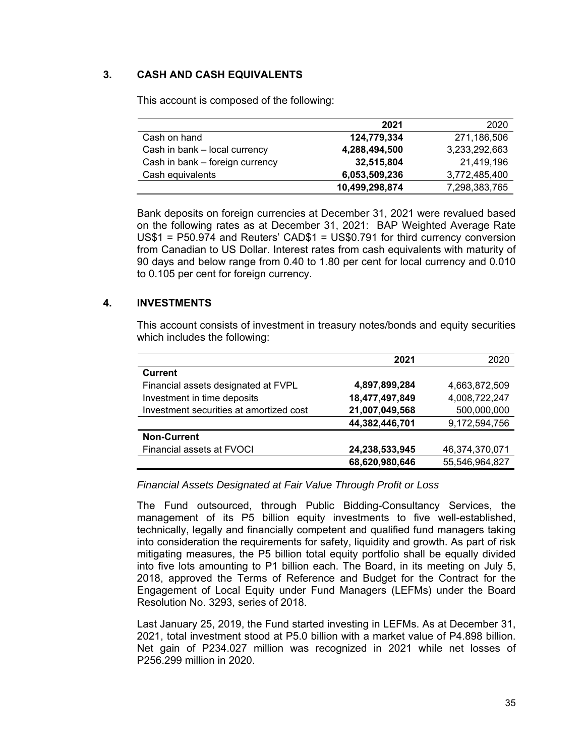# **3. CASH AND CASH EQUIVALENTS**

|                                 | 2021           | 2020          |
|---------------------------------|----------------|---------------|
| Cash on hand                    | 124,779,334    | 271,186,506   |
| Cash in bank - local currency   | 4,288,494,500  | 3,233,292,663 |
| Cash in bank - foreign currency | 32,515,804     | 21,419,196    |
| Cash equivalents                | 6,053,509,236  | 3,772,485,400 |
|                                 | 10,499,298,874 | 7,298,383,765 |

This account is composed of the following:

Bank deposits on foreign currencies at December 31, 2021 were revalued based on the following rates as at December 31, 2021: BAP Weighted Average Rate US\$1 = P50.974 and Reuters' CAD\$1 = US\$0.791 for third currency conversion from Canadian to US Dollar. Interest rates from cash equivalents with maturity of 90 days and below range from 0.40 to 1.80 per cent for local currency and 0.010 to 0.105 per cent for foreign currency.

# **4. INVESTMENTS**

This account consists of investment in treasury notes/bonds and equity securities which includes the following:

|                                         | 2021           | 2020           |
|-----------------------------------------|----------------|----------------|
| <b>Current</b>                          |                |                |
| Financial assets designated at FVPL     | 4,897,899,284  | 4,663,872,509  |
| Investment in time deposits             | 18,477,497,849 | 4,008,722,247  |
| Investment securities at amortized cost | 21,007,049,568 | 500,000,000    |
|                                         | 44,382,446,701 | 9,172,594,756  |
| <b>Non-Current</b>                      |                |                |
| Financial assets at FVOCI               | 24,238,533,945 | 46,374,370,071 |
|                                         | 68,620,980,646 | 55,546,964,827 |

*Financial Assets Designated at Fair Value Through Profit or Loss* 

The Fund outsourced, through Public Bidding-Consultancy Services, the management of its P5 billion equity investments to five well-established, technically, legally and financially competent and qualified fund managers taking into consideration the requirements for safety, liquidity and growth. As part of risk mitigating measures, the P5 billion total equity portfolio shall be equally divided into five lots amounting to P1 billion each. The Board, in its meeting on July 5, 2018, approved the Terms of Reference and Budget for the Contract for the Engagement of Local Equity under Fund Managers (LEFMs) under the Board Resolution No. 3293, series of 2018.

Last January 25, 2019, the Fund started investing in LEFMs. As at December 31, 2021, total investment stood at P5.0 billion with a market value of P4.898 billion. Net gain of P234.027 million was recognized in 2021 while net losses of P256.299 million in 2020.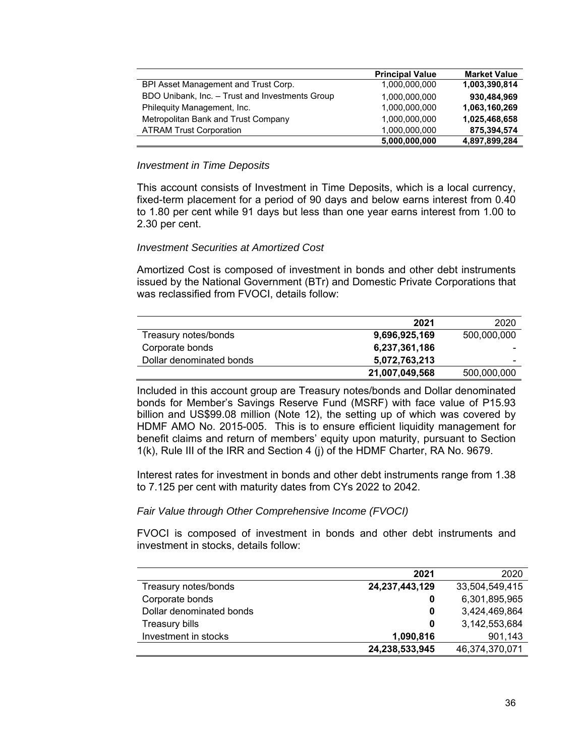|                                                 | <b>Principal Value</b> | <b>Market Value</b> |
|-------------------------------------------------|------------------------|---------------------|
| BPI Asset Management and Trust Corp.            | 1,000,000,000          | 1,003,390,814       |
| BDO Unibank, Inc. - Trust and Investments Group | 1,000,000,000          | 930,484,969         |
| Phileguity Management, Inc.                     | 1,000,000,000          | 1,063,160,269       |
| Metropolitan Bank and Trust Company             | 1,000,000,000          | 1,025,468,658       |
| <b>ATRAM Trust Corporation</b>                  | 1,000,000,000          | 875,394,574         |
|                                                 | 5,000,000,000          | 4,897,899,284       |

### *Investment in Time Deposits*

This account consists of Investment in Time Deposits, which is a local currency, fixed-term placement for a period of 90 days and below earns interest from 0.40 to 1.80 per cent while 91 days but less than one year earns interest from 1.00 to 2.30 per cent.

### *Investment Securities at Amortized Cost*

Amortized Cost is composed of investment in bonds and other debt instruments issued by the National Government (BTr) and Domestic Private Corporations that was reclassified from FVOCI, details follow:

|                          | 2021           | 2020        |
|--------------------------|----------------|-------------|
| Treasury notes/bonds     | 9,696,925,169  | 500,000,000 |
| Corporate bonds          | 6,237,361,186  | -           |
| Dollar denominated bonds | 5,072,763,213  | -           |
|                          | 21,007,049,568 | 500,000,000 |

Included in this account group are Treasury notes/bonds and Dollar denominated bonds for Member's Savings Reserve Fund (MSRF) with face value of P15.93 billion and US\$99.08 million (Note 12), the setting up of which was covered by HDMF AMO No. 2015-005. This is to ensure efficient liquidity management for benefit claims and return of members' equity upon maturity, pursuant to Section 1(k), Rule III of the IRR and Section 4 (j) of the HDMF Charter, RA No. 9679.

Interest rates for investment in bonds and other debt instruments range from 1.38 to 7.125 per cent with maturity dates from CYs 2022 to 2042.

### *Fair Value through Other Comprehensive Income (FVOCI)*

FVOCI is composed of investment in bonds and other debt instruments and investment in stocks, details follow:

|                          | 2021              | 2020           |
|--------------------------|-------------------|----------------|
| Treasury notes/bonds     | 24, 237, 443, 129 | 33,504,549,415 |
| Corporate bonds          | 0                 | 6,301,895,965  |
| Dollar denominated bonds | 0                 | 3,424,469,864  |
| Treasury bills           | 0                 | 3,142,553,684  |
| Investment in stocks     | 1,090,816         | 901,143        |
|                          | 24,238,533,945    | 46,374,370,071 |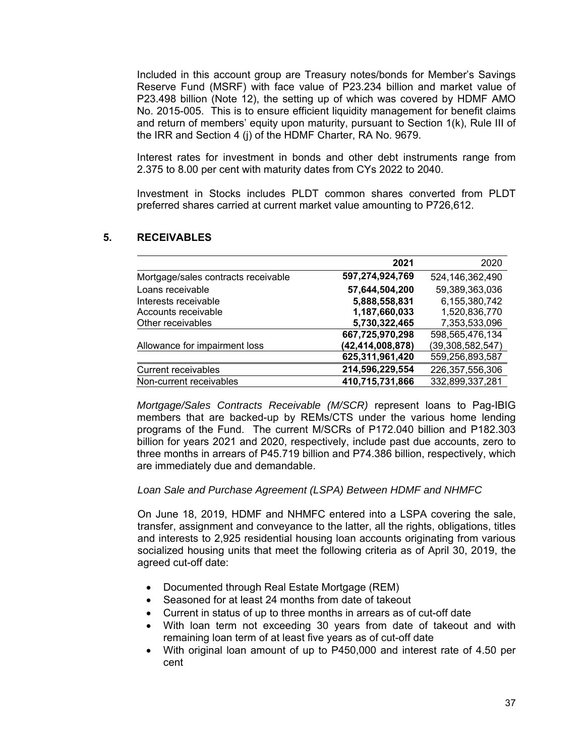Included in this account group are Treasury notes/bonds for Member's Savings Reserve Fund (MSRF) with face value of P23.234 billion and market value of P23.498 billion (Note 12), the setting up of which was covered by HDMF AMO No. 2015-005. This is to ensure efficient liquidity management for benefit claims and return of members' equity upon maturity, pursuant to Section 1(k), Rule III of the IRR and Section 4 (j) of the HDMF Charter, RA No. 9679.

Interest rates for investment in bonds and other debt instruments range from 2.375 to 8.00 per cent with maturity dates from CYs 2022 to 2040.

Investment in Stocks includes PLDT common shares converted from PLDT preferred shares carried at current market value amounting to P726,612.

# **5. RECEIVABLES**

|                                     | 2021             | 2020                |
|-------------------------------------|------------------|---------------------|
| Mortgage/sales contracts receivable | 597,274,924,769  | 524,146,362,490     |
| Loans receivable                    | 57,644,504,200   | 59,389,363,036      |
| Interests receivable                | 5,888,558,831    | 6,155,380,742       |
| Accounts receivable                 | 1,187,660,033    | 1,520,836,770       |
| Other receivables                   | 5,730,322,465    | 7,353,533,096       |
|                                     | 667,725,970,298  | 598,565,476,134     |
| Allowance for impairment loss       | (42,414,008,878) | (39, 308, 582, 547) |
|                                     | 625,311,961,420  | 559,256,893,587     |
| <b>Current receivables</b>          | 214,596,229,554  | 226,357,556,306     |
| Non-current receivables             | 410,715,731,866  | 332,899,337,281     |

*Mortgage/Sales Contracts Receivable (M/SCR)* represent loans to Pag-IBIG members that are backed-up by REMs/CTS under the various home lending programs of the Fund. The current M/SCRs of P172.040 billion and P182.303 billion for years 2021 and 2020, respectively, include past due accounts, zero to three months in arrears of P45.719 billion and P74.386 billion, respectively, which are immediately due and demandable.

### *Loan Sale and Purchase Agreement (LSPA) Between HDMF and NHMFC*

On June 18, 2019, HDMF and NHMFC entered into a LSPA covering the sale, transfer, assignment and conveyance to the latter, all the rights, obligations, titles and interests to 2,925 residential housing loan accounts originating from various socialized housing units that meet the following criteria as of April 30, 2019, the agreed cut-off date:

- Documented through Real Estate Mortgage (REM)
- Seasoned for at least 24 months from date of takeout
- Current in status of up to three months in arrears as of cut-off date
- With loan term not exceeding 30 years from date of takeout and with remaining loan term of at least five years as of cut-off date
- With original loan amount of up to P450,000 and interest rate of 4.50 per cent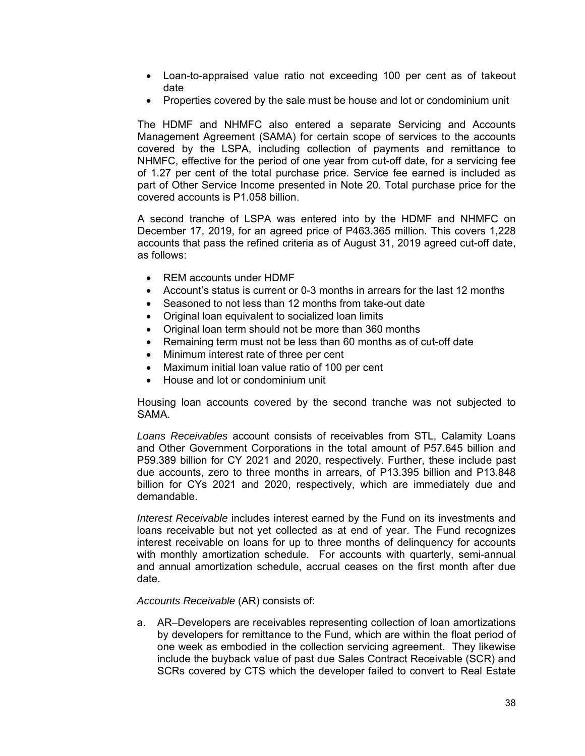- Loan-to-appraised value ratio not exceeding 100 per cent as of takeout date
- Properties covered by the sale must be house and lot or condominium unit

The HDMF and NHMFC also entered a separate Servicing and Accounts Management Agreement (SAMA) for certain scope of services to the accounts covered by the LSPA, including collection of payments and remittance to NHMFC, effective for the period of one year from cut-off date, for a servicing fee of 1.27 per cent of the total purchase price. Service fee earned is included as part of Other Service Income presented in Note 20. Total purchase price for the covered accounts is P1.058 billion.

A second tranche of LSPA was entered into by the HDMF and NHMFC on December 17, 2019, for an agreed price of P463.365 million. This covers 1,228 accounts that pass the refined criteria as of August 31, 2019 agreed cut-off date, as follows:

- REM accounts under HDMF
- Account's status is current or 0-3 months in arrears for the last 12 months
- Seasoned to not less than 12 months from take-out date
- Original loan equivalent to socialized loan limits
- Original loan term should not be more than 360 months
- Remaining term must not be less than 60 months as of cut-off date
- Minimum interest rate of three per cent
- Maximum initial loan value ratio of 100 per cent
- House and lot or condominium unit

Housing loan accounts covered by the second tranche was not subjected to SAMA.

*Loans Receivables* account consists of receivables from STL, Calamity Loans and Other Government Corporations in the total amount of P57.645 billion and P59.389 billion for CY 2021 and 2020, respectively. Further, these include past due accounts, zero to three months in arrears, of P13.395 billion and P13.848 billion for CYs 2021 and 2020, respectively, which are immediately due and demandable.

*Interest Receivable* includes interest earned by the Fund on its investments and loans receivable but not yet collected as at end of year. The Fund recognizes interest receivable on loans for up to three months of delinquency for accounts with monthly amortization schedule. For accounts with quarterly, semi-annual and annual amortization schedule, accrual ceases on the first month after due date.

*Accounts Receivable* (AR) consists of:

a. AR–Developers are receivables representing collection of loan amortizations by developers for remittance to the Fund, which are within the float period of one week as embodied in the collection servicing agreement. They likewise include the buyback value of past due Sales Contract Receivable (SCR) and SCRs covered by CTS which the developer failed to convert to Real Estate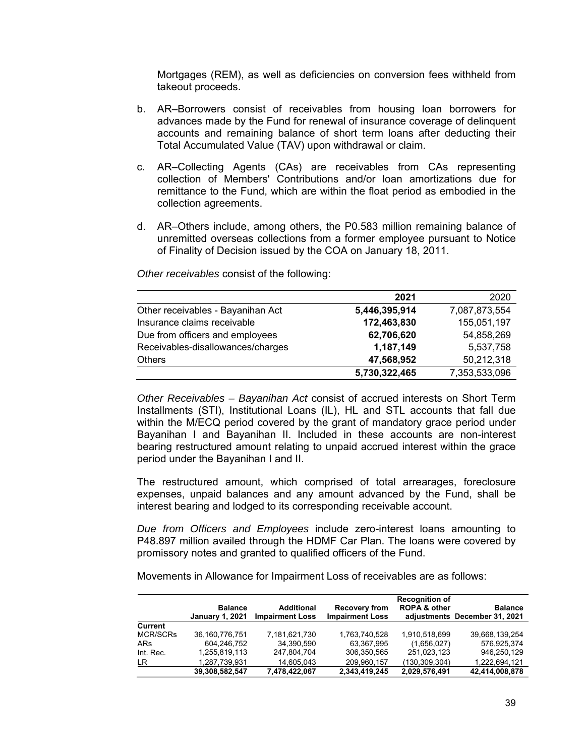Mortgages (REM), as well as deficiencies on conversion fees withheld from takeout proceeds.

- b. AR–Borrowers consist of receivables from housing loan borrowers for advances made by the Fund for renewal of insurance coverage of delinquent accounts and remaining balance of short term loans after deducting their Total Accumulated Value (TAV) upon withdrawal or claim.
- c. AR–Collecting Agents (CAs) are receivables from CAs representing collection of Members' Contributions and/or loan amortizations due for remittance to the Fund, which are within the float period as embodied in the collection agreements.
- d. AR–Others include, among others, the P0.583 million remaining balance of unremitted overseas collections from a former employee pursuant to Notice of Finality of Decision issued by the COA on January 18, 2011.

|                                   | 2021          | 2020          |
|-----------------------------------|---------------|---------------|
| Other receivables - Bayanihan Act | 5,446,395,914 | 7,087,873,554 |
| Insurance claims receivable       | 172,463,830   | 155,051,197   |
| Due from officers and employees   | 62,706,620    | 54,858,269    |
| Receivables-disallowances/charges | 1,187,149     | 5,537,758     |
| <b>Others</b>                     | 47,568,952    | 50,212,318    |
|                                   | 5,730,322,465 | 7,353,533,096 |

*Other receivables* consist of the following:

*Other Receivables – Bayanihan Act* consist of accrued interests on Short Term Installments (STI), Institutional Loans (IL), HL and STL accounts that fall due within the M/ECQ period covered by the grant of mandatory grace period under Bayanihan I and Bayanihan II. Included in these accounts are non-interest bearing restructured amount relating to unpaid accrued interest within the grace period under the Bayanihan I and II.

The restructured amount, which comprised of total arrearages, foreclosure expenses, unpaid balances and any amount advanced by the Fund, shall be interest bearing and lodged to its corresponding receivable account.

*Due from Officers and Employees* include zero-interest loans amounting to P48.897 million availed through the HDMF Car Plan. The loans were covered by promissory notes and granted to qualified officers of the Fund.

Movements in Allowance for Impairment Loss of receivables are as follows:

|                 | <b>Balance</b><br><b>January 1, 2021</b> | Additional<br><b>Impairment Loss</b> | <b>Recovery from</b><br><b>Impairment Loss</b> | <b>Recognition of</b><br><b>ROPA &amp; other</b> | <b>Balance</b><br>adiustments December 31, 2021 |
|-----------------|------------------------------------------|--------------------------------------|------------------------------------------------|--------------------------------------------------|-------------------------------------------------|
| Current         |                                          |                                      |                                                |                                                  |                                                 |
| <b>MCR/SCRs</b> | 36.160.776.751                           | 7.181.621.730                        | 1,763,740,528                                  | 1.910.518.699                                    | 39.668.139.254                                  |
| ARs             | 604.246.752                              | 34.390.590                           | 63,367,995                                     | (1,656,027)                                      | 576.925.374                                     |
| Int. Rec.       | 1,255,819,113                            | 247,804,704                          | 306,350,565                                    | 251,023,123                                      | 946.250.129                                     |
| LR              | 1,287,739,931                            | 14.605.043                           | 209.960.157                                    | (130, 309, 304)                                  | 1.222.694.121                                   |
|                 | 39.308.582.547                           | 7.478.422.067                        | 2.343.419.245                                  | 2.029.576.491                                    | 42.414.008.878                                  |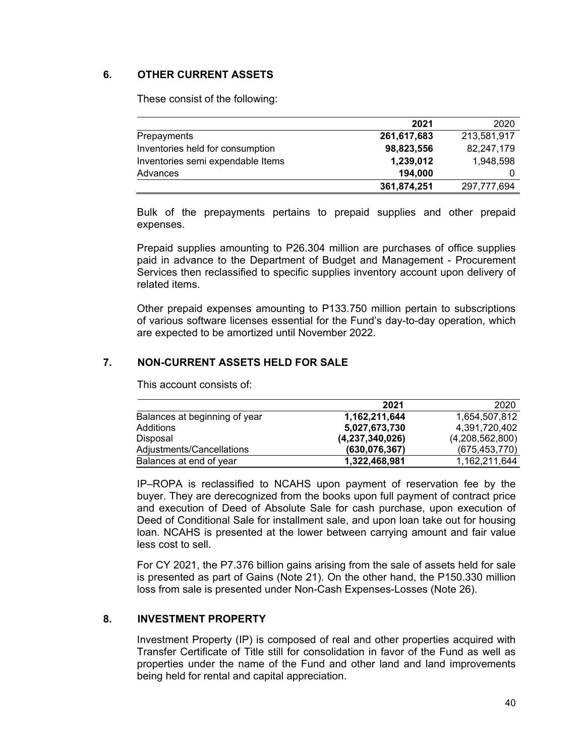# **6. OTHER CURRENT ASSETS**

These consist of the following:

|                                   | 2021        | 2020        |
|-----------------------------------|-------------|-------------|
| Prepayments                       | 261,617,683 | 213,581,917 |
| Inventories held for consumption  | 98,823,556  | 82,247,179  |
| Inventories semi expendable Items | 1,239,012   | 1,948,598   |
| Advances                          | 194,000     |             |
|                                   | 361,874,251 | 297,777,694 |

Bulk of the prepayments pertains to prepaid supplies and other prepaid expenses.

Prepaid supplies amounting to P26.304 million are purchases of office supplies paid in advance to the Department of Budget and Management - Procurement Services then reclassified to specific supplies inventory account upon delivery of related items.

Other prepaid expenses amounting to P133.750 million pertain to subscriptions of various software licenses essential for the Fund's day-to-day operation, which are expected to be amortized until November 2022.

# **7. NON-CURRENT ASSETS HELD FOR SALE**

This account consists of:

|                               | 2021               | 2020            |
|-------------------------------|--------------------|-----------------|
| Balances at beginning of year | 1,162,211,644      | 1,654,507,812   |
| Additions                     | 5,027,673,730      | 4,391,720,402   |
| Disposal                      | (4, 237, 340, 026) | (4,208,562,800) |
| Adjustments/Cancellations     | (630, 076, 367)    | (675, 453, 770) |
| Balances at end of year       | 1,322,468,981      | 1,162,211,644   |

IP–ROPA is reclassified to NCAHS upon payment of reservation fee by the buyer. They are derecognized from the books upon full payment of contract price and execution of Deed of Absolute Sale for cash purchase, upon execution of Deed of Conditional Sale for installment sale, and upon loan take out for housing loan. NCAHS is presented at the lower between carrying amount and fair value less cost to sell.

For CY 2021, the P7.376 billion gains arising from the sale of assets held for sale is presented as part of Gains (Note 21). On the other hand, the P150.330 million loss from sale is presented under Non-Cash Expenses-Losses (Note 26).

# **8. INVESTMENT PROPERTY**

Investment Property (IP) is composed of real and other properties acquired with Transfer Certificate of Title still for consolidation in favor of the Fund as well as properties under the name of the Fund and other land and land improvements being held for rental and capital appreciation.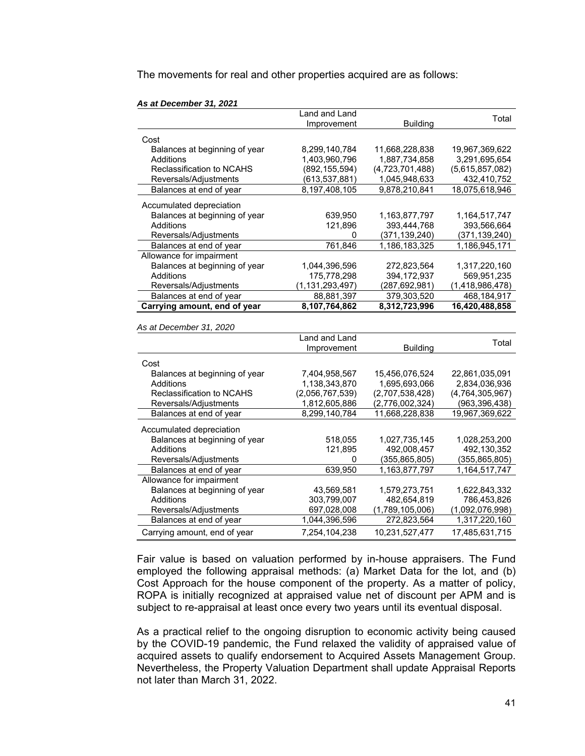The movements for real and other properties acquired are as follows:

| $\sim$ at <i>D</i> ecentrical order |                    |                 |                 |
|-------------------------------------|--------------------|-----------------|-----------------|
|                                     | Land and Land      |                 | Total           |
|                                     | Improvement        | <b>Building</b> |                 |
| Cost                                |                    |                 |                 |
| Balances at beginning of year       | 8,299,140,784      | 11,668,228,838  | 19,967,369,622  |
| <b>Additions</b>                    | 1,403,960,796      | 1,887,734,858   | 3,291,695,654   |
| Reclassification to NCAHS           | (892, 155, 594)    | (4,723,701,488) | (5,615,857,082) |
| Reversals/Adjustments               | (613, 537, 881)    | 1,045,948,633   | 432,410,752     |
| Balances at end of year             | 8,197,408,105      | 9,878,210,841   | 18,075,618,946  |
| Accumulated depreciation            |                    |                 |                 |
| Balances at beginning of year       | 639,950            | 1,163,877,797   | 1,164,517,747   |
| Additions                           | 121,896            | 393,444,768     | 393,566,664     |
| Reversals/Adjustments               | 0                  | (371, 139, 240) | (371, 139, 240) |
| Balances at end of year             | 761,846            | 1,186,183,325   | 1,186,945,171   |
| Allowance for impairment            |                    |                 |                 |
| Balances at beginning of year       | 1,044,396,596      | 272,823,564     | 1,317,220,160   |
| Additions                           | 175,778,298        | 394,172,937     | 569,951,235     |
| Reversals/Adjustments               | (1, 131, 293, 497) | (287, 692, 981) | (1,418,986,478) |
| Balances at end of year             | 88,881,397         | 379,303,520     | 468,184,917     |
| Carrying amount, end of year        | 8,107,764,862      | 8,312,723,996   | 16,420,488,858  |
|                                     |                    |                 |                 |
| As at December 31, 2020             |                    |                 |                 |
|                                     | Land and Land      |                 | Total           |
|                                     | Improvement        | <b>Building</b> |                 |
| Cost                                |                    |                 |                 |
| Balances at beginning of year       | 7,404,958,567      | 15,456,076,524  | 22,861,035,091  |
| <b>Additions</b>                    | 1,138,343,870      | 1,695,693,066   | 2,834,036,936   |
| Reclassification to NCAHS           | (2,056,767,539)    | (2,707,538,428) | (4,764,305,967) |
| Reversals/Adjustments               | 1,812,605,886      | (2,776,002,324) | (963, 396, 438) |
| Balances at end of year             | 8,299,140,784      | 11,668,228,838  | 19,967,369,622  |
| Accumulated depreciation            |                    |                 |                 |
| Balances at beginning of year       | 518,055            | 1,027,735,145   | 1,028,253,200   |
| Additions                           | 121,895            | 492,008,457     | 492,130,352     |
| Reversals/Adjustments               | 0                  | (355, 865, 805) | (355, 865, 805) |
| Balances at end of year             | 639,950            | 1,163,877,797   | 1,164,517,747   |
| Allowance for impairment            |                    |                 |                 |
| Balances at beginning of year       | 43,569,581         | 1,579,273,751   | 1,622,843,332   |
| Additions                           | 303,799,007        | 482,654,819     | 786,453,826     |
| Reversals/Adjustments               | 697,028,008        | (1,789,105,006) | (1,092,076,998) |
| Balances at end of year             | 1,044,396,596      | 272,823,564     | 1,317,220,160   |
| Carrying amount, end of year        | 7,254,104,238      | 10,231,527,477  | 17,485,631,715  |

*As at December 31, 2021* 

Fair value is based on valuation performed by in-house appraisers. The Fund employed the following appraisal methods: (a) Market Data for the lot, and (b) Cost Approach for the house component of the property. As a matter of policy, ROPA is initially recognized at appraised value net of discount per APM and is subject to re-appraisal at least once every two years until its eventual disposal.

As a practical relief to the ongoing disruption to economic activity being caused by the COVID-19 pandemic, the Fund relaxed the validity of appraised value of acquired assets to qualify endorsement to Acquired Assets Management Group. Nevertheless, the Property Valuation Department shall update Appraisal Reports not later than March 31, 2022.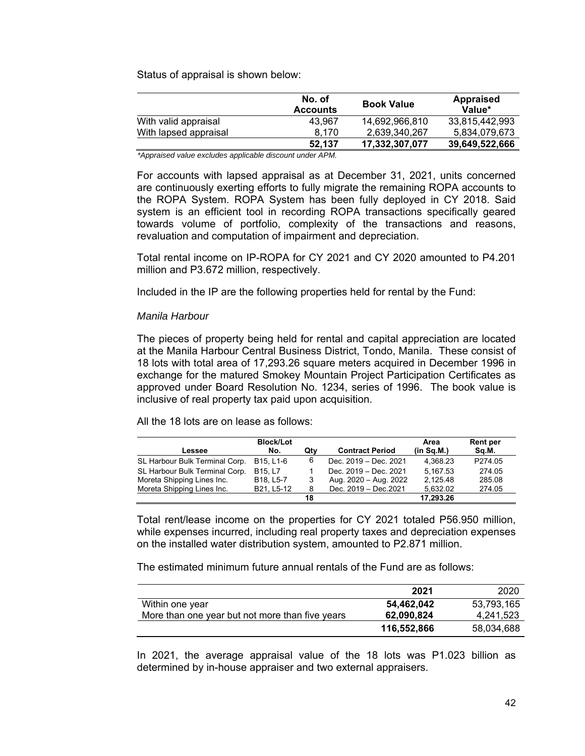Status of appraisal is shown below:

|                       | No. of<br><b>Accounts</b> | <b>Book Value</b> | <b>Appraised</b><br>Value* |
|-----------------------|---------------------------|-------------------|----------------------------|
| With valid appraisal  | 43.967                    | 14,692,966,810    | 33,815,442,993             |
| With lapsed appraisal | 8.170                     | 2.639.340.267     | 5.834.079.673              |
|                       | 52.137                    | 17,332,307,077    | 39,649,522,666             |

 *\*Appraised value excludes applicable discount under APM.* 

For accounts with lapsed appraisal as at December 31, 2021, units concerned are continuously exerting efforts to fully migrate the remaining ROPA accounts to the ROPA System. ROPA System has been fully deployed in CY 2018. Said system is an efficient tool in recording ROPA transactions specifically geared towards volume of portfolio, complexity of the transactions and reasons, revaluation and computation of impairment and depreciation.

Total rental income on IP-ROPA for CY 2021 and CY 2020 amounted to P4.201 million and P3.672 million, respectively.

Included in the IP are the following properties held for rental by the Fund:

### *Manila Harbour*

The pieces of property being held for rental and capital appreciation are located at the Manila Harbour Central Business District, Tondo, Manila. These consist of 18 lots with total area of 17,293.26 square meters acquired in December 1996 in exchange for the matured Smokey Mountain Project Participation Certificates as approved under Board Resolution No. 1234, series of 1996. The book value is inclusive of real property tax paid upon acquisition.

All the 18 lots are on lease as follows:

|                                | <b>Block/Lot</b>               |     |                        | Area       | Rent per |
|--------------------------------|--------------------------------|-----|------------------------|------------|----------|
| Lessee                         | No.                            | Qtv | <b>Contract Period</b> | (in Sq.M.) | Sq.M.    |
| SL Harbour Bulk Terminal Corp. | B15. L1-6                      | 6   | Dec. 2019 - Dec. 2021  | 4.368.23   | P274.05  |
| SL Harbour Bulk Terminal Corp. | B <sub>15</sub> L <sub>7</sub> |     | Dec. 2019 - Dec. 2021  | 5.167.53   | 274.05   |
| Moreta Shipping Lines Inc.     | B18. L5-7                      | 3   | Aug. 2020 - Aug. 2022  | 2.125.48   | 285.08   |
| Moreta Shipping Lines Inc.     | B21. L5-12                     | 8   | Dec. 2019 - Dec. 2021  | 5.632.02   | 274.05   |
|                                |                                | 18  |                        | 17,293.26  |          |

Total rent/lease income on the properties for CY 2021 totaled P56.950 million, while expenses incurred, including real property taxes and depreciation expenses on the installed water distribution system, amounted to P2.871 million.

The estimated minimum future annual rentals of the Fund are as follows:

|                                                 | 2021        | 2020       |
|-------------------------------------------------|-------------|------------|
| Within one year                                 | 54,462,042  | 53,793,165 |
| More than one year but not more than five years | 62,090,824  | 4,241,523  |
|                                                 | 116,552,866 | 58,034,688 |

In 2021, the average appraisal value of the 18 lots was P1.023 billion as determined by in-house appraiser and two external appraisers.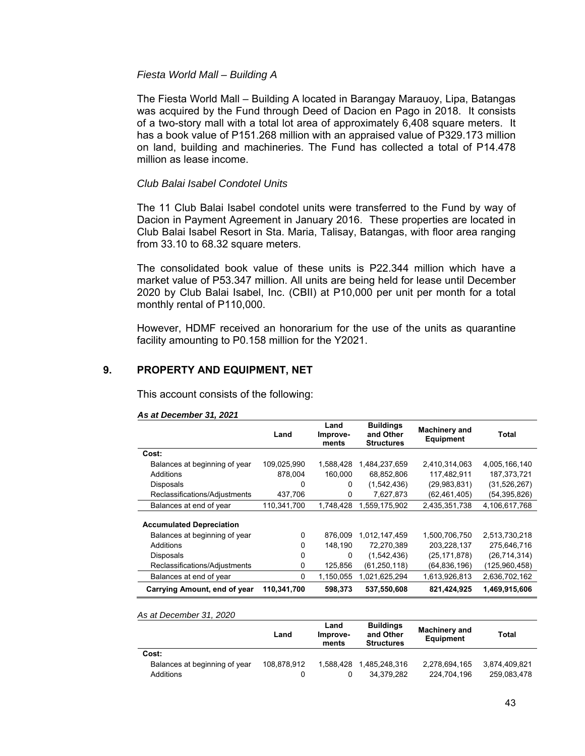### *Fiesta World Mall – Building A*

The Fiesta World Mall – Building A located in Barangay Marauoy, Lipa, Batangas was acquired by the Fund through Deed of Dacion en Pago in 2018. It consists of a two-story mall with a total lot area of approximately 6,408 square meters. It has a book value of P151.268 million with an appraised value of P329.173 million on land, building and machineries. The Fund has collected a total of P14.478 million as lease income.

### *Club Balai Isabel Condotel Units*

The 11 Club Balai Isabel condotel units were transferred to the Fund by way of Dacion in Payment Agreement in January 2016. These properties are located in Club Balai Isabel Resort in Sta. Maria, Talisay, Batangas, with floor area ranging from 33.10 to 68.32 square meters.

The consolidated book value of these units is P22.344 million which have a market value of P53.347 million. All units are being held for lease until December 2020 by Club Balai Isabel, Inc. (CBII) at P10,000 per unit per month for a total monthly rental of P110,000.

However, HDMF received an honorarium for the use of the units as quarantine facility amounting to P0.158 million for the Y2021.

# **9. PROPERTY AND EQUIPMENT, NET**

This account consists of the following:

|                                 | Land        | Land<br>Improve-<br>ments | <b>Buildings</b><br>and Other<br><b>Structures</b> | <b>Machinery and</b><br><b>Equipment</b> | Total          |
|---------------------------------|-------------|---------------------------|----------------------------------------------------|------------------------------------------|----------------|
| Cost:                           |             |                           |                                                    |                                          |                |
| Balances at beginning of year   | 109,025,990 | 1,588,428                 | 1,484,237,659                                      | 2,410,314,063                            | 4,005,166,140  |
| Additions                       | 878,004     | 160.000                   | 68,852,806                                         | 117.482.911                              | 187, 373, 721  |
| <b>Disposals</b>                | 0           | 0                         | (1,542,436)                                        | (29, 983, 831)                           | (31, 526, 267) |
| Reclassifications/Adjustments   | 437,706     | 0                         | 7,627,873                                          | (62, 461, 405)                           | (54,395,826)   |
| Balances at end of year         | 110,341,700 | 1,748,428                 | 1,559,175,902                                      | 2,435,351,738                            | 4,106,617,768  |
| <b>Accumulated Depreciation</b> |             |                           |                                                    |                                          |                |
| Balances at beginning of year   | $\Omega$    | 876.009                   | 1.012.147.459                                      | 1,500,706,750                            | 2,513,730,218  |
| Additions                       | $\Omega$    | 148.190                   | 72.270.389                                         | 203,228,137                              | 275.646.716    |
| <b>Disposals</b>                | $\Omega$    | 0                         | (1,542,436)                                        | (25, 171, 878)                           | (26, 714, 314) |
| Reclassifications/Adjustments   | 0           | 125,856                   | (61, 250, 118)                                     | (64,836,196)                             | (125,960,458)  |
| Balances at end of year         | 0           | 1,150,055                 | 1,021,625,294                                      | 1,613,926,813                            | 2,636,702,162  |
| Carrying Amount, end of year    | 110,341,700 | 598,373                   | 537,550,608                                        | 821,424,925                              | 1,469,915,606  |

*As at December 31, 2021*

*As at December 31, 2020* 

|                               | Land        | Land<br>Improve-<br>ments | <b>Buildings</b><br>and Other<br><b>Structures</b> | <b>Machinery and</b><br>Equipment | Total         |
|-------------------------------|-------------|---------------------------|----------------------------------------------------|-----------------------------------|---------------|
| Cost:                         |             |                           |                                                    |                                   |               |
| Balances at beginning of year | 108,878,912 | 1.588.428                 | 1.485.248.316                                      | 2,278,694,165                     | 3.874.409.821 |
| <b>Additions</b>              |             |                           | 34.379.282                                         | 224.704.196                       | 259.083.478   |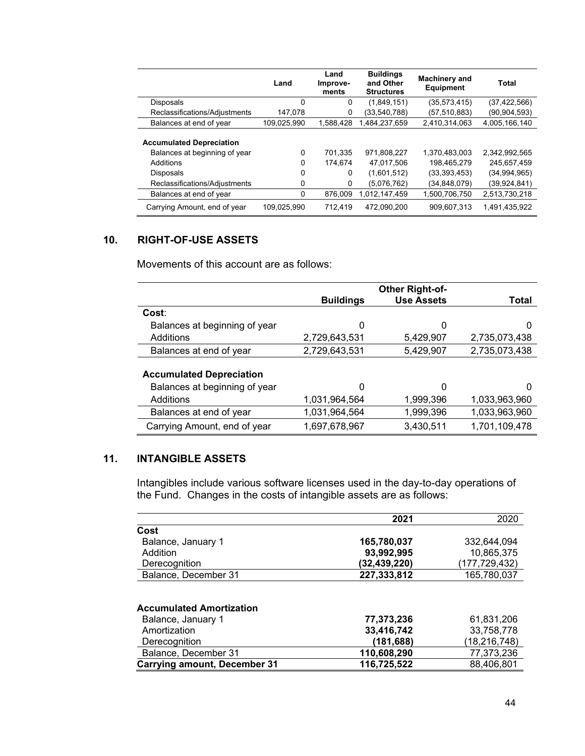|                                                                                                   | Land        | Land<br>Improve-<br>ments | <b>Buildings</b><br>and Other<br><b>Structures</b> | Machinery and<br><b>Equipment</b>            | Total                                        |
|---------------------------------------------------------------------------------------------------|-------------|---------------------------|----------------------------------------------------|----------------------------------------------|----------------------------------------------|
| <b>Disposals</b>                                                                                  | 0           | 0                         | (1,849,151)                                        | (35,573,415)                                 | (37, 422, 566)                               |
| Reclassifications/Adjustments                                                                     | 147.078     | 0                         | (33, 540, 788)                                     | (57,510,883)                                 | (90,904,593)                                 |
| Balances at end of year                                                                           | 109,025,990 | 1,588,428                 | 1,484,237,659                                      | 2,410,314,063                                | 4,005,166,140                                |
| <b>Accumulated Depreciation</b><br>Balances at beginning of year<br>Additions<br><b>Disposals</b> | 0<br>0<br>0 | 701,335<br>174.674<br>0   | 971,808,227<br>47.017.506<br>(1,601,512)           | 1.370.483.003<br>198.465.279<br>(33,393,453) | 2,342,992,565<br>245.657.459<br>(34,994,965) |
| Reclassifications/Adjustments                                                                     | 0           | 0                         | (5,076,762)                                        | (34,848,079)                                 | (39, 924, 841)                               |
| Balances at end of year                                                                           | 0           | 876.009                   | 1,012,147,459                                      | 1,500,706,750                                | 2,513,730,218                                |
| Carrying Amount, end of year                                                                      | 109,025,990 | 712.419                   | 472.090.200                                        | 909,607,313                                  | 1,491,435,922                                |

# **10. RIGHT-OF-USE ASSETS**

Movements of this account are as follows:

|                                 |                  | <b>Other Right-of-</b> |               |
|---------------------------------|------------------|------------------------|---------------|
|                                 | <b>Buildings</b> | <b>Use Assets</b>      | Total         |
| Cost:                           |                  |                        |               |
| Balances at beginning of year   | 0                | 0                      | 0             |
| Additions                       | 2,729,643,531    | 5,429,907              | 2,735,073,438 |
| Balances at end of year         | 2,729,643,531    | 5,429,907              | 2,735,073,438 |
|                                 |                  |                        |               |
| <b>Accumulated Depreciation</b> |                  |                        |               |
| Balances at beginning of year   | 0                | 0                      |               |
| Additions                       | 1,031,964,564    | 1,999,396              | 1,033,963,960 |
| Balances at end of year         | 1,031,964,564    | 1,999,396              | 1,033,963,960 |
| Carrying Amount, end of year    | 1,697,678,967    | 3,430,511              | 1,701,109,478 |

# **11. INTANGIBLE ASSETS**

Intangibles include various software licenses used in the day-to-day operations of the Fund. Changes in the costs of intangible assets are as follows:

|                                     | 2021         | 2020            |
|-------------------------------------|--------------|-----------------|
| Cost                                |              |                 |
| Balance, January 1                  | 165,780,037  | 332.644.094     |
| Addition                            | 93,992,995   | 10,865,375      |
| Derecognition                       | (32,439,220) | (177, 729, 432) |
| Balance, December 31                | 227,333,812  | 165,780,037     |
| <b>Accumulated Amortization</b>     |              |                 |
|                                     |              |                 |
| Balance, January 1                  | 77,373,236   | 61,831,206      |
| Amortization                        | 33,416,742   | 33,758,778      |
| Derecognition                       | (181,688)    | (18, 216, 748)  |
| Balance, December 31                | 110,608,290  | 77,373,236      |
| <b>Carrying amount, December 31</b> | 116,725,522  | 88,406,801      |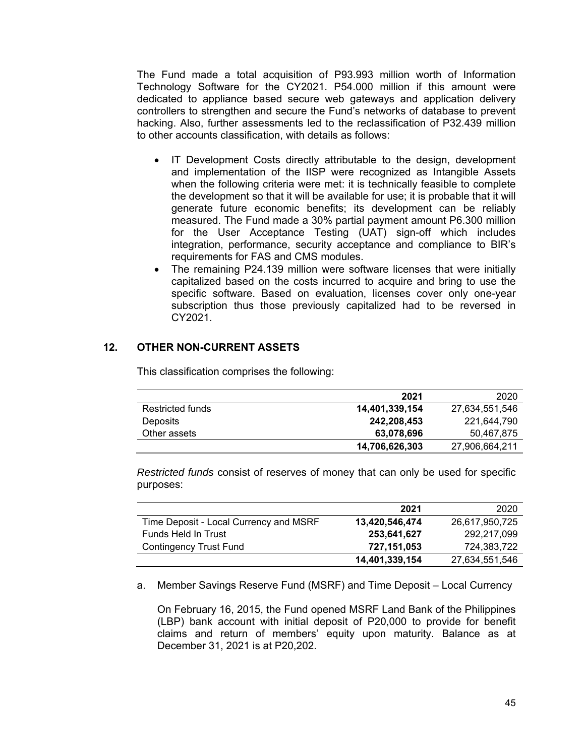The Fund made a total acquisition of P93.993 million worth of Information Technology Software for the CY2021. P54.000 million if this amount were dedicated to appliance based secure web gateways and application delivery controllers to strengthen and secure the Fund's networks of database to prevent hacking. Also, further assessments led to the reclassification of P32.439 million to other accounts classification, with details as follows:

- IT Development Costs directly attributable to the design, development and implementation of the IISP were recognized as Intangible Assets when the following criteria were met: it is technically feasible to complete the development so that it will be available for use; it is probable that it will generate future economic benefits; its development can be reliably measured. The Fund made a 30% partial payment amount P6.300 million for the User Acceptance Testing (UAT) sign-off which includes integration, performance, security acceptance and compliance to BIR's requirements for FAS and CMS modules.
- The remaining P24.139 million were software licenses that were initially capitalized based on the costs incurred to acquire and bring to use the specific software. Based on evaluation, licenses cover only one-year subscription thus those previously capitalized had to be reversed in CY2021.

# **12. OTHER NON-CURRENT ASSETS**

|                  | 2021           | 2020           |
|------------------|----------------|----------------|
| Restricted funds | 14,401,339,154 | 27,634,551,546 |
| <b>Deposits</b>  | 242,208,453    | 221.644.790    |
| Other assets     | 63,078,696     | 50,467,875     |
|                  | 14,706,626,303 | 27,906,664,211 |

This classification comprises the following:

*Restricted funds* consist of reserves of money that can only be used for specific purposes:

|                                        | 2021           | 2020           |
|----------------------------------------|----------------|----------------|
| Time Deposit - Local Currency and MSRF | 13,420,546,474 | 26,617,950,725 |
| Funds Held In Trust                    | 253.641.627    | 292,217,099    |
| <b>Contingency Trust Fund</b>          | 727,151,053    | 724.383.722    |
|                                        | 14,401,339,154 | 27,634,551,546 |

a. Member Savings Reserve Fund (MSRF) and Time Deposit – Local Currency

On February 16, 2015, the Fund opened MSRF Land Bank of the Philippines (LBP) bank account with initial deposit of P20,000 to provide for benefit claims and return of members' equity upon maturity. Balance as at December 31, 2021 is at P20,202.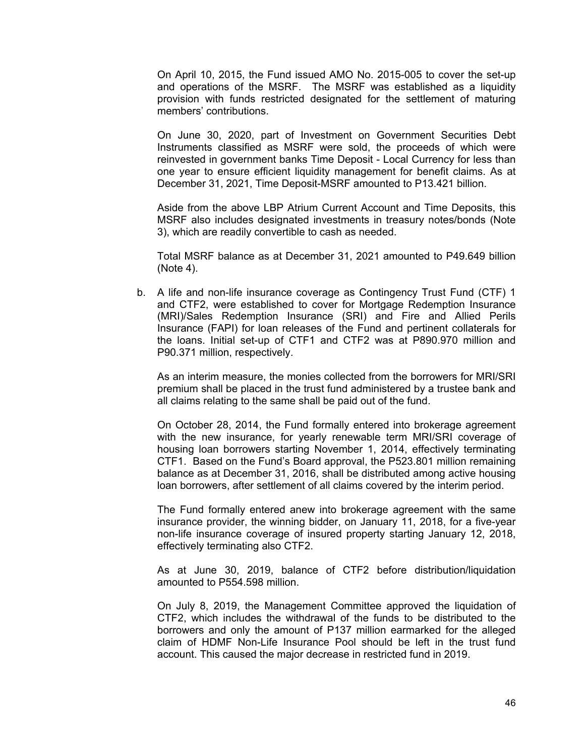On April 10, 2015, the Fund issued AMO No. 2015-005 to cover the set-up and operations of the MSRF. The MSRF was established as a liquidity provision with funds restricted designated for the settlement of maturing members' contributions.

On June 30, 2020, part of Investment on Government Securities Debt Instruments classified as MSRF were sold, the proceeds of which were reinvested in government banks Time Deposit - Local Currency for less than one year to ensure efficient liquidity management for benefit claims. As at December 31, 2021, Time Deposit-MSRF amounted to P13.421 billion.

Aside from the above LBP Atrium Current Account and Time Deposits, this MSRF also includes designated investments in treasury notes/bonds (Note 3), which are readily convertible to cash as needed.

Total MSRF balance as at December 31, 2021 amounted to P49.649 billion (Note 4).

b. A life and non-life insurance coverage as Contingency Trust Fund (CTF) 1 and CTF2, were established to cover for Mortgage Redemption Insurance (MRI)/Sales Redemption Insurance (SRI) and Fire and Allied Perils Insurance (FAPI) for loan releases of the Fund and pertinent collaterals for the loans. Initial set-up of CTF1 and CTF2 was at P890.970 million and P90.371 million, respectively.

As an interim measure, the monies collected from the borrowers for MRI/SRI premium shall be placed in the trust fund administered by a trustee bank and all claims relating to the same shall be paid out of the fund.

On October 28, 2014, the Fund formally entered into brokerage agreement with the new insurance, for yearly renewable term MRI/SRI coverage of housing loan borrowers starting November 1, 2014, effectively terminating CTF1. Based on the Fund's Board approval, the P523.801 million remaining balance as at December 31, 2016, shall be distributed among active housing loan borrowers, after settlement of all claims covered by the interim period.

The Fund formally entered anew into brokerage agreement with the same insurance provider, the winning bidder, on January 11, 2018, for a five-year non-life insurance coverage of insured property starting January 12, 2018, effectively terminating also CTF2.

As at June 30, 2019, balance of CTF2 before distribution/liquidation amounted to P554.598 million.

On July 8, 2019, the Management Committee approved the liquidation of CTF2, which includes the withdrawal of the funds to be distributed to the borrowers and only the amount of P137 million earmarked for the alleged claim of HDMF Non-Life Insurance Pool should be left in the trust fund account. This caused the major decrease in restricted fund in 2019.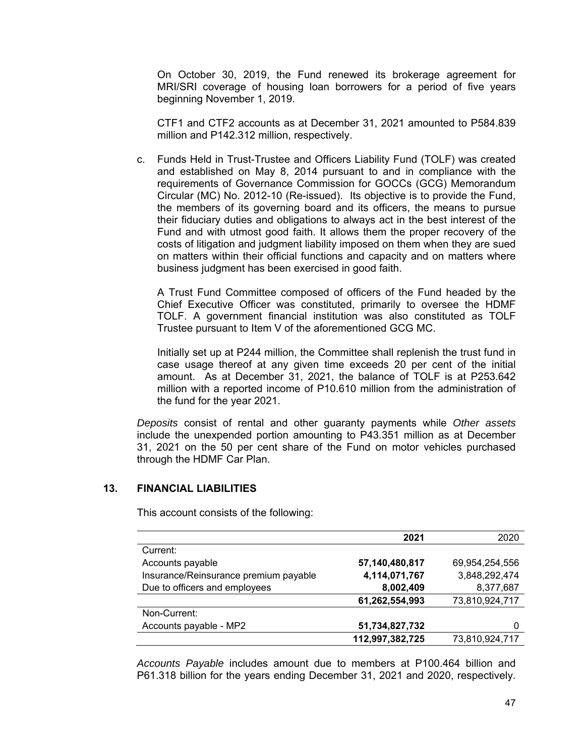On October 30, 2019, the Fund renewed its brokerage agreement for MRI/SRI coverage of housing loan borrowers for a period of five years beginning November 1, 2019.

CTF1 and CTF2 accounts as at December 31, 2021 amounted to P584.839 million and P142.312 million, respectively.

c. Funds Held in Trust-Trustee and Officers Liability Fund (TOLF) was created and established on May 8, 2014 pursuant to and in compliance with the requirements of Governance Commission for GOCCs (GCG) Memorandum Circular (MC) No. 2012-10 (Re-issued). Its objective is to provide the Fund, the members of its governing board and its officers, the means to pursue their fiduciary duties and obligations to always act in the best interest of the Fund and with utmost good faith. It allows them the proper recovery of the costs of litigation and judgment liability imposed on them when they are sued on matters within their official functions and capacity and on matters where business judgment has been exercised in good faith.

A Trust Fund Committee composed of officers of the Fund headed by the Chief Executive Officer was constituted, primarily to oversee the HDMF TOLF. A government financial institution was also constituted as TOLF Trustee pursuant to Item V of the aforementioned GCG MC.

Initially set up at P244 million, the Committee shall replenish the trust fund in case usage thereof at any given time exceeds 20 per cent of the initial amount. As at December 31, 2021, the balance of TOLF is at P253.642 million with a reported income of P10.610 million from the administration of the fund for the year 2021.

*Deposits* consist of rental and other guaranty payments while *Other assets* include the unexpended portion amounting to P43.351 million as at December 31, 2021 on the 50 per cent share of the Fund on motor vehicles purchased through the HDMF Car Plan.

# **13. FINANCIAL LIABILITIES**

This account consists of the following:

|                                       | 2021            | 2020           |
|---------------------------------------|-----------------|----------------|
| Current:                              |                 |                |
| Accounts payable                      | 57,140,480,817  | 69,954,254,556 |
| Insurance/Reinsurance premium payable | 4,114,071,767   | 3,848,292,474  |
| Due to officers and employees         | 8,002,409       | 8,377,687      |
|                                       | 61,262,554,993  | 73,810,924,717 |
| Non-Current:                          |                 |                |
| Accounts payable - MP2                | 51,734,827,732  |                |
|                                       | 112,997,382,725 | 73,810,924,717 |

*Accounts Payable* includes amount due to members at P100.464 billion and P61.318 billion for the years ending December 31, 2021 and 2020, respectively.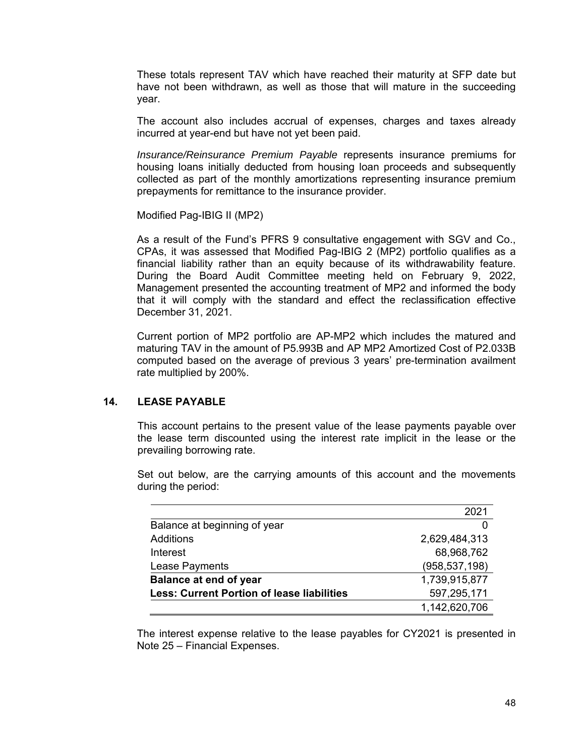These totals represent TAV which have reached their maturity at SFP date but have not been withdrawn, as well as those that will mature in the succeeding year.

The account also includes accrual of expenses, charges and taxes already incurred at year-end but have not yet been paid.

*Insurance/Reinsurance Premium Payable* represents insurance premiums for housing loans initially deducted from housing loan proceeds and subsequently collected as part of the monthly amortizations representing insurance premium prepayments for remittance to the insurance provider.

Modified Pag-IBIG II (MP2)

As a result of the Fund's PFRS 9 consultative engagement with SGV and Co., CPAs, it was assessed that Modified Pag-IBIG 2 (MP2) portfolio qualifies as a financial liability rather than an equity because of its withdrawability feature. During the Board Audit Committee meeting held on February 9, 2022, Management presented the accounting treatment of MP2 and informed the body that it will comply with the standard and effect the reclassification effective December 31, 2021.

Current portion of MP2 portfolio are AP-MP2 which includes the matured and maturing TAV in the amount of P5.993B and AP MP2 Amortized Cost of P2.033B computed based on the average of previous 3 years' pre-termination availment rate multiplied by 200%.

### **14. LEASE PAYABLE**

This account pertains to the present value of the lease payments payable over the lease term discounted using the interest rate implicit in the lease or the prevailing borrowing rate.

Set out below, are the carrying amounts of this account and the movements during the period:

|                                                   | 2021            |
|---------------------------------------------------|-----------------|
| Balance at beginning of year                      |                 |
| Additions                                         | 2,629,484,313   |
| Interest                                          | 68,968,762      |
| Lease Payments                                    | (958, 537, 198) |
| <b>Balance at end of year</b>                     | 1,739,915,877   |
| <b>Less: Current Portion of lease liabilities</b> | 597,295,171     |
|                                                   | 1,142,620,706   |

The interest expense relative to the lease payables for CY2021 is presented in Note 25 – Financial Expenses.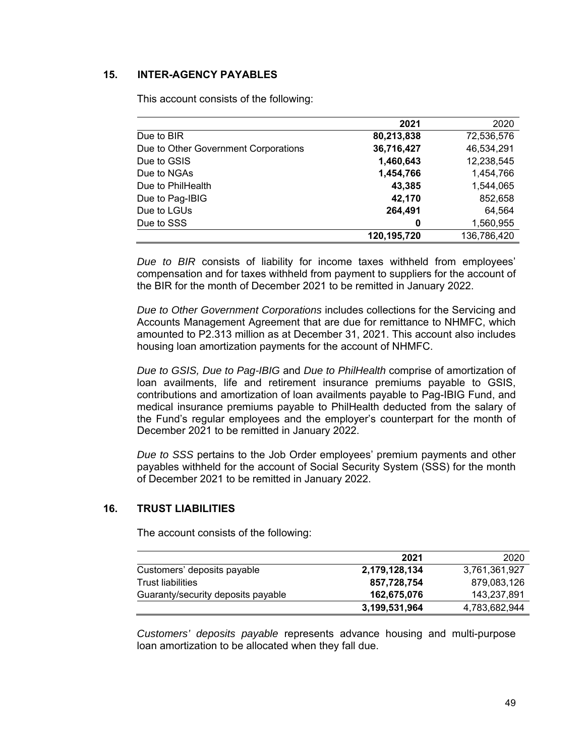# **15. INTER-AGENCY PAYABLES**

This account consists of the following:

|                                      | 2021        | 2020        |
|--------------------------------------|-------------|-------------|
| Due to BIR                           | 80,213,838  | 72,536,576  |
| Due to Other Government Corporations | 36,716,427  | 46,534,291  |
| Due to GSIS                          | 1,460,643   | 12,238,545  |
| Due to NGAs                          | 1,454,766   | 1,454,766   |
| Due to PhilHealth                    | 43,385      | 1,544,065   |
| Due to Pag-IBIG                      | 42,170      | 852,658     |
| Due to LGUs                          | 264,491     | 64,564      |
| Due to SSS                           | 0           | 1,560,955   |
|                                      | 120,195,720 | 136,786,420 |

*Due to BIR* consists of liability for income taxes withheld from employees' compensation and for taxes withheld from payment to suppliers for the account of the BIR for the month of December 2021 to be remitted in January 2022.

*Due to Other Government Corporations* includes collections for the Servicing and Accounts Management Agreement that are due for remittance to NHMFC, which amounted to P2.313 million as at December 31, 2021. This account also includes housing loan amortization payments for the account of NHMFC.

*Due to GSIS, Due to Pag-IBIG* and *Due to PhilHealth* comprise of amortization of loan availments, life and retirement insurance premiums payable to GSIS, contributions and amortization of loan availments payable to Pag-IBIG Fund, and medical insurance premiums payable to PhilHealth deducted from the salary of the Fund's regular employees and the employer's counterpart for the month of December 2021 to be remitted in January 2022.

*Due to SSS* pertains to the Job Order employees' premium payments and other payables withheld for the account of Social Security System (SSS) for the month of December 2021 to be remitted in January 2022.

### **16. TRUST LIABILITIES**

The account consists of the following:

|                                    | 2021          | 2020          |
|------------------------------------|---------------|---------------|
| Customers' deposits payable        | 2,179,128,134 | 3,761,361,927 |
| <b>Trust liabilities</b>           | 857,728,754   | 879,083,126   |
| Guaranty/security deposits payable | 162,675,076   | 143,237,891   |
|                                    | 3,199,531,964 | 4,783,682,944 |

*Customers' deposits payable* represents advance housing and multi-purpose loan amortization to be allocated when they fall due.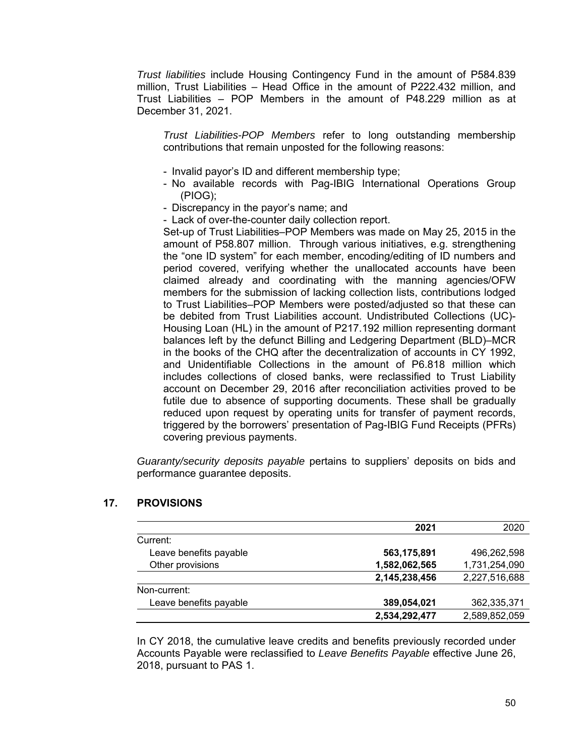*Trust liabilities* include Housing Contingency Fund in the amount of P584.839 million, Trust Liabilities – Head Office in the amount of P222.432 million, and Trust Liabilities – POP Members in the amount of P48.229 million as at December 31, 2021.

*Trust Liabilities-POP Members* refer to long outstanding membership contributions that remain unposted for the following reasons:

- Invalid payor's ID and different membership type;
- No available records with Pag-IBIG International Operations Group (PIOG);
- Discrepancy in the payor's name; and
- Lack of over-the-counter daily collection report.

Set-up of Trust Liabilities–POP Members was made on May 25, 2015 in the amount of P58.807 million. Through various initiatives, e.g. strengthening the "one ID system" for each member, encoding/editing of ID numbers and period covered, verifying whether the unallocated accounts have been claimed already and coordinating with the manning agencies/OFW members for the submission of lacking collection lists, contributions lodged to Trust Liabilities–POP Members were posted/adjusted so that these can be debited from Trust Liabilities account. Undistributed Collections (UC)- Housing Loan (HL) in the amount of P217.192 million representing dormant balances left by the defunct Billing and Ledgering Department (BLD)–MCR in the books of the CHQ after the decentralization of accounts in CY 1992, and Unidentifiable Collections in the amount of P6.818 million which includes collections of closed banks, were reclassified to Trust Liability account on December 29, 2016 after reconciliation activities proved to be futile due to absence of supporting documents. These shall be gradually reduced upon request by operating units for transfer of payment records, triggered by the borrowers' presentation of Pag-IBIG Fund Receipts (PFRs) covering previous payments.

*Guaranty/security deposits payable* pertains to suppliers' deposits on bids and performance guarantee deposits.

|                        | 2021          | 2020          |
|------------------------|---------------|---------------|
| Current:               |               |               |
| Leave benefits payable | 563,175,891   | 496,262,598   |
| Other provisions       | 1,582,062,565 | 1,731,254,090 |
|                        | 2,145,238,456 | 2,227,516,688 |
| Non-current:           |               |               |
| Leave benefits payable | 389,054,021   | 362,335,371   |
|                        | 2,534,292,477 | 2,589,852,059 |

# **17. PROVISIONS**

In CY 2018, the cumulative leave credits and benefits previously recorded under Accounts Payable were reclassified to *Leave Benefits Payable* effective June 26, 2018, pursuant to PAS 1.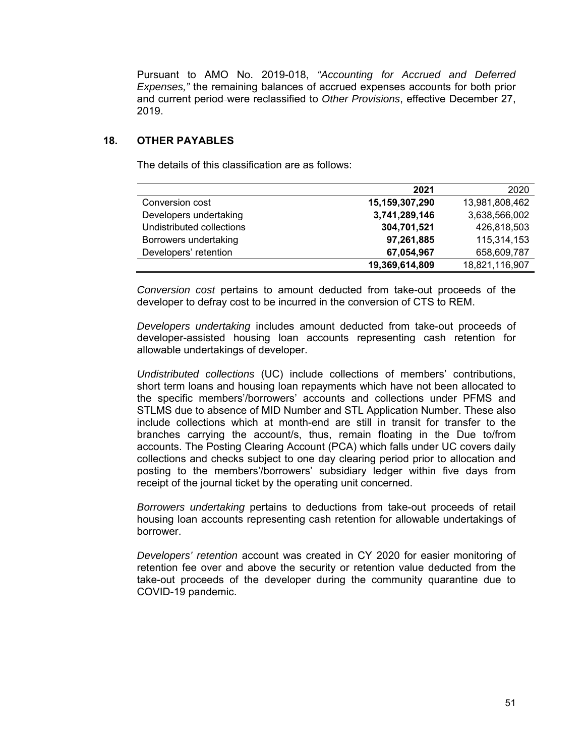Pursuant to AMO No. 2019-018, *"Accounting for Accrued and Deferred Expenses,"* the remaining balances of accrued expenses accounts for both prior and current period were reclassified to *Other Provisions*, effective December 27, 2019.

# **18. OTHER PAYABLES**

The details of this classification are as follows:

|                           | 2021           | 2020           |
|---------------------------|----------------|----------------|
| Conversion cost           | 15,159,307,290 | 13,981,808,462 |
| Developers undertaking    | 3,741,289,146  | 3,638,566,002  |
| Undistributed collections | 304,701,521    | 426,818,503    |
| Borrowers undertaking     | 97,261,885     | 115,314,153    |
| Developers' retention     | 67,054,967     | 658,609,787    |
|                           | 19,369,614,809 | 18,821,116,907 |

*Conversion cost* pertains to amount deducted from take-out proceeds of the developer to defray cost to be incurred in the conversion of CTS to REM.

*Developers undertaking* includes amount deducted from take-out proceeds of developer-assisted housing loan accounts representing cash retention for allowable undertakings of developer.

*Undistributed collections* (UC) include collections of members' contributions, short term loans and housing loan repayments which have not been allocated to the specific members'/borrowers' accounts and collections under PFMS and STLMS due to absence of MID Number and STL Application Number. These also include collections which at month-end are still in transit for transfer to the branches carrying the account/s, thus, remain floating in the Due to/from accounts. The Posting Clearing Account (PCA) which falls under UC covers daily collections and checks subject to one day clearing period prior to allocation and posting to the members'/borrowers' subsidiary ledger within five days from receipt of the journal ticket by the operating unit concerned.

*Borrowers undertaking* pertains to deductions from take-out proceeds of retail housing loan accounts representing cash retention for allowable undertakings of borrower.

*Developers' retention* account was created in CY 2020 for easier monitoring of retention fee over and above the security or retention value deducted from the take-out proceeds of the developer during the community quarantine due to COVID-19 pandemic.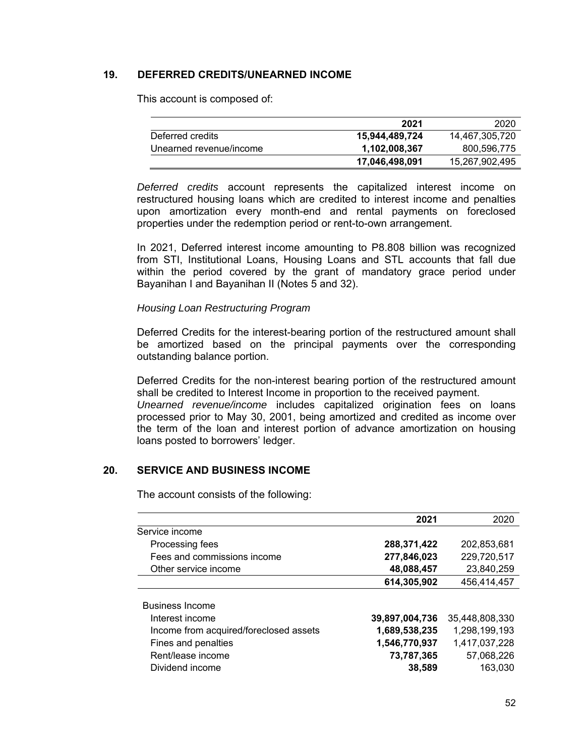# **19. DEFERRED CREDITS/UNEARNED INCOME**

This account is composed of:

|                         | 2021           | 2020           |
|-------------------------|----------------|----------------|
| Deferred credits        | 15,944,489,724 | 14,467,305,720 |
| Unearned revenue/income | 1,102,008,367  | 800,596,775    |
|                         | 17,046,498,091 | 15,267,902,495 |

*Deferred credits* account represents the capitalized interest income on restructured housing loans which are credited to interest income and penalties upon amortization every month-end and rental payments on foreclosed properties under the redemption period or rent-to-own arrangement.

In 2021, Deferred interest income amounting to P8.808 billion was recognized from STI, Institutional Loans, Housing Loans and STL accounts that fall due within the period covered by the grant of mandatory grace period under Bayanihan I and Bayanihan II (Notes 5 and 32).

### *Housing Loan Restructuring Program*

Deferred Credits for the interest-bearing portion of the restructured amount shall be amortized based on the principal payments over the corresponding outstanding balance portion.

Deferred Credits for the non-interest bearing portion of the restructured amount shall be credited to Interest Income in proportion to the received payment. *Unearned revenue/income* includes capitalized origination fees on loans processed prior to May 30, 2001, being amortized and credited as income over the term of the loan and interest portion of advance amortization on housing loans posted to borrowers' ledger.

# **20. SERVICE AND BUSINESS INCOME**

The account consists of the following:

|                                                                                                                                                    | 2021                                                                     | 2020                                                                      |
|----------------------------------------------------------------------------------------------------------------------------------------------------|--------------------------------------------------------------------------|---------------------------------------------------------------------------|
| Service income                                                                                                                                     |                                                                          |                                                                           |
| Processing fees                                                                                                                                    | 288,371,422                                                              | 202,853,681                                                               |
| Fees and commissions income                                                                                                                        | 277,846,023                                                              | 229,720,517                                                               |
| Other service income                                                                                                                               | 48,088,457                                                               | 23,840,259                                                                |
|                                                                                                                                                    | 614,305,902                                                              | 456,414,457                                                               |
| <b>Business Income</b><br>Interest income<br>Income from acquired/foreclosed assets<br>Fines and penalties<br>Rent/lease income<br>Dividend income | 39,897,004,736<br>1,689,538,235<br>1,546,770,937<br>73,787,365<br>38,589 | 35,448,808,330<br>1,298,199,193<br>1,417,037,228<br>57,068,226<br>163,030 |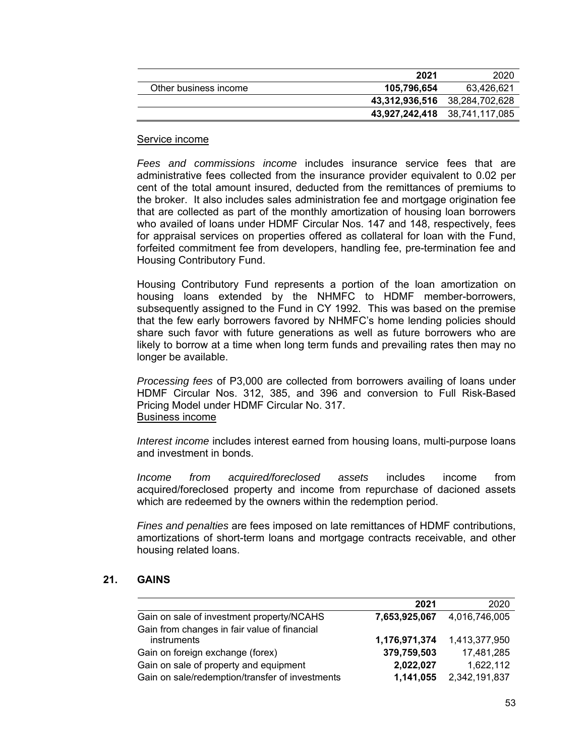|                       | 2021        | -2020                         |
|-----------------------|-------------|-------------------------------|
| Other business income | 105,796,654 | 63,426,621                    |
|                       |             | 43,312,936,516 38,284,702,628 |
|                       |             | 43,927,242,418 38,741,117,085 |

### Service income

*Fees and commissions income* includes insurance service fees that are administrative fees collected from the insurance provider equivalent to 0.02 per cent of the total amount insured, deducted from the remittances of premiums to the broker. It also includes sales administration fee and mortgage origination fee that are collected as part of the monthly amortization of housing loan borrowers who availed of loans under HDMF Circular Nos. 147 and 148, respectively, fees for appraisal services on properties offered as collateral for loan with the Fund, forfeited commitment fee from developers, handling fee, pre-termination fee and Housing Contributory Fund.

Housing Contributory Fund represents a portion of the loan amortization on housing loans extended by the NHMFC to HDMF member-borrowers, subsequently assigned to the Fund in CY 1992. This was based on the premise that the few early borrowers favored by NHMFC's home lending policies should share such favor with future generations as well as future borrowers who are likely to borrow at a time when long term funds and prevailing rates then may no longer be available.

*Processing fees* of P3,000 are collected from borrowers availing of loans under HDMF Circular Nos. 312, 385, and 396 and conversion to Full Risk-Based Pricing Model under HDMF Circular No. 317. Business income

*Interest income* includes interest earned from housing loans, multi-purpose loans and investment in bonds.

*Income from acquired/foreclosed assets* includes income from acquired/foreclosed property and income from repurchase of dacioned assets which are redeemed by the owners within the redemption period.

*Fines and penalties* are fees imposed on late remittances of HDMF contributions, amortizations of short-term loans and mortgage contracts receivable, and other housing related loans.

# **21. GAINS**

| 2021          | 2020          |
|---------------|---------------|
| 7,653,925,067 | 4,016,746,005 |
|               |               |
| 1,176,971,374 | 1,413,377,950 |
| 379,759,503   | 17,481,285    |
| 2,022,027     | 1,622,112     |
| 1,141,055     | 2,342,191,837 |
|               |               |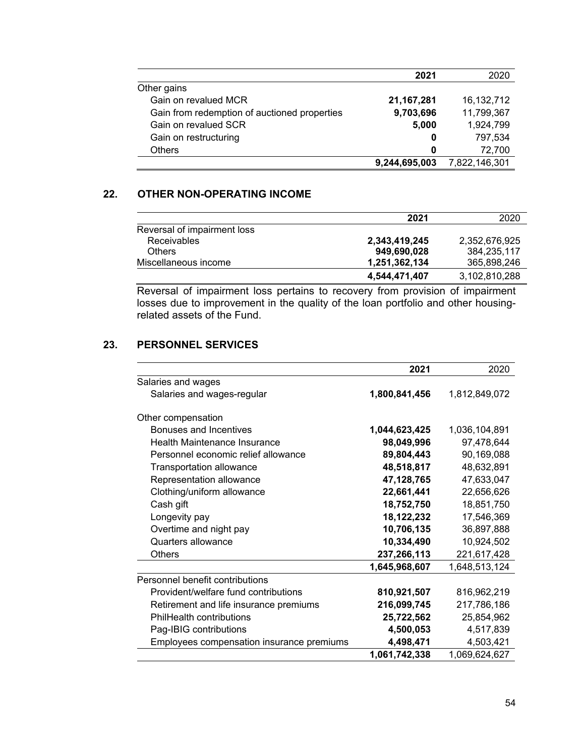|                                              | 2021          | 2020          |
|----------------------------------------------|---------------|---------------|
| Other gains                                  |               |               |
| Gain on revalued MCR                         | 21, 167, 281  | 16, 132, 712  |
| Gain from redemption of auctioned properties | 9,703,696     | 11,799,367    |
| Gain on revalued SCR                         | 5,000         | 1,924,799     |
| Gain on restructuring                        | 0             | 797,534       |
| <b>Others</b>                                | 0             | 72.700        |
|                                              | 9,244,695,003 | 7,822,146,301 |

# **22. OTHER NON-OPERATING INCOME**

|                             | 2021          | 2020          |
|-----------------------------|---------------|---------------|
| Reversal of impairment loss |               |               |
| <b>Receivables</b>          | 2,343,419,245 | 2.352.676.925 |
| <b>Others</b>               | 949.690.028   | 384.235.117   |
| Miscellaneous income        | 1,251,362,134 | 365,898,246   |
|                             | 4.544.471.407 | 3,102,810,288 |

Reversal of impairment loss pertains to recovery from provision of impairment losses due to improvement in the quality of the loan portfolio and other housingrelated assets of the Fund.

# **23. PERSONNEL SERVICES**

|                                           | 2021          | 2020          |
|-------------------------------------------|---------------|---------------|
| Salaries and wages                        |               |               |
| Salaries and wages-regular                | 1,800,841,456 | 1,812,849,072 |
| Other compensation                        |               |               |
| Bonuses and Incentives                    | 1,044,623,425 | 1,036,104,891 |
| <b>Health Maintenance Insurance</b>       | 98,049,996    | 97,478,644    |
| Personnel economic relief allowance       | 89,804,443    | 90,169,088    |
| Transportation allowance                  | 48,518,817    | 48,632,891    |
| Representation allowance                  | 47,128,765    | 47,633,047    |
| Clothing/uniform allowance                | 22,661,441    | 22,656,626    |
| Cash gift                                 | 18,752,750    | 18,851,750    |
| Longevity pay                             | 18,122,232    | 17,546,369    |
| Overtime and night pay                    | 10,706,135    | 36,897,888    |
| Quarters allowance                        | 10,334,490    | 10,924,502    |
| <b>Others</b>                             | 237,266,113   | 221,617,428   |
|                                           | 1,645,968,607 | 1,648,513,124 |
| Personnel benefit contributions           |               |               |
| Provident/welfare fund contributions      | 810,921,507   | 816,962,219   |
| Retirement and life insurance premiums    | 216,099,745   | 217,786,186   |
| PhilHealth contributions                  | 25,722,562    | 25,854,962    |
| Pag-IBIG contributions                    | 4,500,053     | 4,517,839     |
| Employees compensation insurance premiums | 4,498,471     | 4,503,421     |
|                                           | 1,061,742,338 | 1,069,624,627 |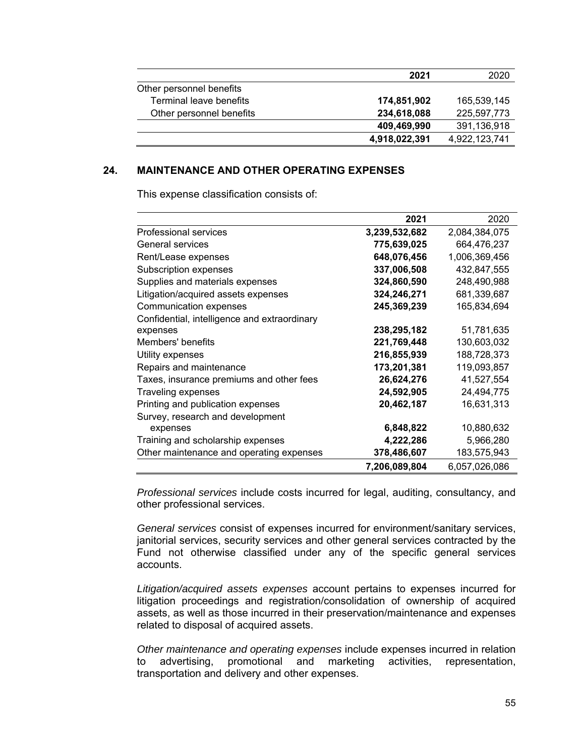|                          | 2021          | 2020          |
|--------------------------|---------------|---------------|
| Other personnel benefits |               |               |
| Terminal leave benefits  | 174,851,902   | 165,539,145   |
| Other personnel benefits | 234,618,088   | 225,597,773   |
|                          | 409,469,990   | 391,136,918   |
|                          | 4,918,022,391 | 4,922,123,741 |

# **24. MAINTENANCE AND OTHER OPERATING EXPENSES**

This expense classification consists of:

|                                              | 2021          | 2020          |
|----------------------------------------------|---------------|---------------|
| Professional services                        | 3,239,532,682 | 2,084,384,075 |
| <b>General services</b>                      | 775,639,025   | 664,476,237   |
| Rent/Lease expenses                          | 648,076,456   | 1,006,369,456 |
| Subscription expenses                        | 337,006,508   | 432,847,555   |
| Supplies and materials expenses              | 324,860,590   | 248,490,988   |
| Litigation/acquired assets expenses          | 324,246,271   | 681,339,687   |
| Communication expenses                       | 245,369,239   | 165,834,694   |
| Confidential, intelligence and extraordinary |               |               |
| expenses                                     | 238,295,182   | 51,781,635    |
| Members' benefits                            | 221,769,448   | 130,603,032   |
| Utility expenses                             | 216,855,939   | 188,728,373   |
| Repairs and maintenance                      | 173,201,381   | 119,093,857   |
| Taxes, insurance premiums and other fees     | 26,624,276    | 41,527,554    |
| <b>Traveling expenses</b>                    | 24,592,905    | 24,494,775    |
| Printing and publication expenses            | 20,462,187    | 16,631,313    |
| Survey, research and development             |               |               |
| expenses                                     | 6,848,822     | 10,880,632    |
| Training and scholarship expenses            | 4,222,286     | 5,966,280     |
| Other maintenance and operating expenses     | 378,486,607   | 183,575,943   |
|                                              | 7,206,089,804 | 6,057,026,086 |

*Professional services* include costs incurred for legal, auditing, consultancy, and other professional services.

*General services* consist of expenses incurred for environment/sanitary services, janitorial services, security services and other general services contracted by the Fund not otherwise classified under any of the specific general services accounts.

*Litigation/acquired assets expenses* account pertains to expenses incurred for litigation proceedings and registration/consolidation of ownership of acquired assets, as well as those incurred in their preservation/maintenance and expenses related to disposal of acquired assets.

*Other maintenance and operating expenses* include expenses incurred in relation to advertising, promotional and marketing activities, representation, transportation and delivery and other expenses.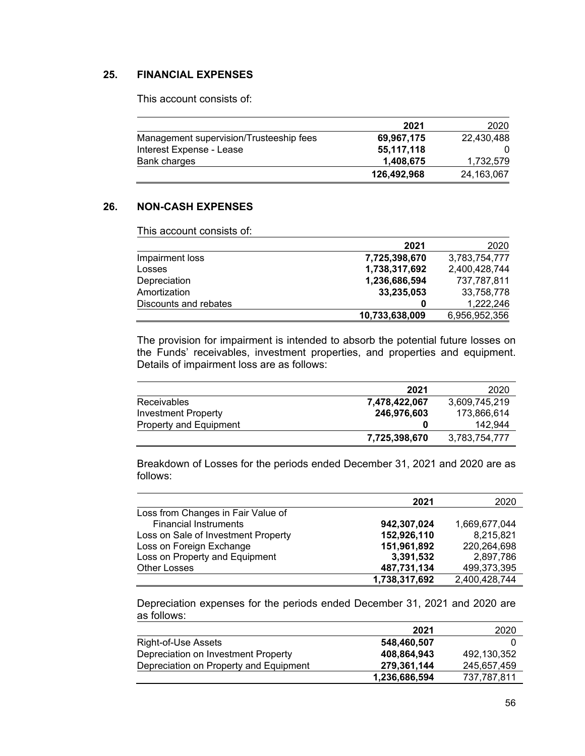# **25. FINANCIAL EXPENSES**

This account consists of:

|                                         | 2021        | 2020       |
|-----------------------------------------|-------------|------------|
| Management supervision/Trusteeship fees | 69,967,175  | 22,430,488 |
| Interest Expense - Lease                | 55,117,118  |            |
| Bank charges                            | 1.408.675   | 1,732,579  |
|                                         | 126,492,968 | 24,163,067 |

# **26. NON-CASH EXPENSES**

This account consists of:

|                       | 2021           | 2020          |
|-----------------------|----------------|---------------|
| Impairment loss       | 7,725,398,670  | 3,783,754,777 |
| Losses                | 1,738,317,692  | 2,400,428,744 |
| Depreciation          | 1,236,686,594  | 737,787,811   |
| Amortization          | 33,235,053     | 33,758,778    |
| Discounts and rebates | 0              | 1,222,246     |
|                       | 10,733,638,009 | 6,956,952,356 |

The provision for impairment is intended to absorb the potential future losses on the Funds' receivables, investment properties, and properties and equipment. Details of impairment loss are as follows:

|                        | 2021          | 2020          |
|------------------------|---------------|---------------|
| <b>Receivables</b>     | 7.478.422.067 | 3,609,745,219 |
| Investment Property    | 246,976,603   | 173,866,614   |
| Property and Equipment |               | 142.944       |
|                        | 7,725,398,670 | 3,783,754,777 |

Breakdown of Losses for the periods ended December 31, 2021 and 2020 are as follows:

|                                     | 2021          | 2020          |
|-------------------------------------|---------------|---------------|
| Loss from Changes in Fair Value of  |               |               |
| <b>Financial Instruments</b>        | 942,307,024   | 1,669,677,044 |
| Loss on Sale of Investment Property | 152,926,110   | 8,215,821     |
| Loss on Foreign Exchange            | 151,961,892   | 220,264,698   |
| Loss on Property and Equipment      | 3,391,532     | 2,897,786     |
| <b>Other Losses</b>                 | 487,731,134   | 499,373,395   |
|                                     | 1,738,317,692 | 2,400,428,744 |

Depreciation expenses for the periods ended December 31, 2021 and 2020 are as follows:

|                                        | 2021          | 2020        |
|----------------------------------------|---------------|-------------|
| Right-of-Use Assets                    | 548.460.507   |             |
| Depreciation on Investment Property    | 408.864.943   | 492.130.352 |
| Depreciation on Property and Equipment | 279.361.144   | 245.657.459 |
|                                        | 1,236,686,594 | 737.787.811 |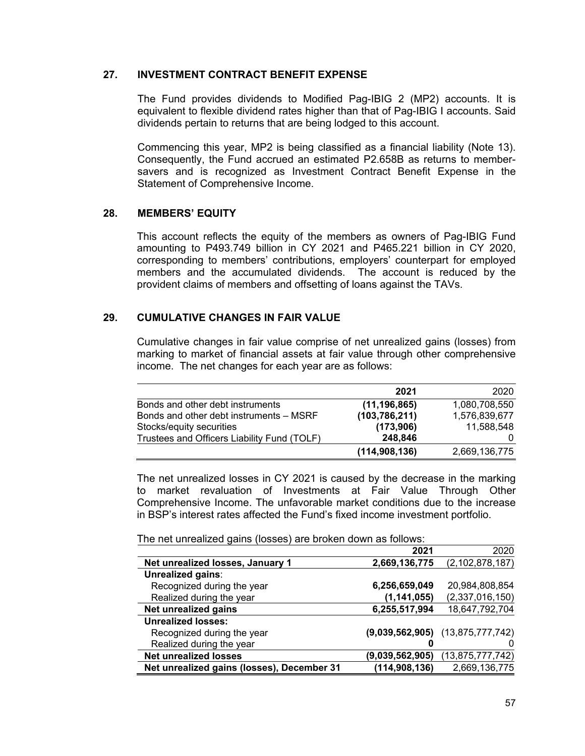# **27. INVESTMENT CONTRACT BENEFIT EXPENSE**

The Fund provides dividends to Modified Pag-IBIG 2 (MP2) accounts. It is equivalent to flexible dividend rates higher than that of Pag-IBIG I accounts. Said dividends pertain to returns that are being lodged to this account.

Commencing this year, MP2 is being classified as a financial liability (Note 13). Consequently, the Fund accrued an estimated P2.658B as returns to membersavers and is recognized as Investment Contract Benefit Expense in the Statement of Comprehensive Income.

# **28. MEMBERS' EQUITY**

This account reflects the equity of the members as owners of Pag-IBIG Fund amounting to P493.749 billion in CY 2021 and P465.221 billion in CY 2020, corresponding to members' contributions, employers' counterpart for employed members and the accumulated dividends. The account is reduced by the provident claims of members and offsetting of loans against the TAVs.

# **29. CUMULATIVE CHANGES IN FAIR VALUE**

Cumulative changes in fair value comprise of net unrealized gains (losses) from marking to market of financial assets at fair value through other comprehensive income. The net changes for each year are as follows:

|                                             | 2021            | 2020          |
|---------------------------------------------|-----------------|---------------|
| Bonds and other debt instruments            | (11, 196, 865)  | 1,080,708,550 |
| Bonds and other debt instruments – MSRF     | (103, 786, 211) | 1,576,839,677 |
| Stocks/equity securities                    | (173,906)       | 11,588,548    |
| Trustees and Officers Liability Fund (TOLF) | 248.846         |               |
|                                             | (114, 908, 136) | 2,669,136,775 |

The net unrealized losses in CY 2021 is caused by the decrease in the marking to market revaluation of Investments at Fair Value Through Other Comprehensive Income. The unfavorable market conditions due to the increase in BSP's interest rates affected the Fund's fixed income investment portfolio.

The net unrealized gains (losses) are broken down as follows:

|                                            | 2021            | 2020                                 |
|--------------------------------------------|-----------------|--------------------------------------|
| Net unrealized losses, January 1           | 2,669,136,775   | (2, 102, 878, 187)                   |
| Unrealized gains:                          |                 |                                      |
| Recognized during the year                 | 6,256,659,049   | 20,984,808,854                       |
| Realized during the year                   | (1, 141, 055)   | (2,337,016,150)                      |
| Net unrealized gains                       | 6,255,517,994   | 18,647,792,704                       |
| <b>Unrealized losses:</b>                  |                 |                                      |
| Recognized during the year                 |                 | $(9,039,562,905)$ $(13,875,777,742)$ |
| Realized during the year                   |                 |                                      |
| <b>Net unrealized losses</b>               | (9,039,562,905) | (13, 875, 777, 742)                  |
| Net unrealized gains (losses), December 31 | (114, 908, 136) | 2,669,136,775                        |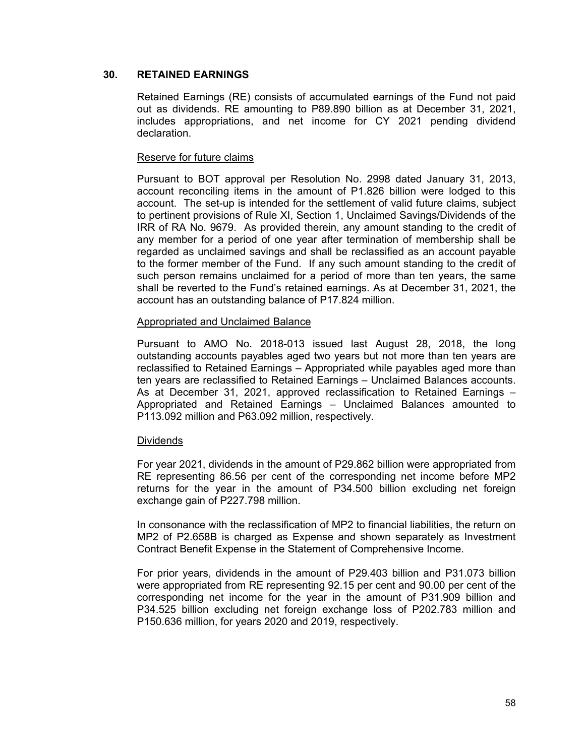# **30. RETAINED EARNINGS**

Retained Earnings (RE) consists of accumulated earnings of the Fund not paid out as dividends. RE amounting to P89.890 billion as at December 31, 2021, includes appropriations, and net income for CY 2021 pending dividend declaration.

# Reserve for future claims

Pursuant to BOT approval per Resolution No. 2998 dated January 31, 2013, account reconciling items in the amount of P1.826 billion were lodged to this account. The set-up is intended for the settlement of valid future claims, subject to pertinent provisions of Rule XI, Section 1, Unclaimed Savings/Dividends of the IRR of RA No. 9679. As provided therein, any amount standing to the credit of any member for a period of one year after termination of membership shall be regarded as unclaimed savings and shall be reclassified as an account payable to the former member of the Fund. If any such amount standing to the credit of such person remains unclaimed for a period of more than ten years, the same shall be reverted to the Fund's retained earnings. As at December 31, 2021, the account has an outstanding balance of P17.824 million.

# Appropriated and Unclaimed Balance

Pursuant to AMO No. 2018-013 issued last August 28, 2018, the long outstanding accounts payables aged two years but not more than ten years are reclassified to Retained Earnings – Appropriated while payables aged more than ten years are reclassified to Retained Earnings – Unclaimed Balances accounts. As at December 31, 2021, approved reclassification to Retained Earnings – Appropriated and Retained Earnings – Unclaimed Balances amounted to P113.092 million and P63.092 million, respectively.

# **Dividends**

For year 2021, dividends in the amount of P29.862 billion were appropriated from RE representing 86.56 per cent of the corresponding net income before MP2 returns for the year in the amount of P34.500 billion excluding net foreign exchange gain of P227.798 million.

In consonance with the reclassification of MP2 to financial liabilities, the return on MP2 of P2.658B is charged as Expense and shown separately as Investment Contract Benefit Expense in the Statement of Comprehensive Income.

For prior years, dividends in the amount of P29.403 billion and P31.073 billion were appropriated from RE representing 92.15 per cent and 90.00 per cent of the corresponding net income for the year in the amount of P31.909 billion and P34.525 billion excluding net foreign exchange loss of P202.783 million and P150.636 million, for years 2020 and 2019, respectively.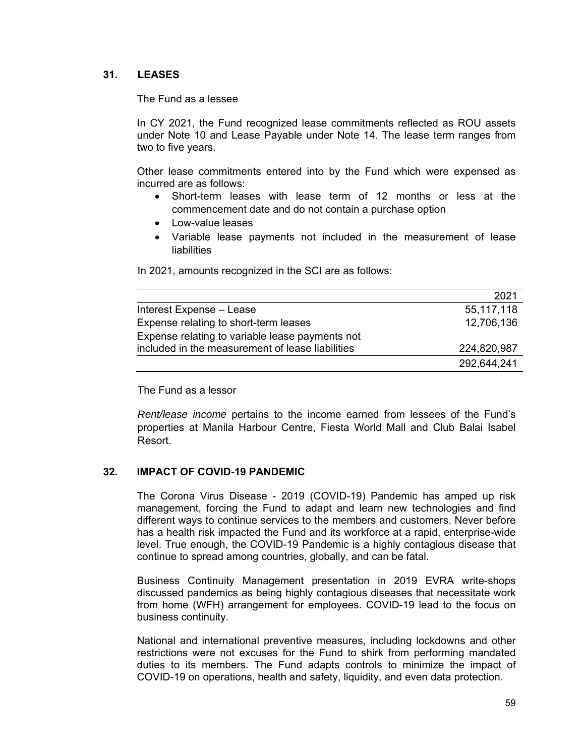# **31. LEASES**

The Fund as a lessee

In CY 2021, the Fund recognized lease commitments reflected as ROU assets under Note 10 and Lease Payable under Note 14. The lease term ranges from two to five years.

Other lease commitments entered into by the Fund which were expensed as incurred are as follows:

- Short-term leases with lease term of 12 months or less at the commencement date and do not contain a purchase option
- Low-value leases
- Variable lease payments not included in the measurement of lease liabilities

In 2021, amounts recognized in the SCI are as follows:

|                                                  | 2021        |
|--------------------------------------------------|-------------|
| Interest Expense - Lease                         | 55,117,118  |
| Expense relating to short-term leases            | 12,706,136  |
| Expense relating to variable lease payments not  |             |
| included in the measurement of lease liabilities | 224,820,987 |
|                                                  | 292,644,241 |

The Fund as a lessor

*Rent/lease income* pertains to the income earned from lessees of the Fund's properties at Manila Harbour Centre, Fiesta World Mall and Club Balai Isabel Resort.

# **32. IMPACT OF COVID-19 PANDEMIC**

The Corona Virus Disease - 2019 (COVID-19) Pandemic has amped up risk management, forcing the Fund to adapt and learn new technologies and find different ways to continue services to the members and customers. Never before has a health risk impacted the Fund and its workforce at a rapid, enterprise-wide level. True enough, the COVID-19 Pandemic is a highly contagious disease that continue to spread among countries, globally, and can be fatal.

Business Continuity Management presentation in 2019 EVRA write-shops discussed pandemics as being highly contagious diseases that necessitate work from home (WFH) arrangement for employees. COVID-19 lead to the focus on business continuity.

National and international preventive measures, including lockdowns and other restrictions were not excuses for the Fund to shirk from performing mandated duties to its members. The Fund adapts controls to minimize the impact of COVID-19 on operations, health and safety, liquidity, and even data protection.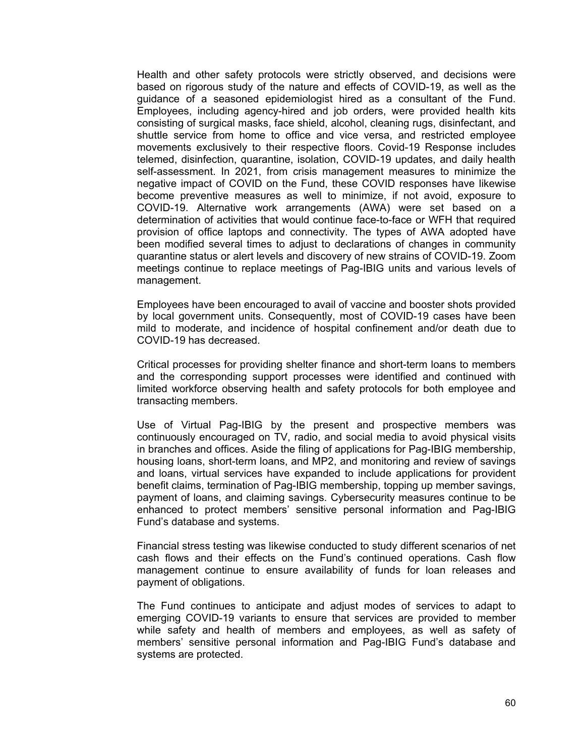Health and other safety protocols were strictly observed, and decisions were based on rigorous study of the nature and effects of COVID-19, as well as the guidance of a seasoned epidemiologist hired as a consultant of the Fund. Employees, including agency-hired and job orders, were provided health kits consisting of surgical masks, face shield, alcohol, cleaning rugs, disinfectant, and shuttle service from home to office and vice versa, and restricted employee movements exclusively to their respective floors. Covid-19 Response includes telemed, disinfection, quarantine, isolation, COVID-19 updates, and daily health self-assessment. In 2021, from crisis management measures to minimize the negative impact of COVID on the Fund, these COVID responses have likewise become preventive measures as well to minimize, if not avoid, exposure to COVID-19. Alternative work arrangements (AWA) were set based on a determination of activities that would continue face-to-face or WFH that required provision of office laptops and connectivity. The types of AWA adopted have been modified several times to adjust to declarations of changes in community quarantine status or alert levels and discovery of new strains of COVID-19. Zoom meetings continue to replace meetings of Pag-IBIG units and various levels of management.

Employees have been encouraged to avail of vaccine and booster shots provided by local government units. Consequently, most of COVID-19 cases have been mild to moderate, and incidence of hospital confinement and/or death due to COVID-19 has decreased.

Critical processes for providing shelter finance and short-term loans to members and the corresponding support processes were identified and continued with limited workforce observing health and safety protocols for both employee and transacting members.

Use of Virtual Pag-IBIG by the present and prospective members was continuously encouraged on TV, radio, and social media to avoid physical visits in branches and offices. Aside the filing of applications for Pag-IBIG membership, housing loans, short-term loans, and MP2, and monitoring and review of savings and loans, virtual services have expanded to include applications for provident benefit claims, termination of Pag-IBIG membership, topping up member savings, payment of loans, and claiming savings. Cybersecurity measures continue to be enhanced to protect members' sensitive personal information and Pag-IBIG Fund's database and systems.

Financial stress testing was likewise conducted to study different scenarios of net cash flows and their effects on the Fund's continued operations. Cash flow management continue to ensure availability of funds for loan releases and payment of obligations.

The Fund continues to anticipate and adjust modes of services to adapt to emerging COVID-19 variants to ensure that services are provided to member while safety and health of members and employees, as well as safety of members' sensitive personal information and Pag-IBIG Fund's database and systems are protected.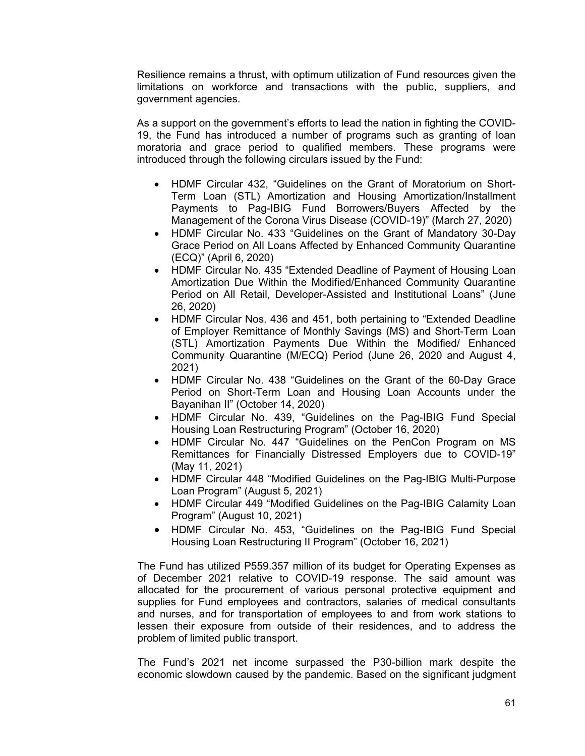Resilience remains a thrust, with optimum utilization of Fund resources given the limitations on workforce and transactions with the public, suppliers, and government agencies.

As a support on the government's efforts to lead the nation in fighting the COVID-19, the Fund has introduced a number of programs such as granting of loan moratoria and grace period to qualified members. These programs were introduced through the following circulars issued by the Fund:

- HDMF Circular 432, "Guidelines on the Grant of Moratorium on Short-Term Loan (STL) Amortization and Housing Amortization/Installment Payments to Pag-IBIG Fund Borrowers/Buyers Affected by the Management of the Corona Virus Disease (COVID-19)" (March 27, 2020)
- HDMF Circular No. 433 "Guidelines on the Grant of Mandatory 30-Day Grace Period on All Loans Affected by Enhanced Community Quarantine (ECQ)" (April 6, 2020)
- HDMF Circular No. 435 "Extended Deadline of Payment of Housing Loan Amortization Due Within the Modified/Enhanced Community Quarantine Period on All Retail, Developer-Assisted and Institutional Loans" (June 26, 2020)
- HDMF Circular Nos. 436 and 451, both pertaining to "Extended Deadline of Employer Remittance of Monthly Savings (MS) and Short-Term Loan (STL) Amortization Payments Due Within the Modified/ Enhanced Community Quarantine (M/ECQ) Period (June 26, 2020 and August 4, 2021)
- HDMF Circular No. 438 "Guidelines on the Grant of the 60-Day Grace Period on Short-Term Loan and Housing Loan Accounts under the Bayanihan II" (October 14, 2020)
- HDMF Circular No. 439, "Guidelines on the Pag-IBIG Fund Special Housing Loan Restructuring Program" (October 16, 2020)
- HDMF Circular No. 447 "Guidelines on the PenCon Program on MS Remittances for Financially Distressed Employers due to COVID-19" (May 11, 2021)
- HDMF Circular 448 "Modified Guidelines on the Pag-IBIG Multi-Purpose Loan Program" (August 5, 2021)
- HDMF Circular 449 "Modified Guidelines on the Pag-IBIG Calamity Loan Program" (August 10, 2021)
- HDMF Circular No. 453, "Guidelines on the Pag-IBIG Fund Special Housing Loan Restructuring II Program" (October 16, 2021)

The Fund has utilized P559.357 million of its budget for Operating Expenses as of December 2021 relative to COVID-19 response. The said amount was allocated for the procurement of various personal protective equipment and supplies for Fund employees and contractors, salaries of medical consultants and nurses, and for transportation of employees to and from work stations to lessen their exposure from outside of their residences, and to address the problem of limited public transport.

The Fund's 2021 net income surpassed the P30-billion mark despite the economic slowdown caused by the pandemic. Based on the significant judgment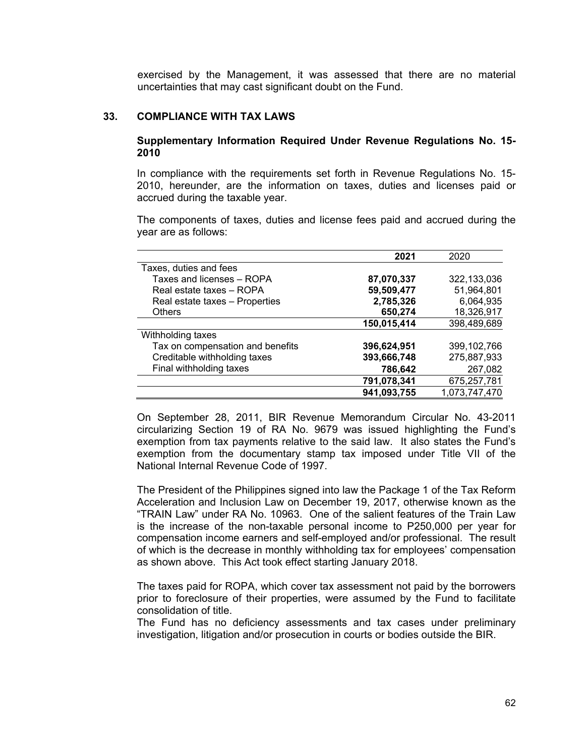exercised by the Management, it was assessed that there are no material uncertainties that may cast significant doubt on the Fund.

### **33. COMPLIANCE WITH TAX LAWS**

### **Supplementary Information Required Under Revenue Regulations No. 15- 2010**

In compliance with the requirements set forth in Revenue Regulations No. 15- 2010, hereunder, are the information on taxes, duties and licenses paid or accrued during the taxable year.

The components of taxes, duties and license fees paid and accrued during the year are as follows:

|                                  | 2021        | 2020          |
|----------------------------------|-------------|---------------|
| Taxes, duties and fees           |             |               |
| Taxes and licenses - ROPA        | 87,070,337  | 322,133,036   |
| Real estate taxes - ROPA         | 59,509,477  | 51,964,801    |
| Real estate taxes - Properties   | 2,785,326   | 6,064,935     |
| <b>Others</b>                    | 650,274     | 18,326,917    |
|                                  | 150,015,414 | 398,489,689   |
| Withholding taxes                |             |               |
| Tax on compensation and benefits | 396,624,951 | 399, 102, 766 |
| Creditable withholding taxes     | 393,666,748 | 275,887,933   |
| Final withholding taxes          | 786,642     | 267,082       |
|                                  | 791,078,341 | 675,257,781   |
|                                  | 941,093,755 | 1,073,747,470 |

On September 28, 2011, BIR Revenue Memorandum Circular No. 43-2011 circularizing Section 19 of RA No. 9679 was issued highlighting the Fund's exemption from tax payments relative to the said law. It also states the Fund's exemption from the documentary stamp tax imposed under Title VII of the National Internal Revenue Code of 1997.

The President of the Philippines signed into law the Package 1 of the Tax Reform Acceleration and Inclusion Law on December 19, 2017, otherwise known as the "TRAIN Law" under RA No. 10963. One of the salient features of the Train Law is the increase of the non-taxable personal income to P250,000 per year for compensation income earners and self-employed and/or professional. The result of which is the decrease in monthly withholding tax for employees' compensation as shown above. This Act took effect starting January 2018.

The taxes paid for ROPA, which cover tax assessment not paid by the borrowers prior to foreclosure of their properties, were assumed by the Fund to facilitate consolidation of title.

The Fund has no deficiency assessments and tax cases under preliminary investigation, litigation and/or prosecution in courts or bodies outside the BIR.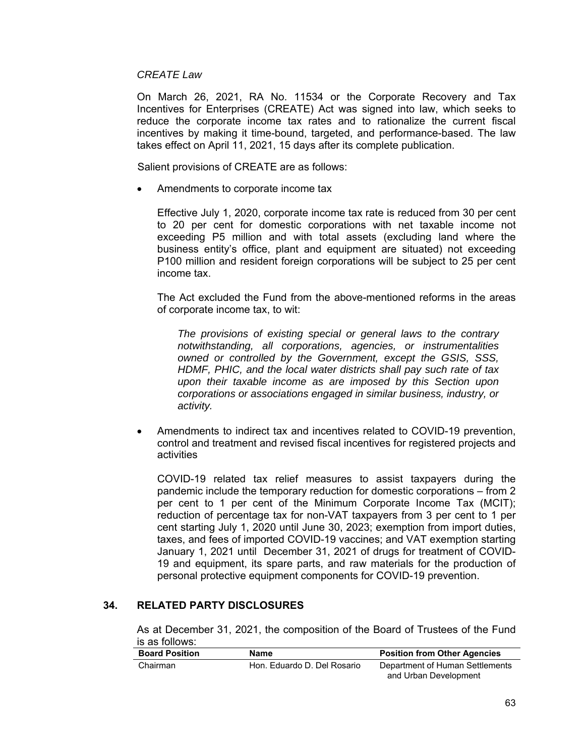### *CREATE Law*

On March 26, 2021, RA No. 11534 or the Corporate Recovery and Tax Incentives for Enterprises (CREATE) Act was signed into law, which seeks to reduce the corporate income tax rates and to rationalize the current fiscal incentives by making it time-bound, targeted, and performance-based. The law takes effect on April 11, 2021, 15 days after its complete publication.

Salient provisions of CREATE are as follows:

Amendments to corporate income tax

Effective July 1, 2020, corporate income tax rate is reduced from 30 per cent to 20 per cent for domestic corporations with net taxable income not exceeding P5 million and with total assets (excluding land where the business entity's office, plant and equipment are situated) not exceeding P100 million and resident foreign corporations will be subject to 25 per cent income tax.

The Act excluded the Fund from the above-mentioned reforms in the areas of corporate income tax, to wit:

*The provisions of existing special or general laws to the contrary notwithstanding, all corporations, agencies, or instrumentalities owned or controlled by the Government, except the GSIS, SSS, HDMF, PHIC, and the local water districts shall pay such rate of tax upon their taxable income as are imposed by this Section upon corporations or associations engaged in similar business, industry, or activity.* 

 Amendments to indirect tax and incentives related to COVID-19 prevention, control and treatment and revised fiscal incentives for registered projects and activities

COVID-19 related tax relief measures to assist taxpayers during the pandemic include the temporary reduction for domestic corporations – from 2 per cent to 1 per cent of the Minimum Corporate Income Tax (MCIT); reduction of percentage tax for non-VAT taxpayers from 3 per cent to 1 per cent starting July 1, 2020 until June 30, 2023; exemption from import duties, taxes, and fees of imported COVID-19 vaccines; and VAT exemption starting January 1, 2021 until December 31, 2021 of drugs for treatment of COVID-19 and equipment, its spare parts, and raw materials for the production of personal protective equipment components for COVID-19 prevention.

# **34. RELATED PARTY DISCLOSURES**

As at December 31, 2021, the composition of the Board of Trustees of the Fund is as follows:

| <b>Board Position</b> | Name                        | <b>Position from Other Agencies</b> |
|-----------------------|-----------------------------|-------------------------------------|
| Chairman              | Hon. Eduardo D. Del Rosario | Department of Human Settlements     |
|                       |                             | and Urban Development               |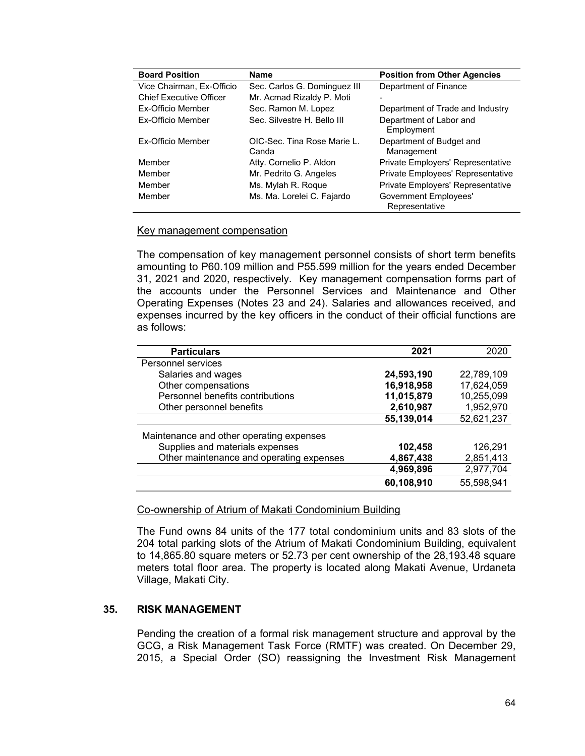| <b>Board Position</b>          | <b>Name</b>                          | <b>Position from Other Agencies</b>            |
|--------------------------------|--------------------------------------|------------------------------------------------|
| Vice Chairman, Ex-Officio      | Sec. Carlos G. Dominguez III         | Department of Finance                          |
| <b>Chief Executive Officer</b> | Mr. Acmad Rizaldy P. Moti            |                                                |
| Ex-Officio Member              | Sec. Ramon M. Lopez                  | Department of Trade and Industry               |
| Ex-Officio Member              | Sec. Silvestre H. Bello III          | Department of Labor and<br>Employment          |
| Ex-Officio Member              | OIC-Sec. Tina Rose Marie L.<br>Canda | Department of Budget and<br>Management         |
| Member                         | Atty. Cornelio P. Aldon              | Private Employers' Representative              |
| Member                         | Mr. Pedrito G. Angeles               | Private Employees' Representative              |
| Member                         | Ms. Mylah R. Roque                   | Private Employers' Representative              |
| Member                         | Ms. Ma. Lorelei C. Fajardo           | <b>Government Employees'</b><br>Representative |

### Key management compensation

The compensation of key management personnel consists of short term benefits amounting to P60.109 million and P55.599 million for the years ended December 31, 2021 and 2020, respectively. Key management compensation forms part of the accounts under the Personnel Services and Maintenance and Other Operating Expenses (Notes 23 and 24). Salaries and allowances received, and expenses incurred by the key officers in the conduct of their official functions are as follows:

| <b>Particulars</b>                       | 2021       | 2020       |
|------------------------------------------|------------|------------|
| Personnel services                       |            |            |
| Salaries and wages                       | 24,593,190 | 22,789,109 |
| Other compensations                      | 16,918,958 | 17,624,059 |
| Personnel benefits contributions         | 11,015,879 | 10,255,099 |
| Other personnel benefits                 | 2,610,987  | 1,952,970  |
|                                          | 55,139,014 | 52,621,237 |
| Maintenance and other operating expenses |            |            |
| Supplies and materials expenses          | 102,458    | 126,291    |
| Other maintenance and operating expenses | 4,867,438  | 2,851,413  |
|                                          | 4,969,896  | 2,977,704  |
|                                          | 60,108,910 | 55,598,941 |

### Co-ownership of Atrium of Makati Condominium Building

The Fund owns 84 units of the 177 total condominium units and 83 slots of the 204 total parking slots of the Atrium of Makati Condominium Building, equivalent to 14,865.80 square meters or 52.73 per cent ownership of the 28,193.48 square meters total floor area. The property is located along Makati Avenue, Urdaneta Village, Makati City.

# **35. RISK MANAGEMENT**

Pending the creation of a formal risk management structure and approval by the GCG, a Risk Management Task Force (RMTF) was created. On December 29, 2015, a Special Order (SO) reassigning the Investment Risk Management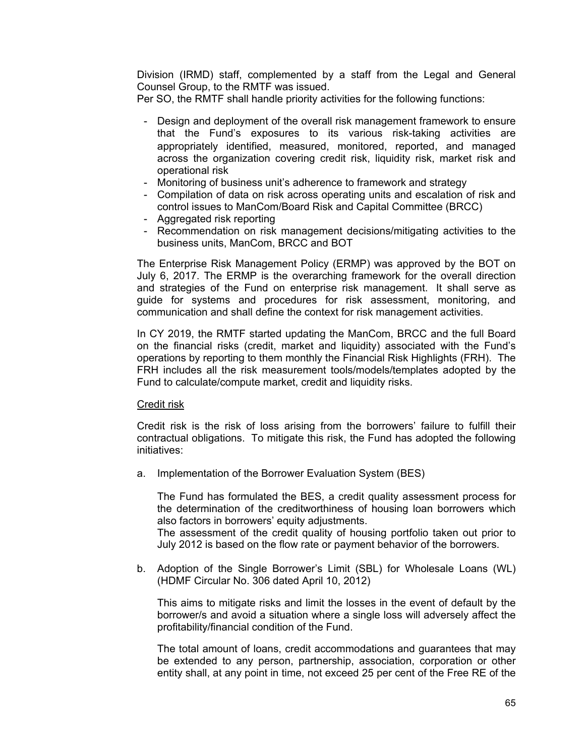Division (IRMD) staff, complemented by a staff from the Legal and General Counsel Group, to the RMTF was issued.

Per SO, the RMTF shall handle priority activities for the following functions:

- Design and deployment of the overall risk management framework to ensure that the Fund's exposures to its various risk-taking activities are appropriately identified, measured, monitored, reported, and managed across the organization covering credit risk, liquidity risk, market risk and operational risk
- Monitoring of business unit's adherence to framework and strategy
- Compilation of data on risk across operating units and escalation of risk and control issues to ManCom/Board Risk and Capital Committee (BRCC)
- Aggregated risk reporting
- Recommendation on risk management decisions/mitigating activities to the business units, ManCom, BRCC and BOT

The Enterprise Risk Management Policy (ERMP) was approved by the BOT on July 6, 2017. The ERMP is the overarching framework for the overall direction and strategies of the Fund on enterprise risk management. It shall serve as guide for systems and procedures for risk assessment, monitoring, and communication and shall define the context for risk management activities.

In CY 2019, the RMTF started updating the ManCom, BRCC and the full Board on the financial risks (credit, market and liquidity) associated with the Fund's operations by reporting to them monthly the Financial Risk Highlights (FRH). The FRH includes all the risk measurement tools/models/templates adopted by the Fund to calculate/compute market, credit and liquidity risks.

### Credit risk

Credit risk is the risk of loss arising from the borrowers' failure to fulfill their contractual obligations. To mitigate this risk, the Fund has adopted the following initiatives:

a. Implementation of the Borrower Evaluation System (BES)

The Fund has formulated the BES, a credit quality assessment process for the determination of the creditworthiness of housing loan borrowers which also factors in borrowers' equity adjustments.

The assessment of the credit quality of housing portfolio taken out prior to July 2012 is based on the flow rate or payment behavior of the borrowers.

b. Adoption of the Single Borrower's Limit (SBL) for Wholesale Loans (WL) (HDMF Circular No. 306 dated April 10, 2012)

This aims to mitigate risks and limit the losses in the event of default by the borrower/s and avoid a situation where a single loss will adversely affect the profitability/financial condition of the Fund.

The total amount of loans, credit accommodations and guarantees that may be extended to any person, partnership, association, corporation or other entity shall, at any point in time, not exceed 25 per cent of the Free RE of the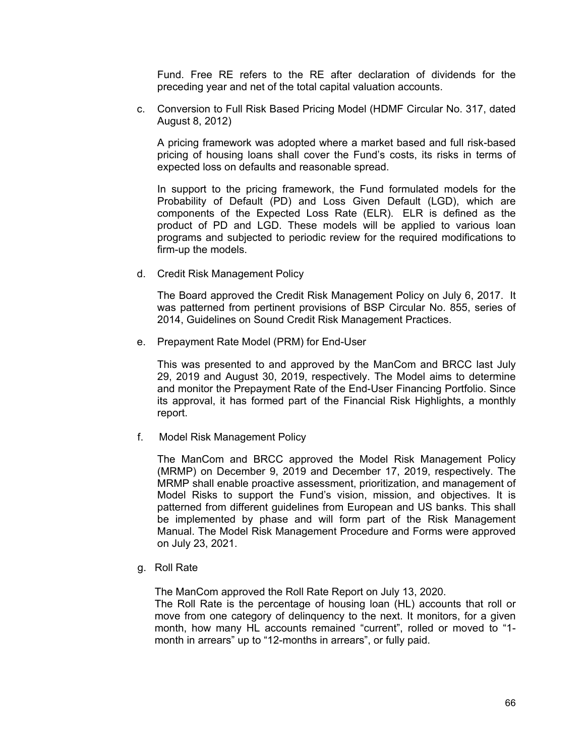Fund. Free RE refers to the RE after declaration of dividends for the preceding year and net of the total capital valuation accounts.

c. Conversion to Full Risk Based Pricing Model (HDMF Circular No. 317, dated August 8, 2012)

A pricing framework was adopted where a market based and full risk-based pricing of housing loans shall cover the Fund's costs, its risks in terms of expected loss on defaults and reasonable spread.

In support to the pricing framework, the Fund formulated models for the Probability of Default (PD) and Loss Given Default (LGD), which are components of the Expected Loss Rate (ELR). ELR is defined as the product of PD and LGD. These models will be applied to various loan programs and subjected to periodic review for the required modifications to firm-up the models.

d. Credit Risk Management Policy

The Board approved the Credit Risk Management Policy on July 6, 2017. It was patterned from pertinent provisions of BSP Circular No. 855, series of 2014, Guidelines on Sound Credit Risk Management Practices.

e. Prepayment Rate Model (PRM) for End-User

This was presented to and approved by the ManCom and BRCC last July 29, 2019 and August 30, 2019, respectively. The Model aims to determine and monitor the Prepayment Rate of the End-User Financing Portfolio. Since its approval, it has formed part of the Financial Risk Highlights, a monthly report.

f. Model Risk Management Policy

The ManCom and BRCC approved the Model Risk Management Policy (MRMP) on December 9, 2019 and December 17, 2019, respectively. The MRMP shall enable proactive assessment, prioritization, and management of Model Risks to support the Fund's vision, mission, and objectives. It is patterned from different guidelines from European and US banks. This shall be implemented by phase and will form part of the Risk Management Manual. The Model Risk Management Procedure and Forms were approved on July 23, 2021.

g. Roll Rate

The ManCom approved the Roll Rate Report on July 13, 2020.

The Roll Rate is the percentage of housing loan (HL) accounts that roll or move from one category of delinquency to the next. It monitors, for a given month, how many HL accounts remained "current", rolled or moved to "1 month in arrears" up to "12-months in arrears", or fully paid.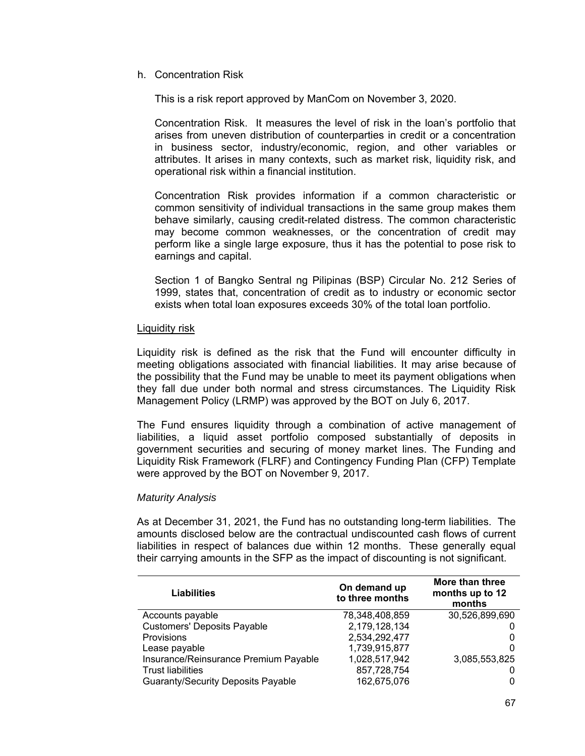h. Concentration Risk

This is a risk report approved by ManCom on November 3, 2020.

Concentration Risk. It measures the level of risk in the loan's portfolio that arises from uneven distribution of counterparties in credit or a concentration in business sector, industry/economic, region, and other variables or attributes. It arises in many contexts, such as market risk, liquidity risk, and operational risk within a financial institution.

Concentration Risk provides information if a common characteristic or common sensitivity of individual transactions in the same group makes them behave similarly, causing credit-related distress. The common characteristic may become common weaknesses, or the concentration of credit may perform like a single large exposure, thus it has the potential to pose risk to earnings and capital.

Section 1 of Bangko Sentral ng Pilipinas (BSP) Circular No. 212 Series of 1999, states that, concentration of credit as to industry or economic sector exists when total loan exposures exceeds 30% of the total loan portfolio.

### Liquidity risk

Liquidity risk is defined as the risk that the Fund will encounter difficulty in meeting obligations associated with financial liabilities. It may arise because of the possibility that the Fund may be unable to meet its payment obligations when they fall due under both normal and stress circumstances. The Liquidity Risk Management Policy (LRMP) was approved by the BOT on July 6, 2017.

The Fund ensures liquidity through a combination of active management of liabilities, a liquid asset portfolio composed substantially of deposits in government securities and securing of money market lines. The Funding and Liquidity Risk Framework (FLRF) and Contingency Funding Plan (CFP) Template were approved by the BOT on November 9, 2017.

# *Maturity Analysis*

As at December 31, 2021, the Fund has no outstanding long-term liabilities. The amounts disclosed below are the contractual undiscounted cash flows of current liabilities in respect of balances due within 12 months. These generally equal their carrying amounts in the SFP as the impact of discounting is not significant.

| Liabilities                               | On demand up<br>to three months | More than three<br>months up to 12<br>months |
|-------------------------------------------|---------------------------------|----------------------------------------------|
| Accounts payable                          | 78,348,408,859                  | 30,526,899,690                               |
| <b>Customers' Deposits Payable</b>        | 2,179,128,134                   |                                              |
| Provisions                                | 2,534,292,477                   | 0                                            |
| Lease payable                             | 1,739,915,877                   | 0                                            |
| Insurance/Reinsurance Premium Payable     | 1,028,517,942                   | 3,085,553,825                                |
| <b>Trust liabilities</b>                  | 857,728,754                     |                                              |
| <b>Guaranty/Security Deposits Payable</b> | 162,675,076                     | 0                                            |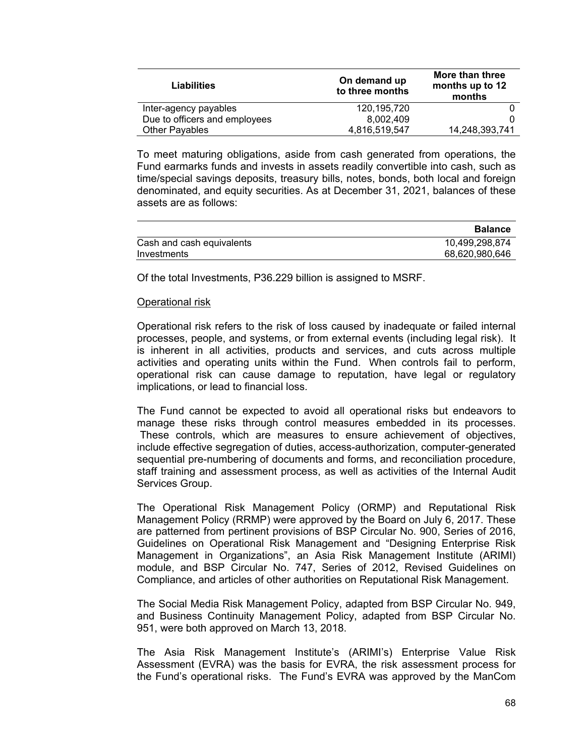| <b>Liabilities</b>            | On demand up<br>to three months | More than three<br>months up to 12<br>months |
|-------------------------------|---------------------------------|----------------------------------------------|
| Inter-agency payables         | 120, 195, 720                   |                                              |
| Due to officers and employees | 8.002.409                       |                                              |
| <b>Other Payables</b>         | 4,816,519,547                   | 14,248,393,741                               |

To meet maturing obligations, aside from cash generated from operations, the Fund earmarks funds and invests in assets readily convertible into cash, such as time/special savings deposits, treasury bills, notes, bonds, both local and foreign denominated, and equity securities. As at December 31, 2021, balances of these assets are as follows:

|                           | <b>Balance</b> |
|---------------------------|----------------|
| Cash and cash equivalents | 10,499,298,874 |
| Investments               | 68,620,980,646 |

Of the total Investments, P36.229 billion is assigned to MSRF.

### Operational risk

Operational risk refers to the risk of loss caused by inadequate or failed internal processes, people, and systems, or from external events (including legal risk). It is inherent in all activities, products and services, and cuts across multiple activities and operating units within the Fund. When controls fail to perform, operational risk can cause damage to reputation, have legal or regulatory implications, or lead to financial loss.

The Fund cannot be expected to avoid all operational risks but endeavors to manage these risks through control measures embedded in its processes. These controls, which are measures to ensure achievement of objectives, include effective segregation of duties, access-authorization, computer-generated sequential pre-numbering of documents and forms, and reconciliation procedure, staff training and assessment process, as well as activities of the Internal Audit Services Group.

The Operational Risk Management Policy (ORMP) and Reputational Risk Management Policy (RRMP) were approved by the Board on July 6, 2017. These are patterned from pertinent provisions of BSP Circular No. 900, Series of 2016, Guidelines on Operational Risk Management and "Designing Enterprise Risk Management in Organizations", an Asia Risk Management Institute (ARIMI) module, and BSP Circular No. 747, Series of 2012, Revised Guidelines on Compliance, and articles of other authorities on Reputational Risk Management.

The Social Media Risk Management Policy, adapted from BSP Circular No. 949, and Business Continuity Management Policy, adapted from BSP Circular No. 951, were both approved on March 13, 2018.

The Asia Risk Management Institute's (ARIMI's) Enterprise Value Risk Assessment (EVRA) was the basis for EVRA, the risk assessment process for the Fund's operational risks. The Fund's EVRA was approved by the ManCom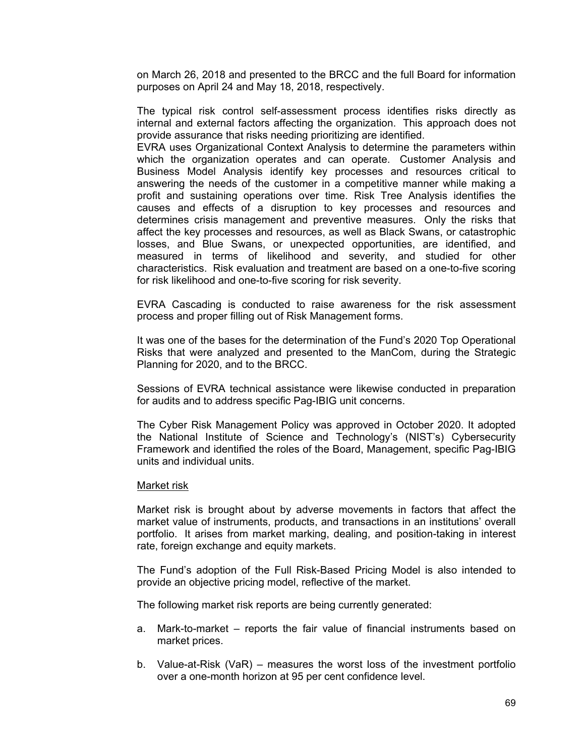on March 26, 2018 and presented to the BRCC and the full Board for information purposes on April 24 and May 18, 2018, respectively.

The typical risk control self-assessment process identifies risks directly as internal and external factors affecting the organization. This approach does not provide assurance that risks needing prioritizing are identified.

EVRA uses Organizational Context Analysis to determine the parameters within which the organization operates and can operate. Customer Analysis and Business Model Analysis identify key processes and resources critical to answering the needs of the customer in a competitive manner while making a profit and sustaining operations over time. Risk Tree Analysis identifies the causes and effects of a disruption to key processes and resources and determines crisis management and preventive measures. Only the risks that affect the key processes and resources, as well as Black Swans, or catastrophic losses, and Blue Swans, or unexpected opportunities, are identified, and measured in terms of likelihood and severity, and studied for other characteristics. Risk evaluation and treatment are based on a one-to-five scoring for risk likelihood and one-to-five scoring for risk severity.

EVRA Cascading is conducted to raise awareness for the risk assessment process and proper filling out of Risk Management forms.

It was one of the bases for the determination of the Fund's 2020 Top Operational Risks that were analyzed and presented to the ManCom, during the Strategic Planning for 2020, and to the BRCC.

Sessions of EVRA technical assistance were likewise conducted in preparation for audits and to address specific Pag-IBIG unit concerns.

The Cyber Risk Management Policy was approved in October 2020. It adopted the National Institute of Science and Technology's (NIST's) Cybersecurity Framework and identified the roles of the Board, Management, specific Pag-IBIG units and individual units.

### Market risk

Market risk is brought about by adverse movements in factors that affect the market value of instruments, products, and transactions in an institutions' overall portfolio. It arises from market marking, dealing, and position-taking in interest rate, foreign exchange and equity markets.

The Fund's adoption of the Full Risk-Based Pricing Model is also intended to provide an objective pricing model, reflective of the market.

The following market risk reports are being currently generated:

- a. Mark-to-market reports the fair value of financial instruments based on market prices.
- b. Value-at-Risk (VaR) measures the worst loss of the investment portfolio over a one-month horizon at 95 per cent confidence level.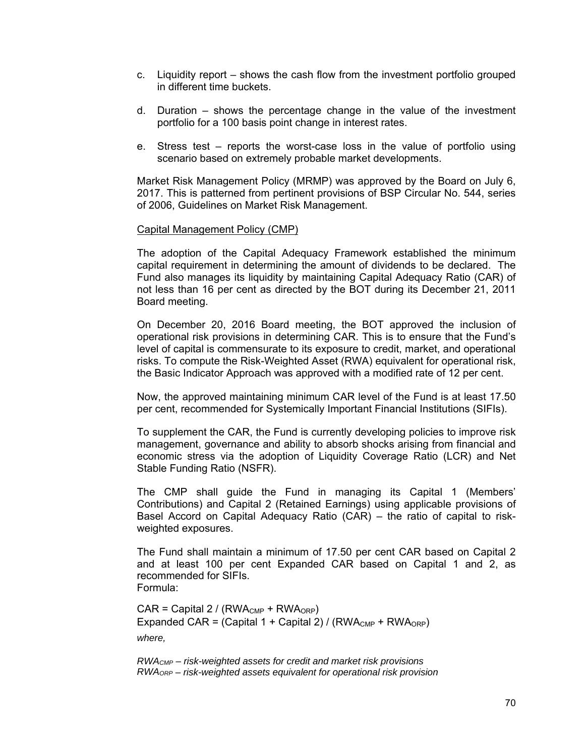- c. Liquidity report shows the cash flow from the investment portfolio grouped in different time buckets.
- d. Duration shows the percentage change in the value of the investment portfolio for a 100 basis point change in interest rates.
- e. Stress test reports the worst-case loss in the value of portfolio using scenario based on extremely probable market developments.

Market Risk Management Policy (MRMP) was approved by the Board on July 6, 2017. This is patterned from pertinent provisions of BSP Circular No. 544, series of 2006, Guidelines on Market Risk Management.

### Capital Management Policy (CMP)

The adoption of the Capital Adequacy Framework established the minimum capital requirement in determining the amount of dividends to be declared. The Fund also manages its liquidity by maintaining Capital Adequacy Ratio (CAR) of not less than 16 per cent as directed by the BOT during its December 21, 2011 Board meeting.

On December 20, 2016 Board meeting, the BOT approved the inclusion of operational risk provisions in determining CAR. This is to ensure that the Fund's level of capital is commensurate to its exposure to credit, market, and operational risks. To compute the Risk-Weighted Asset (RWA) equivalent for operational risk, the Basic Indicator Approach was approved with a modified rate of 12 per cent.

Now, the approved maintaining minimum CAR level of the Fund is at least 17.50 per cent, recommended for Systemically Important Financial Institutions (SIFIs).

To supplement the CAR, the Fund is currently developing policies to improve risk management, governance and ability to absorb shocks arising from financial and economic stress via the adoption of Liquidity Coverage Ratio (LCR) and Net Stable Funding Ratio (NSFR).

The CMP shall guide the Fund in managing its Capital 1 (Members' Contributions) and Capital 2 (Retained Earnings) using applicable provisions of Basel Accord on Capital Adequacy Ratio (CAR) – the ratio of capital to riskweighted exposures.

The Fund shall maintain a minimum of 17.50 per cent CAR based on Capital 2 and at least 100 per cent Expanded CAR based on Capital 1 and 2, as recommended for SIFIs. Formula:

 $CAR = Capital 2 / (RWA<sub>CMP</sub> + RWA<sub>ORP</sub>)$ Expanded CAR = (Capital 1 + Capital 2) / (RWA $_{\text{CMP}}$  + RWA $_{\text{ORP}}$ ) *where,* 

*RWACMP – risk-weighted assets for credit and market risk provisions RWAORP – risk-weighted assets equivalent for operational risk provision*